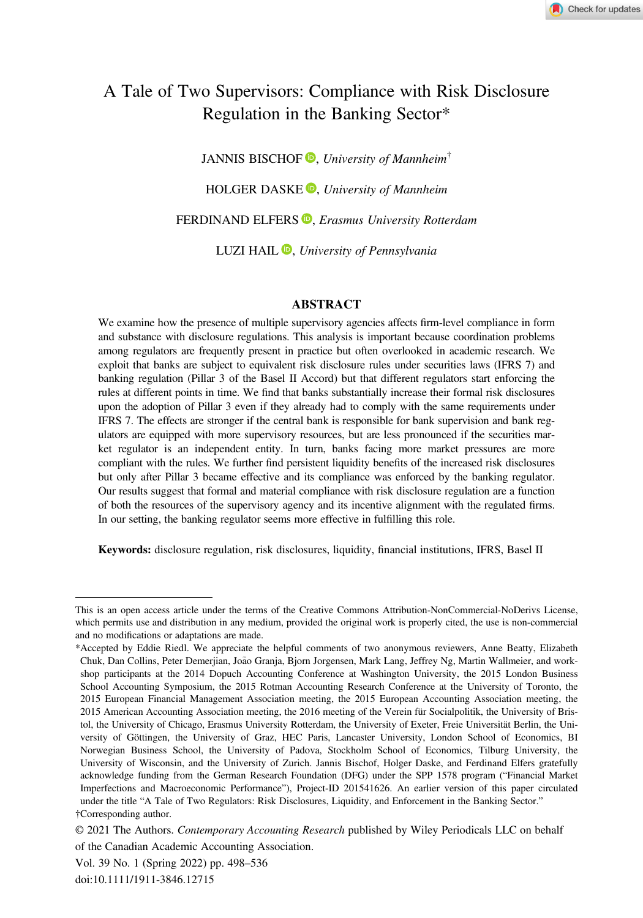# A Tale of Two Supervisors: Compliance with Risk Disclosure Regulation in the Banking Sector\*

JANNIS BISCHOF  $\mathbf{D}$ [,](https://orcid.org/0000-0001-8689-2385) University of Mannheim<sup>†</sup> HOLGER DASKE<sup>O</sup>, University of Mannheim FERDINAND ELFERS<sup>®</sup>[,](https://orcid.org/0000-0002-3146-7864) Erasmus University Rotterdam LUZI HAIL  $\mathbf{D}$ [,](https://orcid.org/0000-0001-7849-7430) University of Pennsylvania

# ABSTRACT

We examine how the presence of multiple supervisory agencies affects firm-level compliance in form and substance with disclosure regulations. This analysis is important because coordination problems among regulators are frequently present in practice but often overlooked in academic research. We exploit that banks are subject to equivalent risk disclosure rules under securities laws (IFRS 7) and banking regulation (Pillar 3 of the Basel II Accord) but that different regulators start enforcing the rules at different points in time. We find that banks substantially increase their formal risk disclosures upon the adoption of Pillar 3 even if they already had to comply with the same requirements under IFRS 7. The effects are stronger if the central bank is responsible for bank supervision and bank regulators are equipped with more supervisory resources, but are less pronounced if the securities market regulator is an independent entity. In turn, banks facing more market pressures are more compliant with the rules. We further find persistent liquidity benefits of the increased risk disclosures but only after Pillar 3 became effective and its compliance was enforced by the banking regulator. Our results suggest that formal and material compliance with risk disclosure regulation are a function of both the resources of the supervisory agency and its incentive alignment with the regulated firms. In our setting, the banking regulator seems more effective in fulfilling this role.

Keywords: disclosure regulation, risk disclosures, liquidity, financial institutions, IFRS, Basel II

This is an open access article under the terms of the [Creative Commons Attribution-NonCommercial-NoDerivs](http://creativecommons.org/licenses/by-nc-nd/4.0/) License, which permits use and distribution in any medium, provided the original work is properly cited, the use is non-commercial and no modifications or adaptations are made.

<sup>\*</sup>Accepted by Eddie Riedl. We appreciate the helpful comments of two anonymous reviewers, Anne Beatty, Elizabeth Chuk, Dan Collins, Peter Demerjian, João Granja, Bjorn Jorgensen, Mark Lang, Jeffrey Ng, Martin Wallmeier, and workshop participants at the 2014 Dopuch Accounting Conference at Washington University, the 2015 London Business School Accounting Symposium, the 2015 Rotman Accounting Research Conference at the University of Toronto, the 2015 European Financial Management Association meeting, the 2015 European Accounting Association meeting, the 2015 American Accounting Association meeting, the 2016 meeting of the Verein für Socialpolitik, the University of Bristol, the University of Chicago, Erasmus University Rotterdam, the University of Exeter, Freie Universität Berlin, the University of Göttingen, the University of Graz, HEC Paris, Lancaster University, London School of Economics, BI Norwegian Business School, the University of Padova, Stockholm School of Economics, Tilburg University, the University of Wisconsin, and the University of Zurich. Jannis Bischof, Holger Daske, and Ferdinand Elfers gratefully acknowledge funding from the German Research Foundation (DFG) under the SPP 1578 program ("Financial Market Imperfections and Macroeconomic Performance"), Project-ID 201541626. An earlier version of this paper circulated under the title "A Tale of Two Regulators: Risk Disclosures, Liquidity, and Enforcement in the Banking Sector." †Corresponding author.

<sup>© 2021</sup> The Authors. Contemporary Accounting Research published by Wiley Periodicals LLC on behalf of the Canadian Academic Accounting Association.

Vol. 39 No. 1 (Spring 2022) pp. 498–536

doi:10.1111/1911-3846.12715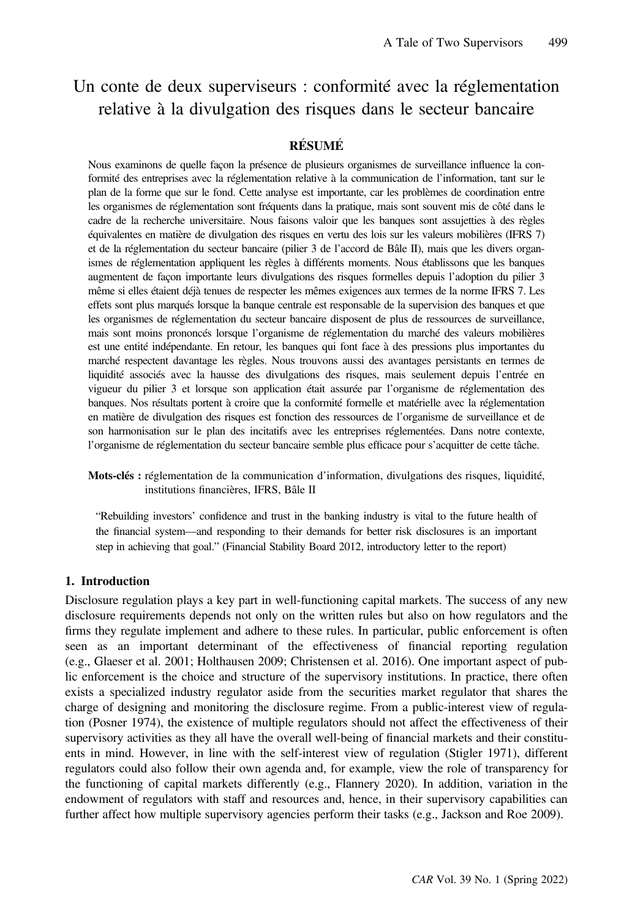# Un conte de deux superviseurs : conformité avec la réglementation relative à la divulgation des risques dans le secteur bancaire

# <u>RÉSUMÉ</u>

Nous examinons de quelle façon la présence de plusieurs organismes de surveillance influence la conformité des entreprises avec la réglementation relative à la communication de l'information, tant sur le plan de la forme que sur le fond. Cette analyse est importante, car les problèmes de coordination entre les organismes de réglementation sont fréquents dans la pratique, mais sont souvent mis de côté dans le cadre de la recherche universitaire. Nous faisons valoir que les banques sont assujetties à des règles équivalentes en matière de divulgation des risques en vertu des lois sur les valeurs mobilières (IFRS 7) et de la réglementation du secteur bancaire (pilier 3 de l'accord de Bâle II), mais que les divers organismes de réglementation appliquent les règles à différents moments. Nous établissons que les banques augmentent de façon importante leurs divulgations des risques formelles depuis l'adoption du pilier 3 même si elles étaient déjà tenues de respecter les mêmes exigences aux termes de la norme IFRS 7. Les effets sont plus marqués lorsque la banque centrale est responsable de la supervision des banques et que les organismes de réglementation du secteur bancaire disposent de plus de ressources de surveillance, mais sont moins prononcés lorsque l'organisme de réglementation du marché des valeurs mobilières est une entité indépendante. En retour, les banques qui font face à des pressions plus importantes du marché respectent davantage les règles. Nous trouvons aussi des avantages persistants en termes de liquidité associés avec la hausse des divulgations des risques, mais seulement depuis l'entrée en vigueur du pilier 3 et lorsque son application était assurée par l'organisme de réglementation des banques. Nos résultats portent à croire que la conformité formelle et matérielle avec la réglementation en matière de divulgation des risques est fonction des ressources de l'organisme de surveillance et de son harmonisation sur le plan des incitatifs avec les entreprises réglementées. Dans notre contexte, l'organisme de réglementation du secteur bancaire semble plus efficace pour s'acquitter de cette tâche.

Mots-clés : réglementation de la communication d'information, divulgations des risques, liquidité, institutions financières, IFRS, Bâle II

"Rebuilding investors' confidence and trust in the banking industry is vital to the future health of the financial system—and responding to their demands for better risk disclosures is an important step in achieving that goal." (Financial Stability Board 2012, introductory letter to the report)

# 1. Introduction

Disclosure regulation plays a key part in well-functioning capital markets. The success of any new disclosure requirements depends not only on the written rules but also on how regulators and the firms they regulate implement and adhere to these rules. In particular, public enforcement is often seen as an important determinant of the effectiveness of financial reporting regulation (e.g., Glaeser et al. 2001; Holthausen 2009; Christensen et al. 2016). One important aspect of public enforcement is the choice and structure of the supervisory institutions. In practice, there often exists a specialized industry regulator aside from the securities market regulator that shares the charge of designing and monitoring the disclosure regime. From a public-interest view of regulation (Posner 1974), the existence of multiple regulators should not affect the effectiveness of their supervisory activities as they all have the overall well-being of financial markets and their constituents in mind. However, in line with the self-interest view of regulation (Stigler 1971), different regulators could also follow their own agenda and, for example, view the role of transparency for the functioning of capital markets differently (e.g., Flannery 2020). In addition, variation in the endowment of regulators with staff and resources and, hence, in their supervisory capabilities can further affect how multiple supervisory agencies perform their tasks (e.g., Jackson and Roe 2009).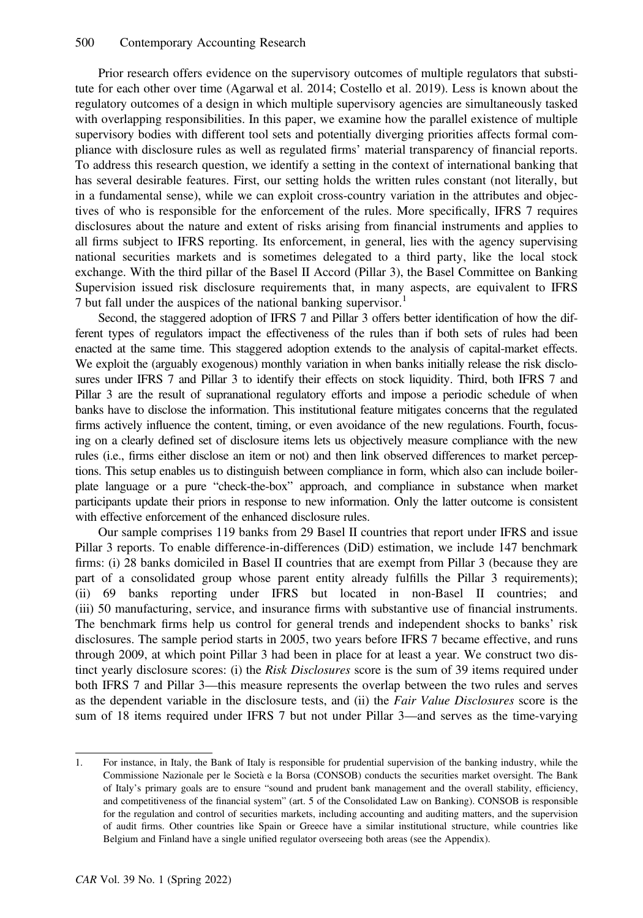Prior research offers evidence on the supervisory outcomes of multiple regulators that substitute for each other over time (Agarwal et al. 2014; Costello et al. 2019). Less is known about the regulatory outcomes of a design in which multiple supervisory agencies are simultaneously tasked with overlapping responsibilities. In this paper, we examine how the parallel existence of multiple supervisory bodies with different tool sets and potentially diverging priorities affects formal compliance with disclosure rules as well as regulated firms' material transparency of financial reports. To address this research question, we identify a setting in the context of international banking that has several desirable features. First, our setting holds the written rules constant (not literally, but in a fundamental sense), while we can exploit cross-country variation in the attributes and objectives of who is responsible for the enforcement of the rules. More specifically, IFRS 7 requires disclosures about the nature and extent of risks arising from financial instruments and applies to all firms subject to IFRS reporting. Its enforcement, in general, lies with the agency supervising national securities markets and is sometimes delegated to a third party, like the local stock exchange. With the third pillar of the Basel II Accord (Pillar 3), the Basel Committee on Banking Supervision issued risk disclosure requirements that, in many aspects, are equivalent to IFRS 7 but fall under the auspices of the national banking supervisor.<sup>1</sup>

Second, the staggered adoption of IFRS 7 and Pillar 3 offers better identification of how the different types of regulators impact the effectiveness of the rules than if both sets of rules had been enacted at the same time. This staggered adoption extends to the analysis of capital-market effects. We exploit the (arguably exogenous) monthly variation in when banks initially release the risk disclosures under IFRS 7 and Pillar 3 to identify their effects on stock liquidity. Third, both IFRS 7 and Pillar 3 are the result of supranational regulatory efforts and impose a periodic schedule of when banks have to disclose the information. This institutional feature mitigates concerns that the regulated firms actively influence the content, timing, or even avoidance of the new regulations. Fourth, focusing on a clearly defined set of disclosure items lets us objectively measure compliance with the new rules (i.e., firms either disclose an item or not) and then link observed differences to market perceptions. This setup enables us to distinguish between compliance in form, which also can include boilerplate language or a pure "check-the-box" approach, and compliance in substance when market participants update their priors in response to new information. Only the latter outcome is consistent with effective enforcement of the enhanced disclosure rules.

Our sample comprises 119 banks from 29 Basel II countries that report under IFRS and issue Pillar 3 reports. To enable difference-in-differences (DiD) estimation, we include 147 benchmark firms: (i) 28 banks domiciled in Basel II countries that are exempt from Pillar 3 (because they are part of a consolidated group whose parent entity already fulfills the Pillar 3 requirements); (ii) 69 banks reporting under IFRS but located in non-Basel II countries; and (iii) 50 manufacturing, service, and insurance firms with substantive use of financial instruments. The benchmark firms help us control for general trends and independent shocks to banks' risk disclosures. The sample period starts in 2005, two years before IFRS 7 became effective, and runs through 2009, at which point Pillar 3 had been in place for at least a year. We construct two distinct yearly disclosure scores: (i) the Risk Disclosures score is the sum of 39 items required under both IFRS 7 and Pillar 3—this measure represents the overlap between the two rules and serves as the dependent variable in the disclosure tests, and (ii) the Fair Value Disclosures score is the sum of 18 items required under IFRS 7 but not under Pillar 3—and serves as the time-varying

<sup>1.</sup> For instance, in Italy, the Bank of Italy is responsible for prudential supervision of the banking industry, while the Commissione Nazionale per le Società e la Borsa (CONSOB) conducts the securities market oversight. The Bank of Italy's primary goals are to ensure "sound and prudent bank management and the overall stability, efficiency, and competitiveness of the financial system" (art. 5 of the Consolidated Law on Banking). CONSOB is responsible for the regulation and control of securities markets, including accounting and auditing matters, and the supervision of audit firms. Other countries like Spain or Greece have a similar institutional structure, while countries like Belgium and Finland have a single unified regulator overseeing both areas (see the Appendix).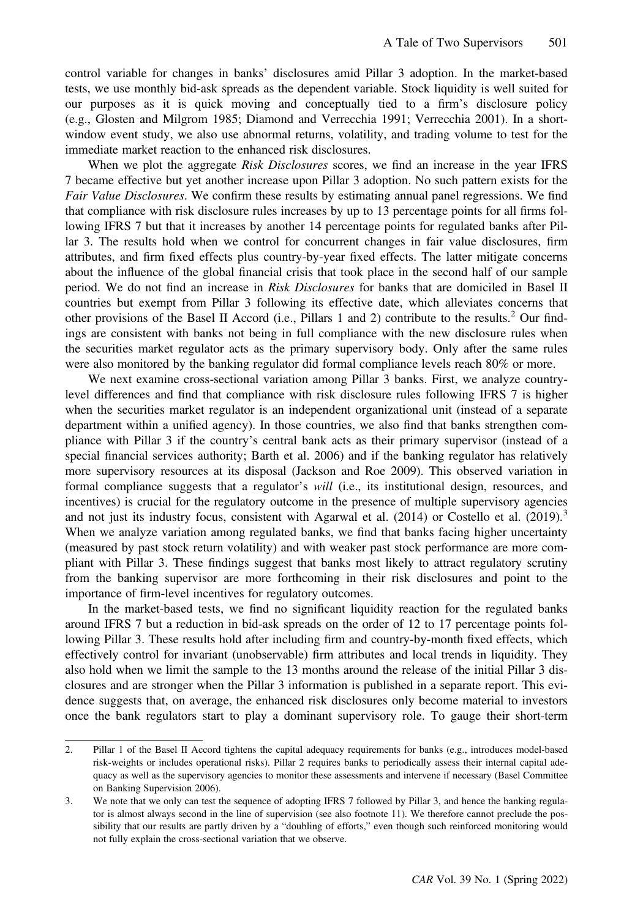control variable for changes in banks' disclosures amid Pillar 3 adoption. In the market-based tests, we use monthly bid-ask spreads as the dependent variable. Stock liquidity is well suited for our purposes as it is quick moving and conceptually tied to a firm's disclosure policy (e.g., Glosten and Milgrom 1985; Diamond and Verrecchia 1991; Verrecchia 2001). In a shortwindow event study, we also use abnormal returns, volatility, and trading volume to test for the immediate market reaction to the enhanced risk disclosures.

When we plot the aggregate Risk Disclosures scores, we find an increase in the year IFRS 7 became effective but yet another increase upon Pillar 3 adoption. No such pattern exists for the Fair Value Disclosures. We confirm these results by estimating annual panel regressions. We find that compliance with risk disclosure rules increases by up to 13 percentage points for all firms following IFRS 7 but that it increases by another 14 percentage points for regulated banks after Pillar 3. The results hold when we control for concurrent changes in fair value disclosures, firm attributes, and firm fixed effects plus country-by-year fixed effects. The latter mitigate concerns about the influence of the global financial crisis that took place in the second half of our sample period. We do not find an increase in Risk Disclosures for banks that are domiciled in Basel II countries but exempt from Pillar 3 following its effective date, which alleviates concerns that other provisions of the Basel II Accord (i.e., Pillars 1 and 2) contribute to the results.<sup>2</sup> Our findings are consistent with banks not being in full compliance with the new disclosure rules when the securities market regulator acts as the primary supervisory body. Only after the same rules were also monitored by the banking regulator did formal compliance levels reach 80% or more.

We next examine cross-sectional variation among Pillar 3 banks. First, we analyze countrylevel differences and find that compliance with risk disclosure rules following IFRS 7 is higher when the securities market regulator is an independent organizational unit (instead of a separate department within a unified agency). In those countries, we also find that banks strengthen compliance with Pillar 3 if the country's central bank acts as their primary supervisor (instead of a special financial services authority; Barth et al. 2006) and if the banking regulator has relatively more supervisory resources at its disposal (Jackson and Roe 2009). This observed variation in formal compliance suggests that a regulator's will (i.e., its institutional design, resources, and incentives) is crucial for the regulatory outcome in the presence of multiple supervisory agencies and not just its industry focus, consistent with Agarwal et al.  $(2014)$  or Costello et al.  $(2019)$ .<sup>3</sup> When we analyze variation among regulated banks, we find that banks facing higher uncertainty (measured by past stock return volatility) and with weaker past stock performance are more compliant with Pillar 3. These findings suggest that banks most likely to attract regulatory scrutiny from the banking supervisor are more forthcoming in their risk disclosures and point to the importance of firm-level incentives for regulatory outcomes.

In the market-based tests, we find no significant liquidity reaction for the regulated banks around IFRS 7 but a reduction in bid-ask spreads on the order of 12 to 17 percentage points following Pillar 3. These results hold after including firm and country-by-month fixed effects, which effectively control for invariant (unobservable) firm attributes and local trends in liquidity. They also hold when we limit the sample to the 13 months around the release of the initial Pillar 3 disclosures and are stronger when the Pillar 3 information is published in a separate report. This evidence suggests that, on average, the enhanced risk disclosures only become material to investors once the bank regulators start to play a dominant supervisory role. To gauge their short-term

<sup>2.</sup> Pillar 1 of the Basel II Accord tightens the capital adequacy requirements for banks (e.g., introduces model-based risk-weights or includes operational risks). Pillar 2 requires banks to periodically assess their internal capital adequacy as well as the supervisory agencies to monitor these assessments and intervene if necessary (Basel Committee on Banking Supervision 2006).

<sup>3.</sup> We note that we only can test the sequence of adopting IFRS 7 followed by Pillar 3, and hence the banking regulator is almost always second in the line of supervision (see also footnote 11). We therefore cannot preclude the possibility that our results are partly driven by a "doubling of efforts," even though such reinforced monitoring would not fully explain the cross-sectional variation that we observe.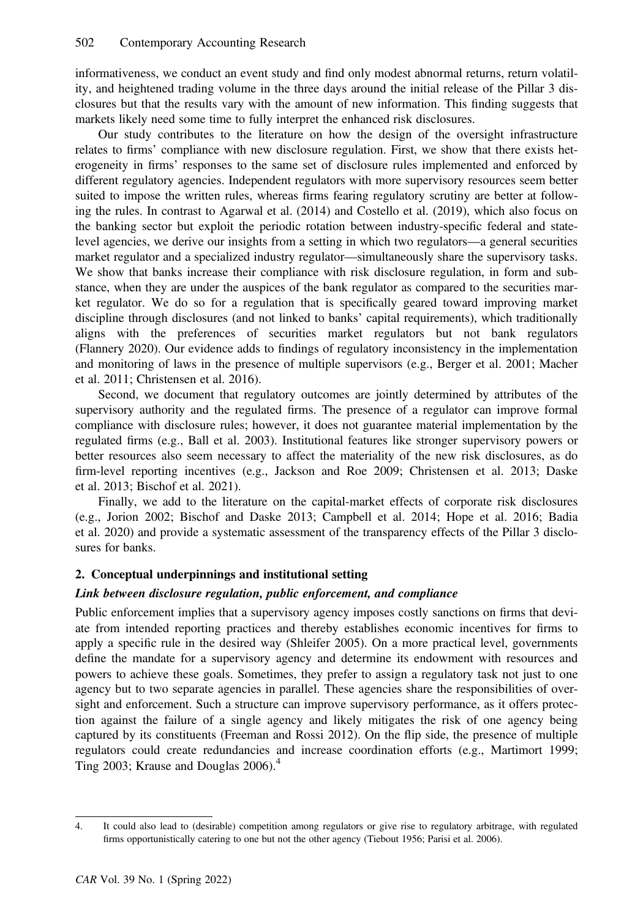informativeness, we conduct an event study and find only modest abnormal returns, return volatility, and heightened trading volume in the three days around the initial release of the Pillar 3 disclosures but that the results vary with the amount of new information. This finding suggests that markets likely need some time to fully interpret the enhanced risk disclosures.

Our study contributes to the literature on how the design of the oversight infrastructure relates to firms' compliance with new disclosure regulation. First, we show that there exists heterogeneity in firms' responses to the same set of disclosure rules implemented and enforced by different regulatory agencies. Independent regulators with more supervisory resources seem better suited to impose the written rules, whereas firms fearing regulatory scrutiny are better at following the rules. In contrast to Agarwal et al. (2014) and Costello et al. (2019), which also focus on the banking sector but exploit the periodic rotation between industry-specific federal and statelevel agencies, we derive our insights from a setting in which two regulators—a general securities market regulator and a specialized industry regulator—simultaneously share the supervisory tasks. We show that banks increase their compliance with risk disclosure regulation, in form and substance, when they are under the auspices of the bank regulator as compared to the securities market regulator. We do so for a regulation that is specifically geared toward improving market discipline through disclosures (and not linked to banks' capital requirements), which traditionally aligns with the preferences of securities market regulators but not bank regulators (Flannery 2020). Our evidence adds to findings of regulatory inconsistency in the implementation and monitoring of laws in the presence of multiple supervisors (e.g., Berger et al. 2001; Macher et al. 2011; Christensen et al. 2016).

Second, we document that regulatory outcomes are jointly determined by attributes of the supervisory authority and the regulated firms. The presence of a regulator can improve formal compliance with disclosure rules; however, it does not guarantee material implementation by the regulated firms (e.g., Ball et al. 2003). Institutional features like stronger supervisory powers or better resources also seem necessary to affect the materiality of the new risk disclosures, as do firm-level reporting incentives (e.g., Jackson and Roe 2009; Christensen et al. 2013; Daske et al. 2013; Bischof et al. 2021).

Finally, we add to the literature on the capital-market effects of corporate risk disclosures (e.g., Jorion 2002; Bischof and Daske 2013; Campbell et al. 2014; Hope et al. 2016; Badia et al. 2020) and provide a systematic assessment of the transparency effects of the Pillar 3 disclosures for banks.

# 2. Conceptual underpinnings and institutional setting

# Link between disclosure regulation, public enforcement, and compliance

Public enforcement implies that a supervisory agency imposes costly sanctions on firms that deviate from intended reporting practices and thereby establishes economic incentives for firms to apply a specific rule in the desired way (Shleifer 2005). On a more practical level, governments define the mandate for a supervisory agency and determine its endowment with resources and powers to achieve these goals. Sometimes, they prefer to assign a regulatory task not just to one agency but to two separate agencies in parallel. These agencies share the responsibilities of oversight and enforcement. Such a structure can improve supervisory performance, as it offers protection against the failure of a single agency and likely mitigates the risk of one agency being captured by its constituents (Freeman and Rossi 2012). On the flip side, the presence of multiple regulators could create redundancies and increase coordination efforts (e.g., Martimort 1999; Ting 2003; Krause and Douglas 2006).<sup>4</sup>

<sup>4.</sup> It could also lead to (desirable) competition among regulators or give rise to regulatory arbitrage, with regulated firms opportunistically catering to one but not the other agency (Tiebout 1956; Parisi et al. 2006).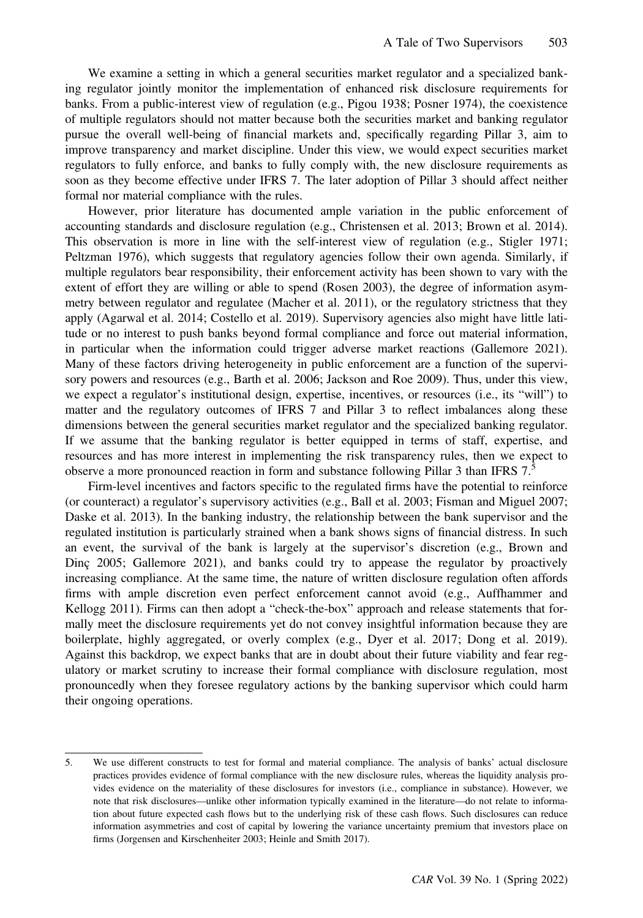We examine a setting in which a general securities market regulator and a specialized banking regulator jointly monitor the implementation of enhanced risk disclosure requirements for banks. From a public-interest view of regulation (e.g., Pigou 1938; Posner 1974), the coexistence of multiple regulators should not matter because both the securities market and banking regulator pursue the overall well-being of financial markets and, specifically regarding Pillar 3, aim to improve transparency and market discipline. Under this view, we would expect securities market regulators to fully enforce, and banks to fully comply with, the new disclosure requirements as soon as they become effective under IFRS 7. The later adoption of Pillar 3 should affect neither formal nor material compliance with the rules.

However, prior literature has documented ample variation in the public enforcement of accounting standards and disclosure regulation (e.g., Christensen et al. 2013; Brown et al. 2014). This observation is more in line with the self-interest view of regulation (e.g., Stigler 1971; Peltzman 1976), which suggests that regulatory agencies follow their own agenda. Similarly, if multiple regulators bear responsibility, their enforcement activity has been shown to vary with the extent of effort they are willing or able to spend (Rosen 2003), the degree of information asymmetry between regulator and regulatee (Macher et al. 2011), or the regulatory strictness that they apply (Agarwal et al. 2014; Costello et al. 2019). Supervisory agencies also might have little latitude or no interest to push banks beyond formal compliance and force out material information, in particular when the information could trigger adverse market reactions (Gallemore 2021). Many of these factors driving heterogeneity in public enforcement are a function of the supervisory powers and resources (e.g., Barth et al. 2006; Jackson and Roe 2009). Thus, under this view, we expect a regulator's institutional design, expertise, incentives, or resources (i.e., its "will") to matter and the regulatory outcomes of IFRS 7 and Pillar 3 to reflect imbalances along these dimensions between the general securities market regulator and the specialized banking regulator. If we assume that the banking regulator is better equipped in terms of staff, expertise, and resources and has more interest in implementing the risk transparency rules, then we expect to observe a more pronounced reaction in form and substance following Pillar 3 than IFRS 7.5

Firm-level incentives and factors specific to the regulated firms have the potential to reinforce (or counteract) a regulator's supervisory activities (e.g., Ball et al. 2003; Fisman and Miguel 2007; Daske et al. 2013). In the banking industry, the relationship between the bank supervisor and the regulated institution is particularly strained when a bank shows signs of financial distress. In such an event, the survival of the bank is largely at the supervisor's discretion (e.g., Brown and Dinç 2005; Gallemore 2021), and banks could try to appease the regulator by proactively increasing compliance. At the same time, the nature of written disclosure regulation often affords firms with ample discretion even perfect enforcement cannot avoid (e.g., Auffhammer and Kellogg 2011). Firms can then adopt a "check-the-box" approach and release statements that formally meet the disclosure requirements yet do not convey insightful information because they are boilerplate, highly aggregated, or overly complex (e.g., Dyer et al. 2017; Dong et al. 2019). Against this backdrop, we expect banks that are in doubt about their future viability and fear regulatory or market scrutiny to increase their formal compliance with disclosure regulation, most pronouncedly when they foresee regulatory actions by the banking supervisor which could harm their ongoing operations.

<sup>5.</sup> We use different constructs to test for formal and material compliance. The analysis of banks' actual disclosure practices provides evidence of formal compliance with the new disclosure rules, whereas the liquidity analysis provides evidence on the materiality of these disclosures for investors (i.e., compliance in substance). However, we note that risk disclosures—unlike other information typically examined in the literature—do not relate to information about future expected cash flows but to the underlying risk of these cash flows. Such disclosures can reduce information asymmetries and cost of capital by lowering the variance uncertainty premium that investors place on firms (Jorgensen and Kirschenheiter 2003; Heinle and Smith 2017).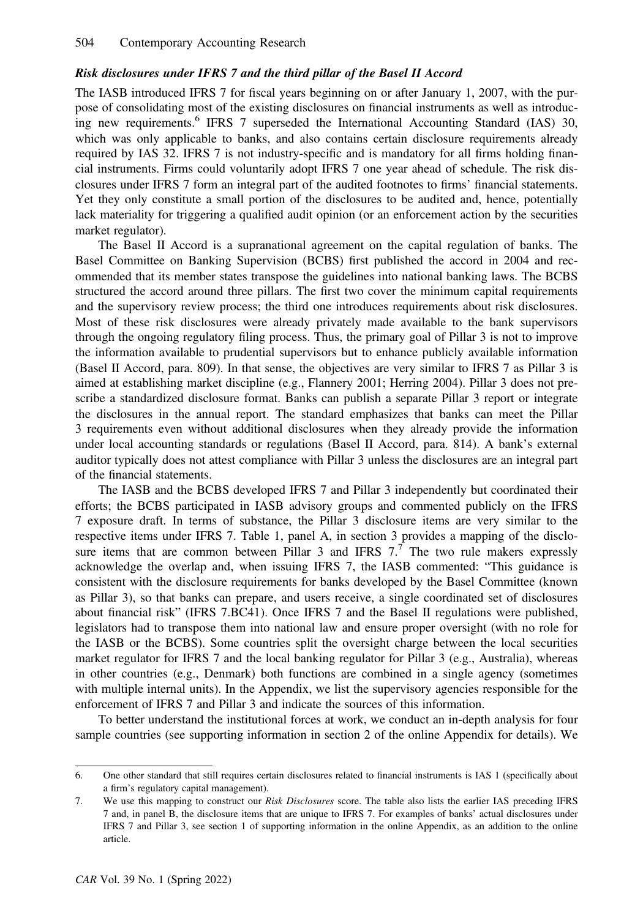# Risk disclosures under IFRS 7 and the third pillar of the Basel II Accord

The IASB introduced IFRS 7 for fiscal years beginning on or after January 1, 2007, with the purpose of consolidating most of the existing disclosures on financial instruments as well as introducing new requirements.<sup>6</sup> IFRS 7 superseded the International Accounting Standard (IAS) 30, which was only applicable to banks, and also contains certain disclosure requirements already required by IAS 32. IFRS 7 is not industry-specific and is mandatory for all firms holding financial instruments. Firms could voluntarily adopt IFRS 7 one year ahead of schedule. The risk disclosures under IFRS 7 form an integral part of the audited footnotes to firms' financial statements. Yet they only constitute a small portion of the disclosures to be audited and, hence, potentially lack materiality for triggering a qualified audit opinion (or an enforcement action by the securities market regulator).

The Basel II Accord is a supranational agreement on the capital regulation of banks. The Basel Committee on Banking Supervision (BCBS) first published the accord in 2004 and recommended that its member states transpose the guidelines into national banking laws. The BCBS structured the accord around three pillars. The first two cover the minimum capital requirements and the supervisory review process; the third one introduces requirements about risk disclosures. Most of these risk disclosures were already privately made available to the bank supervisors through the ongoing regulatory filing process. Thus, the primary goal of Pillar 3 is not to improve the information available to prudential supervisors but to enhance publicly available information (Basel II Accord, para. 809). In that sense, the objectives are very similar to IFRS 7 as Pillar 3 is aimed at establishing market discipline (e.g., Flannery 2001; Herring 2004). Pillar 3 does not prescribe a standardized disclosure format. Banks can publish a separate Pillar 3 report or integrate the disclosures in the annual report. The standard emphasizes that banks can meet the Pillar 3 requirements even without additional disclosures when they already provide the information under local accounting standards or regulations (Basel II Accord, para. 814). A bank's external auditor typically does not attest compliance with Pillar 3 unless the disclosures are an integral part of the financial statements.

The IASB and the BCBS developed IFRS 7 and Pillar 3 independently but coordinated their efforts; the BCBS participated in IASB advisory groups and commented publicly on the IFRS 7 exposure draft. In terms of substance, the Pillar 3 disclosure items are very similar to the respective items under IFRS 7. Table 1, panel A, in section 3 provides a mapping of the disclosure items that are common between Pillar 3 and IFRS  $7<sup>7</sup>$ . The two rule makers expressly acknowledge the overlap and, when issuing IFRS 7, the IASB commented: "This guidance is consistent with the disclosure requirements for banks developed by the Basel Committee (known as Pillar 3), so that banks can prepare, and users receive, a single coordinated set of disclosures about financial risk" (IFRS 7.BC41). Once IFRS 7 and the Basel II regulations were published, legislators had to transpose them into national law and ensure proper oversight (with no role for the IASB or the BCBS). Some countries split the oversight charge between the local securities market regulator for IFRS 7 and the local banking regulator for Pillar 3 (e.g., Australia), whereas in other countries (e.g., Denmark) both functions are combined in a single agency (sometimes with multiple internal units). In the Appendix, we list the supervisory agencies responsible for the enforcement of IFRS 7 and Pillar 3 and indicate the sources of this information.

To better understand the institutional forces at work, we conduct an in-depth analysis for four sample countries (see supporting information in section 2 of the online Appendix for details). We

<sup>6.</sup> One other standard that still requires certain disclosures related to financial instruments is IAS 1 (specifically about a firm's regulatory capital management).

<sup>7.</sup> We use this mapping to construct our Risk Disclosures score. The table also lists the earlier IAS preceding IFRS 7 and, in panel B, the disclosure items that are unique to IFRS 7. For examples of banks' actual disclosures under IFRS 7 and Pillar 3, see section 1 of supporting information in the online Appendix, as an addition to the online article.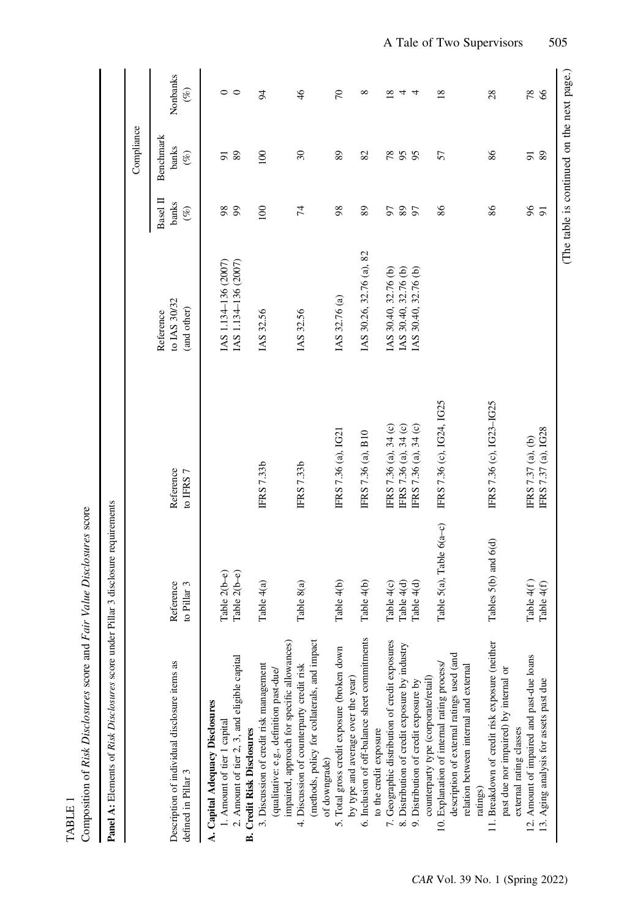| $\ddot{\phantom{0}}$ | "" score and Fair v.<br>Risk Discl<br>;<br>; | <b>C</b><br>.<br>ب |
|----------------------|----------------------------------------------|--------------------|
|                      |                                              |                    |

| ------------<br>ı                                                             |
|-------------------------------------------------------------------------------|
|                                                                               |
| I                                                                             |
| i                                                                             |
| ┊                                                                             |
| i<br>$\frac{1}{2}$                                                            |
|                                                                               |
| í                                                                             |
| l<br>j                                                                        |
|                                                                               |
|                                                                               |
| ֖֖֖֖֧ׅׅׅ֖֧֖֧֖֧֪֪ׅ֧֚֚֚֚֚֚֚֚֚֚֚֚֚֚֚֚֚֚֚֚֚֚֚֚֚֚֚֚֚֚֚֬֝֝֬֓֝֓֞֝֬֝֓֞<br>Ï<br>ſ<br>í |

|                                                                                         |                          |                           |                                          |                             | Compliance                                 |                    |
|-----------------------------------------------------------------------------------------|--------------------------|---------------------------|------------------------------------------|-----------------------------|--------------------------------------------|--------------------|
| Description of individual disclosure items as<br>defined in Pillar 3                    | Reference<br>to Pillar 3 | Reference<br>to IFRS 7    | to IAS 30/32<br>(and other)<br>Reference | Basel II<br>banks<br>$($ %) | Benchmark<br>banks<br>$(\%)$               | Nonbanks<br>$(\%)$ |
| A. Capital Adequacy Disclosures                                                         |                          |                           |                                          |                             |                                            |                    |
| 1. Amount of tier 1 capital                                                             | Table $2(b-e)$           |                           | IAS 1.134-136 (2007)                     | 98                          | 5                                          | 0                  |
| 2. Amount of tier 2, 3, and eligible capital                                            | Table $2(b-e)$           |                           | IAS 1.134-136 (2007)                     | 99                          | 89                                         | $\circ$            |
| <b>B. Credit Risk Disclosures</b>                                                       |                          |                           |                                          |                             |                                            |                    |
| 3. Discussion of credit risk management                                                 | Table 4(a)               | <b>IFRS 7.33b</b>         | IAS 32.56                                | 100                         | 100                                        | $\overline{5}$     |
| impaired, approach for specific allowances)<br>(qualitative: e.g., definition past-due/ |                          |                           |                                          |                             |                                            |                    |
| 4. Discussion of counterparty credit risk                                               | Table 8(a)               | <b>IFRS 7.33b</b>         | IAS 32.56                                | $\overline{7}$              | $\mathfrak{L}$                             | $\frac{4}{6}$      |
| (methods, policy for collaterals, and impact<br>of downgrade)                           |                          |                           |                                          |                             |                                            |                    |
| 5. Total gross credit exposure (broken down                                             | Table 4(b)               | IFRS 7.36 (a), IG21       | IAS 32.76 (a)                            | 98                          | 89                                         | $\sqrt{2}$         |
| by type and average over the year)                                                      |                          |                           |                                          |                             |                                            |                    |
| 6. Inclusion of off-balance sheet commitments                                           | Table 4(b)               | IFRS 7.36 (a), B10        | IAS 30.26, 32.76 (a), 82                 | 89                          | 82                                         | ${}^{\circ}$       |
| to the credit exposure                                                                  |                          |                           |                                          |                             |                                            |                    |
| 7. Geographic distribution of credit exposures                                          | Table 4(c)               | IFRS 7.36 (a), 34 (c)     | IAS 30.40, 32.76 (b)                     | 57                          | 78                                         | ∞                  |
| 8. Distribution of credit exposure by industry                                          | Table 4(d)               | IFRS 7.36 (a), 34 (c)     | IAS 30.40, 32.76 (b)                     | 89                          | 95                                         | 4                  |
| 9. Distribution of credit exposure by                                                   | Table 4(d)               | IFRS 7.36 (a), 34 (c)     | IAS 30.40, 32.76 (b)                     | 97                          |                                            | 4                  |
| counterparty type (corporate/retail)                                                    |                          |                           |                                          |                             |                                            |                    |
| 10. Explanation of internal rating process/                                             | Table 5(a), Table 6(a-c) | IFRS 7.36 (c), IG24, IG25 |                                          | 86                          | 57                                         | $\overline{18}$    |
| description of external ratings used (and<br>relation between internal and external     |                          |                           |                                          |                             |                                            |                    |
| ratings)                                                                                |                          |                           |                                          |                             |                                            |                    |
| 11. Breakdown of credit risk exposure (neither                                          | Tables 5(b) and 6(d)     | IFRS 7.36 (c), IG23-IG25  |                                          | 86                          | 86                                         | 28                 |
| past due nor impaired) by internal or                                                   |                          |                           |                                          |                             |                                            |                    |
| external rating classes                                                                 |                          |                           |                                          |                             |                                            |                    |
| 12. Amount of impaired and past-due loans                                               | Table $4(f)$             | IFRS 7.37 (a), (b)        |                                          | 96                          | 51                                         | 78                 |
| 13. Aging analysis for assets past due                                                  | Table 4(f)               | IFRS 7.37 (a), IG28       |                                          | $\overline{5}$              | 89                                         | $\delta$           |
|                                                                                         |                          |                           |                                          |                             | (The table is continued on the next page.) |                    |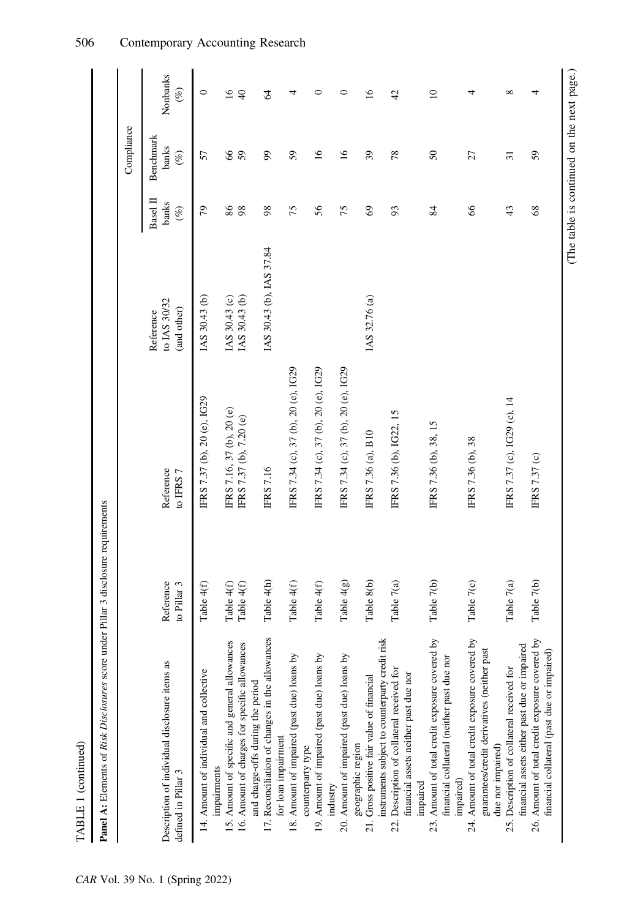| Panel A: Elements of Risk Disclosures score under Pillar 3 disclosure requirements                                                        |                          |                                                      |                                          |                             |                              |                    |
|-------------------------------------------------------------------------------------------------------------------------------------------|--------------------------|------------------------------------------------------|------------------------------------------|-----------------------------|------------------------------|--------------------|
|                                                                                                                                           |                          |                                                      |                                          |                             | Compliance                   |                    |
| Description of individual disclosure items as<br>defined in Pillar 3                                                                      | Reference<br>to Pillar 3 | Reference<br>to IFRS 7                               | to IAS 30/32<br>(and other)<br>Reference | Basel II<br>banks<br>$(\%)$ | Benchmark<br>banks<br>$(\%)$ | Nonbanks<br>$(\%)$ |
| 14. Amount of individual and collective                                                                                                   | Table 4(f)               | IFRS 7.37 (b), 20 (e), IG29                          | IAS 30.43 (b)                            | 79                          | 57                           | 0                  |
| 15. Amount of specific and general allowances<br>16. Amount of charges for specific allowances<br>impairments                             | Table 4(f)<br>Table 4(f) | IFRS 7.16, 37 (b), 20 (e)<br>IFRS 7.37 (b), 7.20 (e) | IAS 30.43 (b)<br>IAS 30.43 (c)           | 86<br>98                    | 8<br>59                      | 16<br>$\Theta$     |
| 17. Reconciliation of changes in the allowances<br>and charge-offs during the period                                                      | Table 4(h)               | <b>IFRS 7.16</b>                                     | IAS 30.43 (b), IAS 37.84                 | 98                          | 99                           | $\mathcal{L}$      |
| 18. Amount of impaired (past due) loans by<br>for loan impairment                                                                         | Table 4(f)               | IFRS 7.34 (c), 37 (b), 20 (e), IG29                  |                                          | 75                          | 59                           | 4                  |
| 19. Amount of impaired (past due) loans by<br>counterparty type                                                                           | Table 4(f)               | IFRS 7.34 (c), 37 (b), 20 (e), IG29                  |                                          | 56                          | $\overline{16}$              | 0                  |
| 20. Amount of impaired (past due) loans by<br>industry                                                                                    | Table $4(g)$             | IFRS 7.34 (c), 37 (b), 20 (e), IG29                  |                                          | 75                          | $\overline{16}$              | 0                  |
| Gross positive fair value of financial<br>geographic region<br>21.                                                                        | Table 8(b)               | IFRS 7.36 (a), B10                                   | IAS 32.76 (a)                            | 69                          | 39                           | $\overline{16}$    |
| instruments subject to counterparty credit risk<br>Description of collateral received for<br>financial assets neither past due nor<br>22. | Table 7(a)               | IFRS 7.36 (b), IG22, 15                              |                                          | 93                          | 78                           | $\frac{1}{4}$      |
| Amount of total credit exposure covered by<br>financial collateral (neither past due nor<br>impaired)<br>impaired<br>23.                  | Table 7(b)               | IFRS 7.36 (b), 38, 15                                |                                          | 84                          | $\boldsymbol{\mathcal{S}}$   | $\overline{10}$    |
| 24. Amount of total credit exposure covered by<br>guarantees/credit derivatives (neither past<br>due nor impaired)                        | Table 7(c)               | IFRS 7.36 (b), 38                                    |                                          | 66                          | 27                           | 4                  |
| financial assets either past due or impaired<br>25. Description of collateral received for                                                | Table 7(a)               | IFRS 7.37 (c), IG29 (c), 14                          |                                          | 43                          | $\overline{31}$              | ${}^{\circ}$       |
| 26. Amount of total credit exposure covered by<br>financial collateral (past due or impaired)                                             | Table 7(b)               | IFRS 7.37 (c)                                        |                                          | 68                          | 59                           | 4                  |

(The table is continued on the next page.)

TABLE 1 (continued)

TABLE 1 (continued)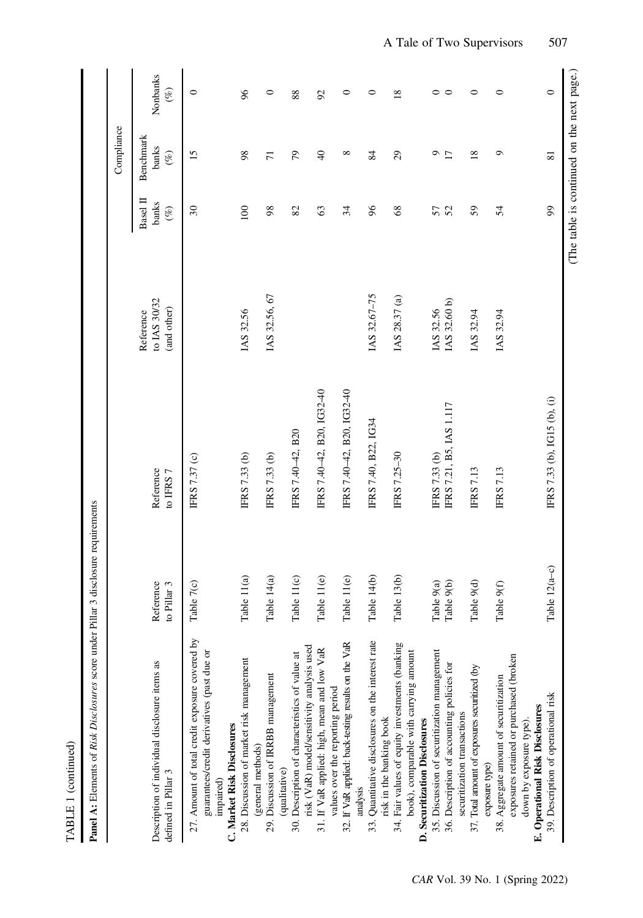| ī |
|---|

| Contractor of<br>$-2$ dinate             |
|------------------------------------------|
|                                          |
|                                          |
| uras soore under Dille<br>$\frac{1}{2}$  |
|                                          |
| امہ:A Diale                              |
|                                          |
|                                          |
| $\frac{1}{2}$<br>j<br>i<br>$\frac{1}{2}$ |
| :                                        |
| ר<br>ג                                   |
| j                                        |

|                                                                                                                                         |                          |                              |                                          |                                            | Compliance                   |                    |
|-----------------------------------------------------------------------------------------------------------------------------------------|--------------------------|------------------------------|------------------------------------------|--------------------------------------------|------------------------------|--------------------|
| Description of individual disclosure items as<br>defined in Pillar 3                                                                    | Reference<br>to Pillar 3 | Reference<br>to IFRS 7       | to IAS 30/32<br>(and other)<br>Reference | Basel II<br>banks<br>$($ %)                | Benchmark<br>banks<br>$(\%)$ | Nonbanks<br>$($ %) |
| 27. Amount of total credit exposure covered by<br>guarantees/credit derivatives (past due or<br>C. Market Risk Disclosures<br>impaired) | Table 7(c)               | IFRS 7.37 (c)                |                                          | $\overline{\mathcal{E}}$                   | 15                           | $\circ$            |
| 28. Discussion of market risk management                                                                                                | Table 11(a)              | IFRS 7.33 (b)                | IAS 32.56                                | $\overline{0}$                             | $\boldsymbol{98}$            | $\delta$           |
| 29. Discussion of IRRBB management<br>(general methods)                                                                                 | Table 14(a)              | IFRS 7.33 (b)                | IAS 32.56, 67                            | 98                                         | $\overline{7}$               | $\circ$            |
| risk (VaR) model/sensitivity analysis used<br>30. Description of characteristics of value at<br>(qualitative)                           | Table 11(c)              | IFRS 7.40-42, B20            |                                          | 82                                         | 56                           | 88                 |
| 31. If VaR applied: high, mean and low VaR                                                                                              | Table 11(e)              | IFRS 7.40-42, B20, IG32-40   |                                          | 63                                         | $\Theta$                     | $\mathcal{S}$      |
| 32. If VaR applied: back-testing results on the VaR<br>values over the reporting period                                                 | Table 11(e)              | IFRS 7.40-42, B20, IG32-40   |                                          | 34                                         | $^{\circ}$                   | $\circ$            |
| 33. Quantitative disclosures on the interest rate<br>analysis                                                                           | Table 14(b)              | IFRS 7.40, B22, IG34         | IAS 32.67-75                             | 96                                         | 84                           | 0                  |
| 34. Fair values of equity investments (banking<br>book), comparable with carrying amount<br>risk in the banking book                    | Table 13(b)              | <b>IFRS 7.25-30</b>          | IAS 28.37 (a)                            | 68                                         | 29                           | $\overline{18}$    |
| 35. Discussion of securitization management<br>D. Securitization Disclosures                                                            | Table 9(a)               | FRS 7.33 (b)                 | IAS 32.56                                | 57                                         | ా                            | $\circ$            |
| 36. Description of accounting policies for<br>securitization transactions                                                               | Table 9(b)               | IFRS 7.21, B5, IAS 1.117     | IAS 32.60 b)                             | 52                                         | $\overline{17}$              | $\circ$            |
| 37. Total amount of exposures securitized (by                                                                                           | Table 9(d)               | <b>FRS 7.13</b>              | IAS 32.94                                | 59                                         | $\overline{18}$              | 0                  |
| exposures retained or purchased (broken<br>38. Aggregate amount of securitization<br>exposure type)                                     | Table 9(f)               | <b>IFRS 7.13</b>             | IAS 32.94                                | 54                                         | ٥                            | $\circ$            |
| 39. Description of operational risk<br>E. Operational Risk Disclosures<br>down by exposure type)                                        | Table $12(a-c)$          | IFRS 7.33 (b), IG15 (b), (i) |                                          | $\mathfrak{g}$                             | $\overline{81}$              | $\circ$            |
|                                                                                                                                         |                          |                              |                                          | (The table is continued on the next page.) |                              |                    |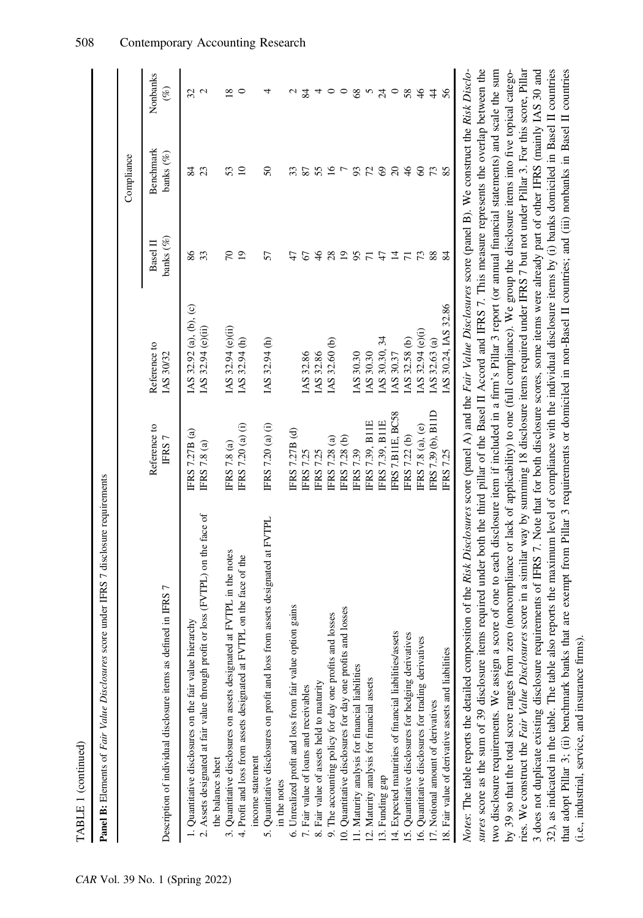| ١ |
|---|
|   |
| ٦ |

| ;<br> <br> }                                                                               |  |
|--------------------------------------------------------------------------------------------|--|
|                                                                                            |  |
| Ì                                                                                          |  |
| $\ddot{\phantom{0}}$                                                                       |  |
|                                                                                            |  |
| .<br>.<br>.<br>.                                                                           |  |
| j                                                                                          |  |
| ֧֧֧֧ׅ֧֚֚֚֚֚֚֚֚֚֚֚֚֚֚֚֚֚֚֚֚֚֚֚֚֚֚֚֚֚֚֓֡֝֓֜֝<br>֧֧֧֚֚֚֚֚֚֚֚֚֚֚֚֚֚֚֚֚֚֚֚֚֚֚֚֚֚֚֚֚֚֚֚֚֝֝֓<br>I |  |

|                                                                                                                                                                                                                                                                                                                                                       |                                                 |                                              |                                    | Compliance                |                    |
|-------------------------------------------------------------------------------------------------------------------------------------------------------------------------------------------------------------------------------------------------------------------------------------------------------------------------------------------------------|-------------------------------------------------|----------------------------------------------|------------------------------------|---------------------------|--------------------|
| Description of individual disclosure items as defined in IFRS 7                                                                                                                                                                                                                                                                                       | Reference to<br>IFRS <sub>7</sub>               | Reference to<br>IAS 30/32                    | banks $(\%)$<br>Basel II           | Benchmark<br>banks $(\%)$ | Nonbanks<br>$(\%)$ |
| or loss (FVTPL) on the face of<br>1. Quantitative disclosures on the fair value hierarchy<br>2. Assets designated at fair value through profit                                                                                                                                                                                                        | FRS 7.27B (a)<br>IFRS 7.8 (a)                   | IAS 32.92 (a), (b), (c)<br>IAS 32.94 (e)(ii) | 86<br>33                           | 23<br>34                  | 32<br>2            |
| at FVTPL in the notes<br>4. Profit and loss from assets designated at FVTPL on the face of the<br>3. Quantitative disclosures on assets designated<br>the balance sheet                                                                                                                                                                               | IFRS 7.20 (a) (i)<br>IFRS 7.8 (a)               | IAS 32.94 (e)(ii)<br>IAS 32.94 (h)           | $\overline{70}$<br>$\overline{19}$ | 53<br>$\Box$              | $\infty$<br>0      |
| 5. Quantitative disclosures on profit and loss from assets designated at FVTPL<br>income statement                                                                                                                                                                                                                                                    | IFRS 7.20 (a) (i)                               | IAS 32.94 (h)                                | 57                                 | $\mathcal{S}$             |                    |
| 6. Unrealized profit and loss from fair value option gains<br>in the notes                                                                                                                                                                                                                                                                            | FRS 7.27B (d)                                   |                                              | 47                                 | 33                        |                    |
| 8. Fair value of assets held to maturity<br>7. Fair value of loans and receivables                                                                                                                                                                                                                                                                    | FRS 7.25<br><b>FRS 7.25</b>                     | IAS 32.86<br>IAS 32.86                       | $\frac{4}{6}$<br>2                 | 55<br>87                  | 84                 |
| 9. The accounting policy for day one profits and losses                                                                                                                                                                                                                                                                                               | FRS 7.28 (a)                                    | IAS 32.60 (b)                                | 28                                 | $\overline{6}$            |                    |
| 10. Quantitative disclosures for day one profits and losses                                                                                                                                                                                                                                                                                           | <b>FRS 7.28 (b)</b>                             |                                              | $\overline{9}$                     |                           |                    |
| 11. Maturity analysis for financial liabilities                                                                                                                                                                                                                                                                                                       | <b>FRS 7.39</b>                                 | IAS 30.30                                    | 95                                 | 93                        | 8 <sup>o</sup>     |
| 12. Maturity analysis for financial assets                                                                                                                                                                                                                                                                                                            | <b>FRS 7.39, B11E</b><br><b>IFRS 7.39, B11E</b> | IAS 30.30, 34<br>IAS 30.30                   | 47<br>$\overline{r}$               | $\mathcal{L}$             |                    |
| 14. Expected maturities of financial liabilities/assets<br>13. Funding gap                                                                                                                                                                                                                                                                            | FRS7B11E, BC58                                  | IAS 30.37                                    | $\overline{1}$                     | $\mathcal{S}$<br>$\infty$ | $\overline{24}$    |
| 15. Quantitative disclosures for hedging derivatives                                                                                                                                                                                                                                                                                                  | IFRS 7.22 (b)                                   | IAS 32.58 (b)                                | $\overline{7}$                     | $\frac{4}{5}$             | 58                 |
| 16. Quantitative disclosures for trading derivatives                                                                                                                                                                                                                                                                                                  | FRS 7.8 (a), (e)                                | IAS 32.94 (e)(i)                             | 73                                 | $\infty$                  | $\frac{4}{6}$      |
| 17. Notional amount of derivatives                                                                                                                                                                                                                                                                                                                    | FRS 7.39 (b), B11D                              | IAS 32.63 (a)                                | 88                                 | $\mathcal{L}$             | $\overline{4}$     |
| Fair value of derivative assets and liabilities<br>$\overline{8}$                                                                                                                                                                                                                                                                                     | FRS 7.25                                        | IAS 30.24, IAS 32.86                         | 84                                 | 85                        | 56                 |
| sures score as the sum of 39 disclosure items required under both the third pillar of the Basel II Accord and IFRS 7. This measure represents the overlap between the<br>Notes: The table reports the detailed composition of the Risk Disclosures score (panel A) and the Fair Value Disclosures score (panel B). We construct the Risk Disclo-      |                                                 |                                              |                                    |                           |                    |
| two disclosure requirements. We assign a score of one to each disclosure item if included in a firm's Pillar 3 report (or annual financial statements) and scale the sum                                                                                                                                                                              |                                                 |                                              |                                    |                           |                    |
| ries. We construct the Fair Value Disclosures score in a similar way by summing 18 disclosure items required under IFRS 7 but not under Pillar 3. For this score, Pillar<br>by 39 so that the total score ranges from zero (noncompliance or lack of applicability) to one (full compliance). We group the disclosure items into five topical catego- |                                                 |                                              |                                    |                           |                    |

ries. We construct the Fair Value Disclosures score in a similar way by summing 18 disclosure items required under IFRS 7 but not under Pillar 3. For this score, Pillar 3 does not duplicate existing disclosure requirements of IFRS 7. Note that for both disclosure scores, some items were already part of other IFRS (mainly IAS 30 and 32), as indicated in the table. The table also reports the maximum level of compliance with the individual disclosure items by (i) banks domiciled in Basel II countries that adopt Pillar 3; (ii) benchmark banks that are exempt from Pillar 3 requirements or domiciled in non-Basel II countries; and (iii) nonbanks in Basel II countries

3 does not duplicate existing disclosure requirements of IFRS 7. Note that for both disclosure scores, some items were already part of other IFRS (mainly IAS 30 and

32), as indicated in the table. The table also reports the maximum level of compliance with the individual disclosure items by (i) banks domiciled in Basel II countries that adopt Pillar 3; (ii) benchmark banks that are exempt from Pillar 3 requirements or domiciled in non-Basel II countries; and (iii) nonbanks in Basel II countries

(i.e., industrial, service, and insurance firms).

(i.e., industrial, service, and insurance firms).

ï

 $\mathbf{I}$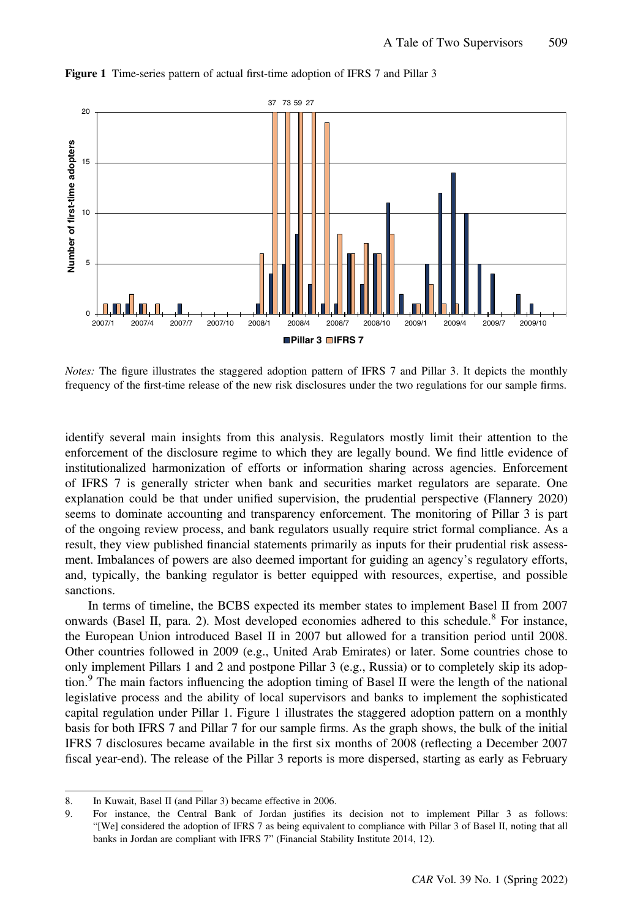

#### Figure 1 Time-series pattern of actual first-time adoption of IFRS 7 and Pillar 3

Notes: The figure illustrates the staggered adoption pattern of IFRS 7 and Pillar 3. It depicts the monthly frequency of the first-time release of the new risk disclosures under the two regulations for our sample firms.

identify several main insights from this analysis. Regulators mostly limit their attention to the enforcement of the disclosure regime to which they are legally bound. We find little evidence of institutionalized harmonization of efforts or information sharing across agencies. Enforcement of IFRS 7 is generally stricter when bank and securities market regulators are separate. One explanation could be that under unified supervision, the prudential perspective (Flannery 2020) seems to dominate accounting and transparency enforcement. The monitoring of Pillar 3 is part of the ongoing review process, and bank regulators usually require strict formal compliance. As a result, they view published financial statements primarily as inputs for their prudential risk assessment. Imbalances of powers are also deemed important for guiding an agency's regulatory efforts, and, typically, the banking regulator is better equipped with resources, expertise, and possible sanctions.

In terms of timeline, the BCBS expected its member states to implement Basel II from 2007 onwards (Basel II, para. 2). Most developed economies adhered to this schedule.<sup>8</sup> For instance, the European Union introduced Basel II in 2007 but allowed for a transition period until 2008. Other countries followed in 2009 (e.g., United Arab Emirates) or later. Some countries chose to only implement Pillars 1 and 2 and postpone Pillar 3 (e.g., Russia) or to completely skip its adoption. $\frac{9}{9}$  The main factors influencing the adoption timing of Basel II were the length of the national legislative process and the ability of local supervisors and banks to implement the sophisticated capital regulation under Pillar 1. Figure 1 illustrates the staggered adoption pattern on a monthly basis for both IFRS 7 and Pillar 7 for our sample firms. As the graph shows, the bulk of the initial IFRS 7 disclosures became available in the first six months of 2008 (reflecting a December 2007 fiscal year-end). The release of the Pillar 3 reports is more dispersed, starting as early as February

<sup>8.</sup> In Kuwait, Basel II (and Pillar 3) became effective in 2006.

<sup>9.</sup> For instance, the Central Bank of Jordan justifies its decision not to implement Pillar 3 as follows: "[We] considered the adoption of IFRS 7 as being equivalent to compliance with Pillar 3 of Basel II, noting that all banks in Jordan are compliant with IFRS 7" (Financial Stability Institute 2014, 12).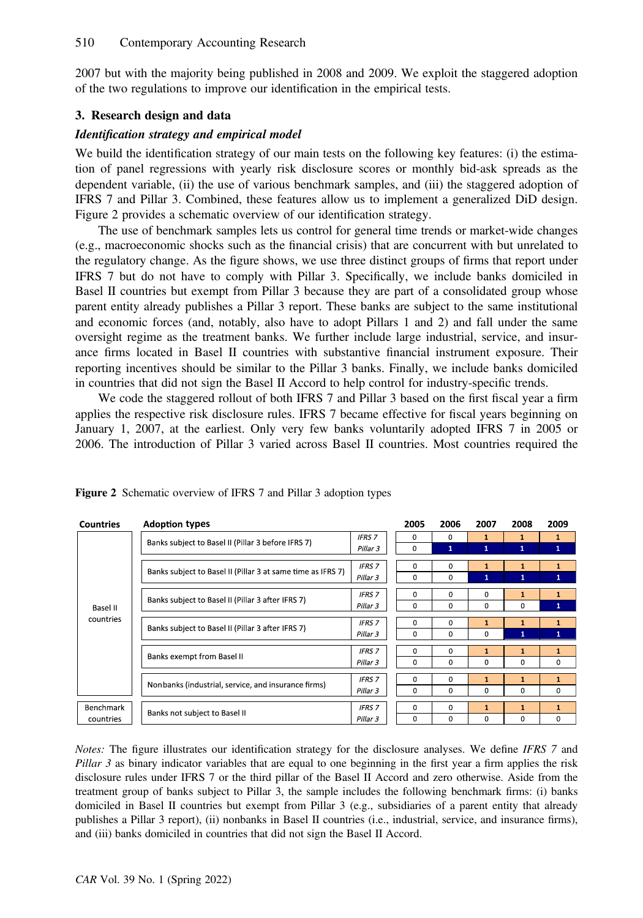2007 but with the majority being published in 2008 and 2009. We exploit the staggered adoption of the two regulations to improve our identification in the empirical tests.

# 3. Research design and data

# Identification strategy and empirical model

We build the identification strategy of our main tests on the following key features: (i) the estimation of panel regressions with yearly risk disclosure scores or monthly bid-ask spreads as the dependent variable, (ii) the use of various benchmark samples, and (iii) the staggered adoption of IFRS 7 and Pillar 3. Combined, these features allow us to implement a generalized DiD design. Figure 2 provides a schematic overview of our identification strategy.

The use of benchmark samples lets us control for general time trends or market-wide changes (e.g., macroeconomic shocks such as the financial crisis) that are concurrent with but unrelated to the regulatory change. As the figure shows, we use three distinct groups of firms that report under IFRS 7 but do not have to comply with Pillar 3. Specifically, we include banks domiciled in Basel II countries but exempt from Pillar 3 because they are part of a consolidated group whose parent entity already publishes a Pillar 3 report. These banks are subject to the same institutional and economic forces (and, notably, also have to adopt Pillars 1 and 2) and fall under the same oversight regime as the treatment banks. We further include large industrial, service, and insurance firms located in Basel II countries with substantive financial instrument exposure. Their reporting incentives should be similar to the Pillar 3 banks. Finally, we include banks domiciled in countries that did not sign the Basel II Accord to help control for industry-specific trends.

We code the staggered rollout of both IFRS 7 and Pillar 3 based on the first fiscal year a firm applies the respective risk disclosure rules. IFRS 7 became effective for fiscal years beginning on January 1, 2007, at the earliest. Only very few banks voluntarily adopted IFRS 7 in 2005 or 2006. The introduction of Pillar 3 varied across Basel II countries. Most countries required the

| <b>Countries</b>      | <b>Adoption types</b>                                       |               | 2005        | 2006         | 2007         | 2008         | 2009         |
|-----------------------|-------------------------------------------------------------|---------------|-------------|--------------|--------------|--------------|--------------|
|                       | Banks subject to Basel II (Pillar 3 before IFRS 7)          | <b>IFRS 7</b> | $\Omega$    | 0            | 1            |              | $\mathbf{1}$ |
|                       |                                                             | Pillar 3      | $\Omega$    | 1            | $\mathbf{1}$ | $\mathbf{1}$ | 1            |
|                       |                                                             | <b>IFRS 7</b> | $\Omega$    | 0            | 1            |              | 1            |
|                       | Banks subject to Basel II (Pillar 3 at same time as IFRS 7) | Pillar 3      | 0           | 0            | $\mathbf{1}$ |              | $\mathbf{1}$ |
|                       |                                                             | <b>IFRS 7</b> | 0           | 0            | 0            |              |              |
| Basel II<br>countries | Banks subject to Basel II (Pillar 3 after IFRS 7)           | Pillar 3      | 0           | 0            | 0            | $\Omega$     | $\mathbf{1}$ |
|                       |                                                             | <b>IFRS 7</b> | 0           | $\mathbf{0}$ | $\mathbf{1}$ | 1            | 1            |
|                       | Banks subject to Basel II (Pillar 3 after IFRS 7)           | Pillar 3      | $\mathbf 0$ | $\Omega$     | $\Omega$     | 1            | $\mathbf{1}$ |
|                       |                                                             | <b>IFRS 7</b> | $\Omega$    | $\Omega$     | $\mathbf{1}$ |              | 1            |
|                       | Banks exempt from Basel II                                  | Pillar 3      | 0           | 0            | 0            | 0            | 0            |
|                       |                                                             | <b>IFRS 7</b> | $\Omega$    | $\Omega$     |              |              | 1            |
|                       | Nonbanks (industrial, service, and insurance firms)         | Pillar 3      | 0           | 0            | 0            | 0            | 0            |
| Benchmark             |                                                             | <b>IFRS 7</b> | $\Omega$    | $\Omega$     | 1            | 1            | 1            |
| countries             | Banks not subject to Basel II                               | Pillar 3      | 0           | 0            | 0            | 0            | 0            |

Figure 2 Schematic overview of IFRS 7 and Pillar 3 adoption types

Notes: The figure illustrates our identification strategy for the disclosure analyses. We define IFRS 7 and Pillar  $\beta$  as binary indicator variables that are equal to one beginning in the first year a firm applies the risk disclosure rules under IFRS 7 or the third pillar of the Basel II Accord and zero otherwise. Aside from the treatment group of banks subject to Pillar 3, the sample includes the following benchmark firms: (i) banks domiciled in Basel II countries but exempt from Pillar 3 (e.g., subsidiaries of a parent entity that already publishes a Pillar 3 report), (ii) nonbanks in Basel II countries (i.e., industrial, service, and insurance firms), and (iii) banks domiciled in countries that did not sign the Basel II Accord.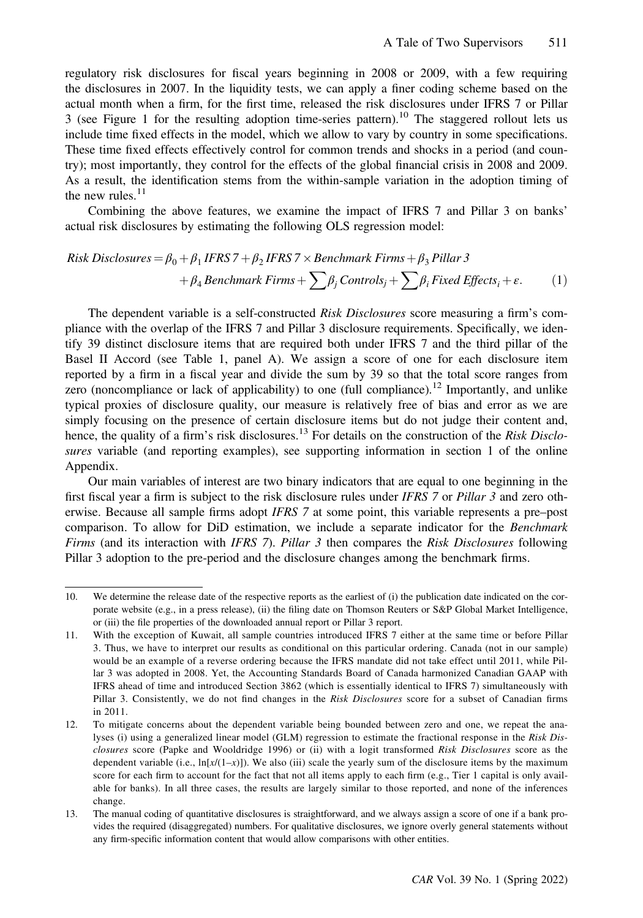regulatory risk disclosures for fiscal years beginning in 2008 or 2009, with a few requiring the disclosures in 2007. In the liquidity tests, we can apply a finer coding scheme based on the actual month when a firm, for the first time, released the risk disclosures under IFRS 7 or Pillar 3 (see Figure 1 for the resulting adoption time-series pattern).<sup>10</sup> The staggered rollout lets us include time fixed effects in the model, which we allow to vary by country in some specifications. These time fixed effects effectively control for common trends and shocks in a period (and country); most importantly, they control for the effects of the global financial crisis in 2008 and 2009. As a result, the identification stems from the within-sample variation in the adoption timing of the new rules. $11$ 

Combining the above features, we examine the impact of IFRS 7 and Pillar 3 on banks' actual risk disclosures by estimating the following OLS regression model:

Risk Disclosures = 
$$
\beta_0 + \beta_1 IFRS 7 + \beta_2 IFRS 7 \times \text{Benchmark Firms} + \beta_3 \text{ Pillar 3}
$$
  
+  $\beta_4 \text{Benchmark Firms} + \sum \beta_j \text{Controls}_j + \sum \beta_i \text{Fixed Effects}_i + \varepsilon.$  (1)

The dependent variable is a self-constructed Risk Disclosures score measuring a firm's compliance with the overlap of the IFRS 7 and Pillar 3 disclosure requirements. Specifically, we identify 39 distinct disclosure items that are required both under IFRS 7 and the third pillar of the Basel II Accord (see Table 1, panel A). We assign a score of one for each disclosure item reported by a firm in a fiscal year and divide the sum by 39 so that the total score ranges from zero (noncompliance or lack of applicability) to one (full compliance).<sup>12</sup> Importantly, and unlike typical proxies of disclosure quality, our measure is relatively free of bias and error as we are simply focusing on the presence of certain disclosure items but do not judge their content and, hence, the quality of a firm's risk disclosures.<sup>13</sup> For details on the construction of the Risk Disclosures variable (and reporting examples), see supporting information in section 1 of the online Appendix.

Our main variables of interest are two binary indicators that are equal to one beginning in the first fiscal year a firm is subject to the risk disclosure rules under IFRS 7 or Pillar 3 and zero otherwise. Because all sample firms adopt IFRS 7 at some point, this variable represents a pre–post comparison. To allow for DiD estimation, we include a separate indicator for the Benchmark Firms (and its interaction with IFRS 7). Pillar 3 then compares the Risk Disclosures following Pillar 3 adoption to the pre-period and the disclosure changes among the benchmark firms.

<sup>10.</sup> We determine the release date of the respective reports as the earliest of (i) the publication date indicated on the corporate website (e.g., in a press release), (ii) the filing date on Thomson Reuters or S&P Global Market Intelligence, or (iii) the file properties of the downloaded annual report or Pillar 3 report.

<sup>11.</sup> With the exception of Kuwait, all sample countries introduced IFRS 7 either at the same time or before Pillar 3. Thus, we have to interpret our results as conditional on this particular ordering. Canada (not in our sample) would be an example of a reverse ordering because the IFRS mandate did not take effect until 2011, while Pillar 3 was adopted in 2008. Yet, the Accounting Standards Board of Canada harmonized Canadian GAAP with IFRS ahead of time and introduced Section 3862 (which is essentially identical to IFRS 7) simultaneously with Pillar 3. Consistently, we do not find changes in the Risk Disclosures score for a subset of Canadian firms in 2011.

<sup>12.</sup> To mitigate concerns about the dependent variable being bounded between zero and one, we repeat the analyses (i) using a generalized linear model (GLM) regression to estimate the fractional response in the Risk Disclosures score (Papke and Wooldridge 1996) or (ii) with a logit transformed Risk Disclosures score as the dependent variable (i.e.,  $\ln[x/(1-x)]$ ). We also (iii) scale the yearly sum of the disclosure items by the maximum score for each firm to account for the fact that not all items apply to each firm (e.g., Tier 1 capital is only available for banks). In all three cases, the results are largely similar to those reported, and none of the inferences change.

<sup>13.</sup> The manual coding of quantitative disclosures is straightforward, and we always assign a score of one if a bank provides the required (disaggregated) numbers. For qualitative disclosures, we ignore overly general statements without any firm-specific information content that would allow comparisons with other entities.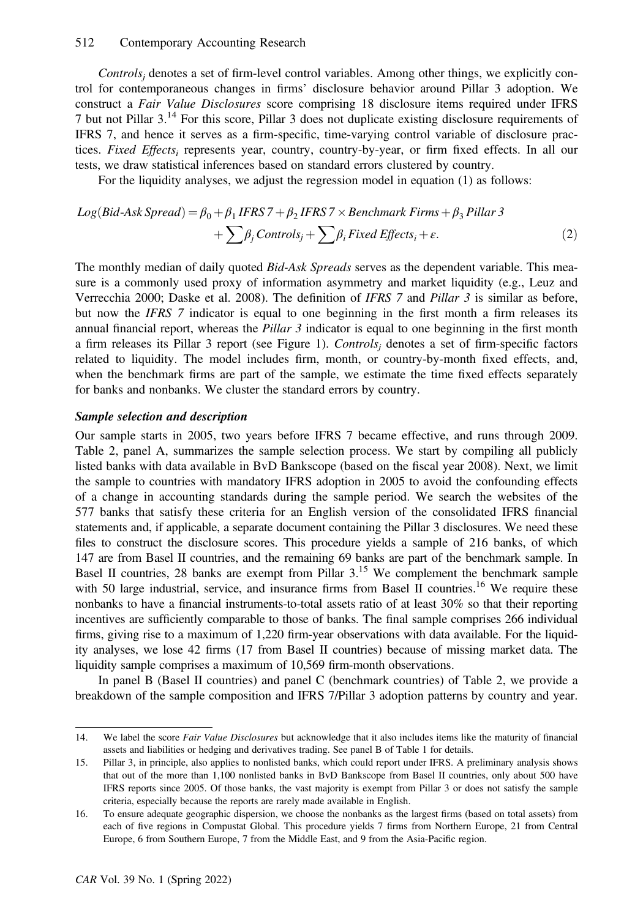#### 512 Contemporary Accounting Research

 $Controls<sub>i</sub>$  denotes a set of firm-level control variables. Among other things, we explicitly control for contemporaneous changes in firms' disclosure behavior around Pillar 3 adoption. We construct a Fair Value Disclosures score comprising 18 disclosure items required under IFRS 7 but not Pillar 3.14 For this score, Pillar 3 does not duplicate existing disclosure requirements of IFRS 7, and hence it serves as a firm-specific, time-varying control variable of disclosure practices. Fixed Effects<sub>i</sub> represents year, country, country-by-year, or firm fixed effects. In all our tests, we draw statistical inferences based on standard errors clustered by country.

For the liquidity analyses, we adjust the regression model in equation (1) as follows:

$$
Log(Bid-Ask\,Spread) = \beta_0 + \beta_1 IFRS 7 + \beta_2 IFRS 7 \times \text{Benchmark}\,Firms + \beta_3 \text{ Pillar } 3
$$

$$
+ \sum \beta_j \text{Controls}_j + \sum \beta_i \text{Fixed Effects}_i + \varepsilon. \tag{2}
$$

The monthly median of daily quoted *Bid-Ask Spreads* serves as the dependent variable. This measure is a commonly used proxy of information asymmetry and market liquidity (e.g., Leuz and Verrecchia 2000; Daske et al. 2008). The definition of IFRS 7 and Pillar 3 is similar as before, but now the IFRS 7 indicator is equal to one beginning in the first month a firm releases its annual financial report, whereas the Pillar  $\beta$  indicator is equal to one beginning in the first month a firm releases its Pillar 3 report (see Figure 1). Controls<sub>i</sub> denotes a set of firm-specific factors related to liquidity. The model includes firm, month, or country-by-month fixed effects, and, when the benchmark firms are part of the sample, we estimate the time fixed effects separately for banks and nonbanks. We cluster the standard errors by country.

# Sample selection and description

Our sample starts in 2005, two years before IFRS 7 became effective, and runs through 2009. Table 2, panel A, summarizes the sample selection process. We start by compiling all publicly listed banks with data available in BvD Bankscope (based on the fiscal year 2008). Next, we limit the sample to countries with mandatory IFRS adoption in 2005 to avoid the confounding effects of a change in accounting standards during the sample period. We search the websites of the 577 banks that satisfy these criteria for an English version of the consolidated IFRS financial statements and, if applicable, a separate document containing the Pillar 3 disclosures. We need these files to construct the disclosure scores. This procedure yields a sample of 216 banks, of which 147 are from Basel II countries, and the remaining 69 banks are part of the benchmark sample. In Basel II countries, 28 banks are exempt from Pillar  $3<sup>15</sup>$  We complement the benchmark sample with 50 large industrial, service, and insurance firms from Basel II countries.<sup>16</sup> We require these nonbanks to have a financial instruments-to-total assets ratio of at least 30% so that their reporting incentives are sufficiently comparable to those of banks. The final sample comprises 266 individual firms, giving rise to a maximum of 1,220 firm-year observations with data available. For the liquidity analyses, we lose 42 firms (17 from Basel II countries) because of missing market data. The liquidity sample comprises a maximum of 10,569 firm-month observations.

In panel B (Basel II countries) and panel C (benchmark countries) of Table 2, we provide a breakdown of the sample composition and IFRS 7/Pillar 3 adoption patterns by country and year.

<sup>14.</sup> We label the score Fair Value Disclosures but acknowledge that it also includes items like the maturity of financial assets and liabilities or hedging and derivatives trading. See panel B of Table 1 for details.

<sup>15.</sup> Pillar 3, in principle, also applies to nonlisted banks, which could report under IFRS. A preliminary analysis shows that out of the more than 1,100 nonlisted banks in BvD Bankscope from Basel II countries, only about 500 have IFRS reports since 2005. Of those banks, the vast majority is exempt from Pillar 3 or does not satisfy the sample criteria, especially because the reports are rarely made available in English.

<sup>16.</sup> To ensure adequate geographic dispersion, we choose the nonbanks as the largest firms (based on total assets) from each of five regions in Compustat Global. This procedure yields 7 firms from Northern Europe, 21 from Central Europe, 6 from Southern Europe, 7 from the Middle East, and 9 from the Asia-Pacific region.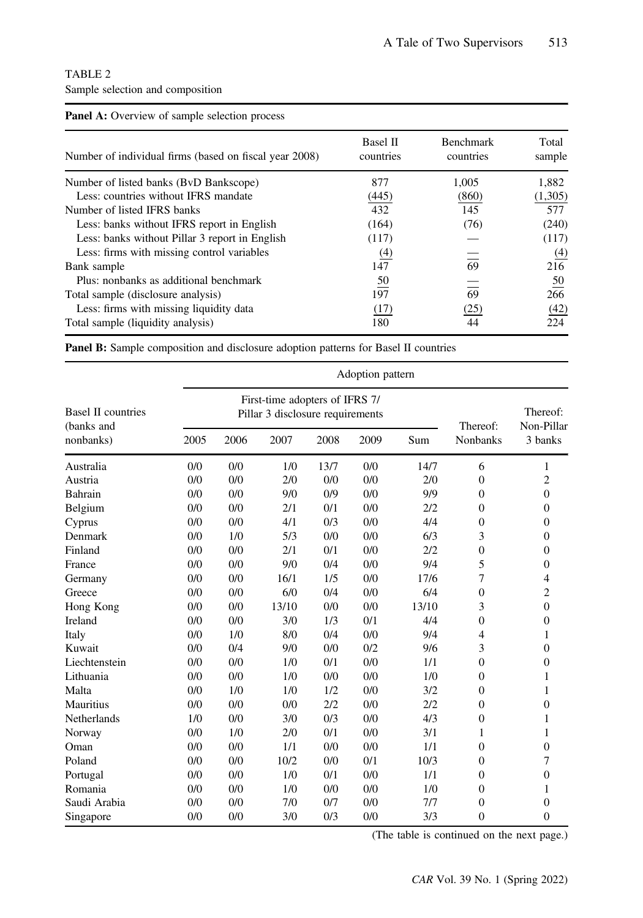# TABLE 2 Sample selection and composition

| <b>Panel A:</b> Overview of sample selection process   |                              |                               |                  |
|--------------------------------------------------------|------------------------------|-------------------------------|------------------|
| Number of individual firms (based on fiscal year 2008) | <b>Basel II</b><br>countries | <b>Benchmark</b><br>countries | Total<br>sample  |
| Number of listed banks (BvD Bankscope)                 | 877                          | 1,005                         | 1,882            |
| Less: countries without IFRS mandate                   | (445)                        | (860)                         | (1,305)          |
| Number of listed IFRS banks                            | 432                          | 145                           | 577              |
| Less: banks without IFRS report in English             | (164)                        | (76)                          | (240)            |
| Less: banks without Pillar 3 report in English         | (117)                        |                               | (117)            |
| Less: firms with missing control variables             | <u>(4)</u>                   |                               | $\underline{4}$  |
| Bank sample                                            | 147                          | 69                            | 216              |
| Plus: nonbanks as additional benchmark                 | $\frac{50}{2}$               |                               | $\underline{50}$ |
| Total sample (disclosure analysis)                     | 197                          | 69                            | 266              |
| Less: firms with missing liquidity data                | (17)                         | (25)                          | (42)             |
| Total sample (liquidity analysis)                      | 180                          | 44                            | 224              |

Panel B: Sample composition and disclosure adoption patterns for Basel II countries

|                                         |      |      |                                                                    |      | Adoption pattern |       |                 |                        |
|-----------------------------------------|------|------|--------------------------------------------------------------------|------|------------------|-------|-----------------|------------------------|
| <b>Basel II countries</b><br>(banks and |      |      | First-time adopters of IFRS 7/<br>Pillar 3 disclosure requirements |      |                  |       | Thereof:        | Thereof:<br>Non-Pillar |
| nonbanks)                               | 2005 | 2006 | 2007                                                               | 2008 | 2009             | Sum   | <b>Nonbanks</b> | 3 banks                |
| Australia                               | 0/0  | 0/0  | 1/0                                                                | 13/7 | 0/0              | 14/7  | 6               | 1                      |
| Austria                                 | 0/0  | 0/0  | 2/0                                                                | 0/0  | 0/0              | 2/0   | $\overline{0}$  | $\overline{c}$         |
| Bahrain                                 | 0/0  | 0/0  | 9/0                                                                | 0/9  | 0/0              | 9/9   | $\overline{0}$  | $\mathbf{0}$           |
| Belgium                                 | 0/0  | 0/0  | 2/1                                                                | 0/1  | 0/0              | 2/2   | $\overline{0}$  | $\theta$               |
| Cyprus                                  | 0/0  | 0/0  | 4/1                                                                | 0/3  | 0/0              | 4/4   | $\overline{0}$  | $\Omega$               |
| Denmark                                 | 0/0  | 1/0  | 5/3                                                                | 0/0  | 0/0              | 6/3   | 3               | $\mathbf{0}$           |
| Finland                                 | 0/0  | 0/0  | 2/1                                                                | 0/1  | 0/0              | 2/2   | $\overline{0}$  | $\mathbf{0}$           |
| France                                  | 0/0  | 0/0  | 9/0                                                                | 0/4  | 0/0              | 9/4   | 5               | $\boldsymbol{0}$       |
| Germany                                 | 0/0  | 0/0  | 16/1                                                               | 1/5  | 0/0              | 17/6  | 7               | $\overline{4}$         |
| Greece                                  | 0/0  | 0/0  | 6/0                                                                | 0/4  | 0/0              | 6/4   | $\overline{0}$  | $\overline{2}$         |
| Hong Kong                               | 0/0  | 0/0  | 13/10                                                              | 0/0  | 0/0              | 13/10 | 3               | $\theta$               |
| Ireland                                 | 0/0  | 0/0  | 3/0                                                                | 1/3  | 0/1              | 4/4   | $\overline{0}$  | $\mathbf{0}$           |
| Italy                                   | 0/0  | 1/0  | 8/0                                                                | 0/4  | 0/0              | 9/4   | $\overline{4}$  | 1                      |
| Kuwait                                  | 0/0  | 0/4  | 9/0                                                                | 0/0  | 0/2              | 9/6   | 3               | $\theta$               |
| Liechtenstein                           | 0/0  | 0/0  | 1/0                                                                | 0/1  | 0/0              | 1/1   | $\overline{0}$  | $\mathbf{0}$           |
| Lithuania                               | 0/0  | 0/0  | 1/0                                                                | 0/0  | 0/0              | 1/0   | $\overline{0}$  | 1                      |
| Malta                                   | 0/0  | 1/0  | 1/0                                                                | 1/2  | 0/0              | 3/2   | $\overline{0}$  | 1                      |
| <b>Mauritius</b>                        | 0/0  | 0/0  | 0/0                                                                | 2/2  | 0/0              | 2/2   | $\overline{0}$  | $\mathbf{0}$           |
| <b>Netherlands</b>                      | 1/0  | 0/0  | 3/0                                                                | 0/3  | 0/0              | 4/3   | $\overline{0}$  | 1                      |
| Norway                                  | 0/0  | 1/0  | 2/0                                                                | 0/1  | 0/0              | 3/1   | 1               | 1                      |
| Oman                                    | 0/0  | 0/0  | 1/1                                                                | 0/0  | 0/0              | 1/1   | $\overline{0}$  | $\theta$               |
| Poland                                  | 0/0  | 0/0  | 10/2                                                               | 0/0  | 0/1              | 10/3  | $\Omega$        | 7                      |
| Portugal                                | 0/0  | 0/0  | 1/0                                                                | 0/1  | 0/0              | 1/1   | $\overline{0}$  | $\theta$               |
| Romania                                 | 0/0  | 0/0  | 1/0                                                                | 0/0  | 0/0              | 1/0   | $\overline{0}$  | 1                      |
| Saudi Arabia                            | 0/0  | 0/0  | 7/0                                                                | 0/7  | 0/0              | 7/7   | $\overline{0}$  | $\mathbf{0}$           |
| Singapore                               | 0/0  | 0/0  | 3/0                                                                | 0/3  | 0/0              | 3/3   | $\overline{0}$  | $\Omega$               |

(The table is continued on the next page.)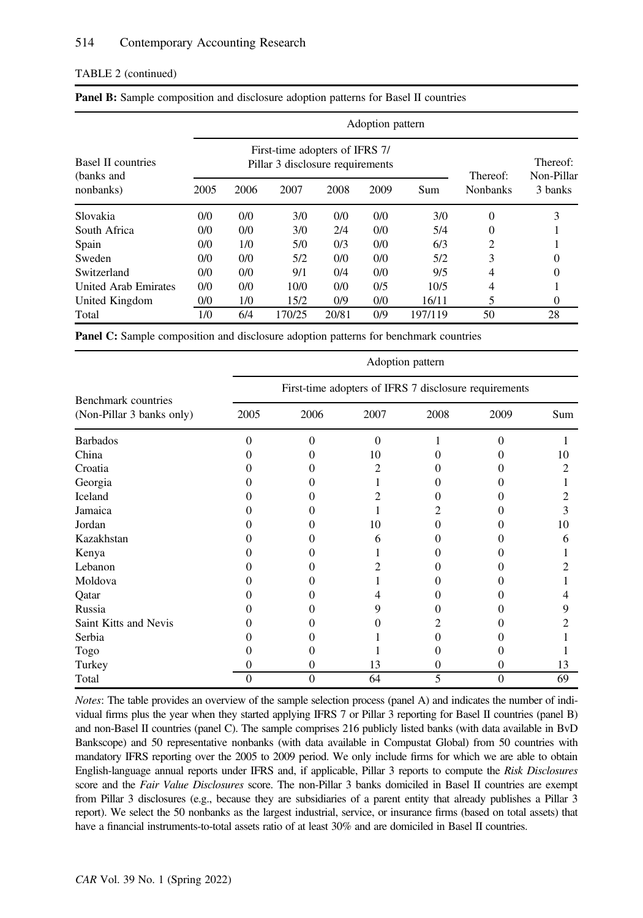# TABLE 2 (continued)

|                                         |      |      |                                                                    |       | Adoption pattern |         |                 |                        |
|-----------------------------------------|------|------|--------------------------------------------------------------------|-------|------------------|---------|-----------------|------------------------|
| <b>Basel II countries</b><br>(banks and |      |      | First-time adopters of IFRS 7/<br>Pillar 3 disclosure requirements |       |                  |         | Thereof:        | Thereof:<br>Non-Pillar |
| nonbanks)                               | 2005 | 2006 | 2007                                                               | 2008  | 2009             | Sum     | <b>Nonbanks</b> | 3 banks                |
| Slovakia                                | 0/0  | 0/0  | 3/0                                                                | 0/0   | 0/0              | 3/0     | 0               | 3                      |
| South Africa                            | 0/0  | 0/0  | 3/0                                                                | 2/4   | 0/0              | 5/4     | 0               |                        |
| Spain                                   | 0/0  | 1/0  | 5/0                                                                | 0/3   | 0/0              | 6/3     | 2               |                        |
| Sweden                                  | 0/0  | 0/0  | 5/2                                                                | 0/0   | 0/0              | 5/2     | 3               |                        |
| Switzerland                             | 0/0  | 0/0  | 9/1                                                                | 0/4   | 0/0              | 9/5     | 4               |                        |
| United Arab Emirates                    | 0/0  | 0/0  | 10/0                                                               | 0/0   | 0/5              | 10/5    | 4               |                        |
| United Kingdom                          | 0/0  | 1/0  | 15/2                                                               | 0/9   | 0/0              | 16/11   | 5               | 0                      |
| Total                                   | 1/0  | 6/4  | 170/25                                                             | 20/81 | 0/9              | 197/119 | 50              | 28                     |

Panel C: Sample composition and disclosure adoption patterns for benchmark countries

|                                                  |          |          |          | Adoption pattern                                      |          |     |
|--------------------------------------------------|----------|----------|----------|-------------------------------------------------------|----------|-----|
|                                                  |          |          |          | First-time adopters of IFRS 7 disclosure requirements |          |     |
| Benchmark countries<br>(Non-Pillar 3 banks only) | 2005     | 2006     | 2007     | 2008                                                  | 2009     | Sum |
| <b>Barbados</b>                                  | 0        | 0        | $\theta$ |                                                       | 0        |     |
| China                                            |          |          | 10       |                                                       |          | 10  |
| Croatia                                          |          |          | 2        |                                                       |          | 2   |
| Georgia                                          |          |          |          |                                                       |          |     |
| Iceland                                          |          |          |          |                                                       |          |     |
| Jamaica                                          |          |          |          |                                                       |          | 3   |
| Jordan                                           |          |          | 10       |                                                       |          | 10  |
| Kazakhstan                                       |          | 0        | 6        |                                                       |          | 6   |
| Kenya                                            |          |          |          |                                                       |          |     |
| Lebanon                                          |          | 0        | 2        |                                                       |          |     |
| Moldova                                          |          |          |          |                                                       |          |     |
| Qatar                                            |          |          | 4        |                                                       |          |     |
| Russia                                           |          | 0        | 9        |                                                       |          |     |
| Saint Kitts and Nevis                            |          |          |          |                                                       |          |     |
| Serbia                                           |          |          |          |                                                       |          |     |
| Togo                                             |          |          |          |                                                       |          |     |
| Turkey                                           |          | 0        | 13       | 0                                                     | 0        | 13  |
| Total                                            | $\Omega$ | $\theta$ | 64       | 5                                                     | $\theta$ | 69  |

Notes: The table provides an overview of the sample selection process (panel A) and indicates the number of individual firms plus the year when they started applying IFRS 7 or Pillar 3 reporting for Basel II countries (panel B) and non-Basel II countries (panel C). The sample comprises 216 publicly listed banks (with data available in BvD Bankscope) and 50 representative nonbanks (with data available in Compustat Global) from 50 countries with mandatory IFRS reporting over the 2005 to 2009 period. We only include firms for which we are able to obtain English-language annual reports under IFRS and, if applicable, Pillar 3 reports to compute the Risk Disclosures score and the Fair Value Disclosures score. The non-Pillar 3 banks domiciled in Basel II countries are exempt from Pillar 3 disclosures (e.g., because they are subsidiaries of a parent entity that already publishes a Pillar 3 report). We select the 50 nonbanks as the largest industrial, service, or insurance firms (based on total assets) that have a financial instruments-to-total assets ratio of at least 30% and are domiciled in Basel II countries.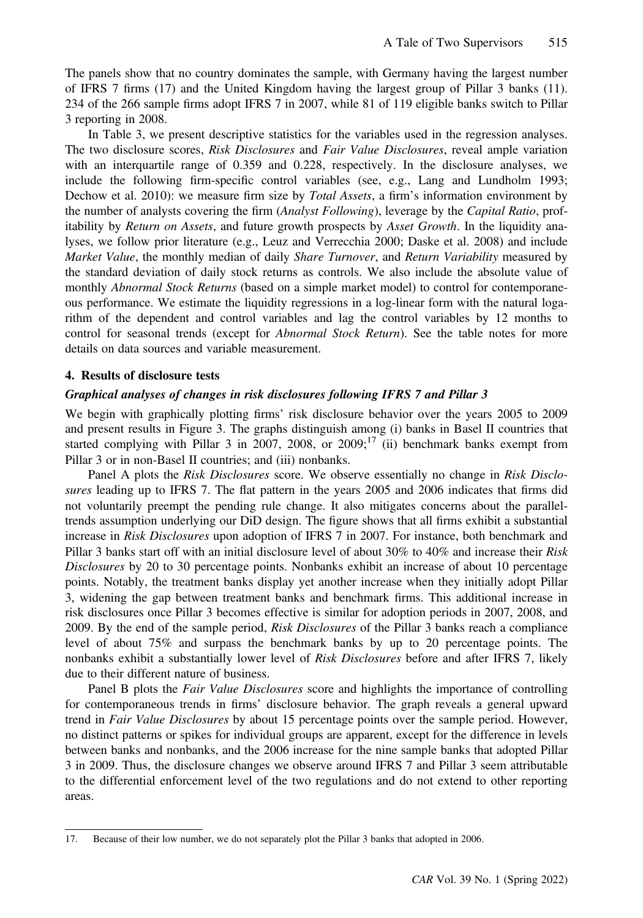The panels show that no country dominates the sample, with Germany having the largest number of IFRS 7 firms (17) and the United Kingdom having the largest group of Pillar 3 banks (11). 234 of the 266 sample firms adopt IFRS 7 in 2007, while 81 of 119 eligible banks switch to Pillar 3 reporting in 2008.

In Table 3, we present descriptive statistics for the variables used in the regression analyses. The two disclosure scores, Risk Disclosures and Fair Value Disclosures, reveal ample variation with an interquartile range of 0.359 and 0.228, respectively. In the disclosure analyses, we include the following firm-specific control variables (see, e.g., Lang and Lundholm 1993; Dechow et al. 2010): we measure firm size by Total Assets, a firm's information environment by the number of analysts covering the firm (*Analyst Following*), leverage by the *Capital Ratio*, profitability by Return on Assets, and future growth prospects by Asset Growth. In the liquidity analyses, we follow prior literature (e.g., Leuz and Verrecchia 2000; Daske et al. 2008) and include Market Value, the monthly median of daily Share Turnover, and Return Variability measured by the standard deviation of daily stock returns as controls. We also include the absolute value of monthly *Abnormal Stock Returns* (based on a simple market model) to control for contemporaneous performance. We estimate the liquidity regressions in a log-linear form with the natural logarithm of the dependent and control variables and lag the control variables by 12 months to control for seasonal trends (except for *Abnormal Stock Return*). See the table notes for more details on data sources and variable measurement.

#### 4. Results of disclosure tests

#### Graphical analyses of changes in risk disclosures following IFRS 7 and Pillar 3

We begin with graphically plotting firms' risk disclosure behavior over the years 2005 to 2009 and present results in Figure 3. The graphs distinguish among (i) banks in Basel II countries that started complying with Pillar 3 in 2007, 2008, or  $2009$ ;<sup>17</sup> (ii) benchmark banks exempt from Pillar 3 or in non-Basel II countries; and (iii) nonbanks.

Panel A plots the Risk Disclosures score. We observe essentially no change in Risk Disclosures leading up to IFRS 7. The flat pattern in the years 2005 and 2006 indicates that firms did not voluntarily preempt the pending rule change. It also mitigates concerns about the paralleltrends assumption underlying our DiD design. The figure shows that all firms exhibit a substantial increase in Risk Disclosures upon adoption of IFRS 7 in 2007. For instance, both benchmark and Pillar 3 banks start off with an initial disclosure level of about 30% to 40% and increase their Risk Disclosures by 20 to 30 percentage points. Nonbanks exhibit an increase of about 10 percentage points. Notably, the treatment banks display yet another increase when they initially adopt Pillar 3, widening the gap between treatment banks and benchmark firms. This additional increase in risk disclosures once Pillar 3 becomes effective is similar for adoption periods in 2007, 2008, and 2009. By the end of the sample period, Risk Disclosures of the Pillar 3 banks reach a compliance level of about 75% and surpass the benchmark banks by up to 20 percentage points. The nonbanks exhibit a substantially lower level of Risk Disclosures before and after IFRS 7, likely due to their different nature of business.

Panel B plots the *Fair Value Disclosures* score and highlights the importance of controlling for contemporaneous trends in firms' disclosure behavior. The graph reveals a general upward trend in Fair Value Disclosures by about 15 percentage points over the sample period. However, no distinct patterns or spikes for individual groups are apparent, except for the difference in levels between banks and nonbanks, and the 2006 increase for the nine sample banks that adopted Pillar 3 in 2009. Thus, the disclosure changes we observe around IFRS 7 and Pillar 3 seem attributable to the differential enforcement level of the two regulations and do not extend to other reporting areas.

<sup>17.</sup> Because of their low number, we do not separately plot the Pillar 3 banks that adopted in 2006.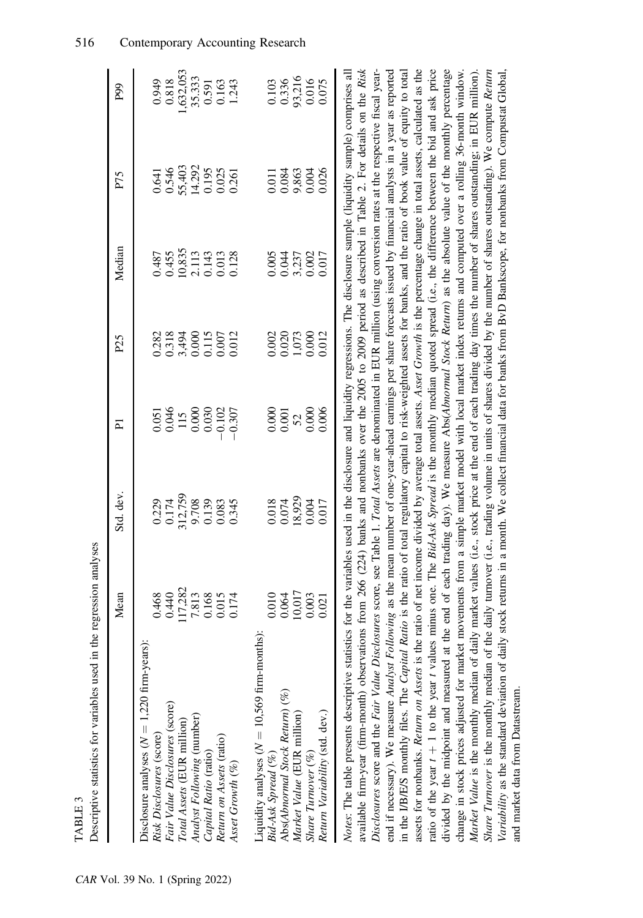| Descriptive statistics for variables used in the regression analyses                                                                                                                                                                                                                                                                                                                                                                                                                                                                                                                                                                                                                                                                                                                                                                                                                                                                                                                                                                                                                                                                                                                                                                                                                                                                                                                                                                                                                                                                                                                                                                                                                                                                                                                                                                                                                                                                                                                                                  |                                                               |                                                                                                                       |                                                                   |                                                             |                                                                                             |                                                               |                                                                 |
|-----------------------------------------------------------------------------------------------------------------------------------------------------------------------------------------------------------------------------------------------------------------------------------------------------------------------------------------------------------------------------------------------------------------------------------------------------------------------------------------------------------------------------------------------------------------------------------------------------------------------------------------------------------------------------------------------------------------------------------------------------------------------------------------------------------------------------------------------------------------------------------------------------------------------------------------------------------------------------------------------------------------------------------------------------------------------------------------------------------------------------------------------------------------------------------------------------------------------------------------------------------------------------------------------------------------------------------------------------------------------------------------------------------------------------------------------------------------------------------------------------------------------------------------------------------------------------------------------------------------------------------------------------------------------------------------------------------------------------------------------------------------------------------------------------------------------------------------------------------------------------------------------------------------------------------------------------------------------------------------------------------------------|---------------------------------------------------------------|-----------------------------------------------------------------------------------------------------------------------|-------------------------------------------------------------------|-------------------------------------------------------------|---------------------------------------------------------------------------------------------|---------------------------------------------------------------|-----------------------------------------------------------------|
|                                                                                                                                                                                                                                                                                                                                                                                                                                                                                                                                                                                                                                                                                                                                                                                                                                                                                                                                                                                                                                                                                                                                                                                                                                                                                                                                                                                                                                                                                                                                                                                                                                                                                                                                                                                                                                                                                                                                                                                                                       | Mean                                                          | Std. dev.                                                                                                             | $\overline{P}$                                                    | P <sub>25</sub>                                             | Median                                                                                      | P75                                                           | P99                                                             |
| Disclosure analyses $(N = 1,220$ firm-years):<br>Fair Value Disclosures (score)<br>Analyst Following (number)<br>Total Assets (EUR million)<br>Risk Disclosures (score)<br>Return on Assets (ratio)<br>Capital Ratio (ratio)<br>Asset Growth (%)                                                                                                                                                                                                                                                                                                                                                                                                                                                                                                                                                                                                                                                                                                                                                                                                                                                                                                                                                                                                                                                                                                                                                                                                                                                                                                                                                                                                                                                                                                                                                                                                                                                                                                                                                                      | 117,282<br>0.440<br>7.813<br>0.168<br>0.468<br>0.015<br>0.174 | 312,759<br>0.174<br>9.708<br>0.229<br>0.139<br>0.345                                                                  | $0.051$<br>$0.046$<br>$\frac{115}{0.000}$<br>$-0.102$<br>$-0.307$ | 0.318<br>3,494<br>0.000<br>0.115<br>0.007<br>0.282<br>0.012 | 10,835<br>0.455<br>$\begin{array}{c} 2.113 \\ 0.143 \\ 0.013 \\ 0.128 \end{array}$<br>0.487 | 55,403<br>14.292<br>0.546<br>0.195<br>0.025<br>0.641<br>0.261 | ,632,053<br>35.333<br>0.818<br>0.949<br>0.163<br>1.243<br>0.591 |
| Liquidity analyses ( $N = 10,569$ firm-months):<br>Abs(Abnormal Stock Return) (%)<br>Return Variability (std. dev.)<br>Market Value (EUR million)<br>Share Turnover (%)<br>Bid-Ask Spread (%)                                                                                                                                                                                                                                                                                                                                                                                                                                                                                                                                                                                                                                                                                                                                                                                                                                                                                                                                                                                                                                                                                                                                                                                                                                                                                                                                                                                                                                                                                                                                                                                                                                                                                                                                                                                                                         | 10,017<br>0.010<br>0.003<br>0.064<br>0.021                    | 18,929<br>0.018<br>0.074<br>0.004<br>0.017                                                                            | 0.000<br>0.000<br>0.006<br>$0.001\,$<br>52                        | 0.020<br>0.000<br>0.012<br>0.002<br>1,073                   | 0.005<br>3,237<br>0.017<br>0.044                                                            | 9,863<br>0.026<br>0.084<br>0.004<br>0.011                     | 93,216<br>0.336<br>0.075<br>0.103                               |
| assets for nonbanks. Return on Assets is the ratio of net income divided by average total assets. Asset Growth is the percentage change in total assets, calculated as the<br>ratio of the year $t + 1$ to the year t values minus one. The <i>Bid-Ask Spread</i> is the monthly median quoted spread (i.e., the difference between the bid and ask price<br>available firm-year (firm-month) observations from 266 (224) banks and nonbanks over the 2005 to 2009 period as described in Table 2. For details on the Risk<br>divided by the midpoint and measured at the end of each trading day). We measure Abs(Abnormal Stock Return) as the absolute value of the monthly percentage<br>Share Turnover is the monthly median of the daily turnover (i.e., trading volume in units of shares divided by the number of shares outstanding). We compute Return<br>Notes: The table presents descriptive statistics for the variables used in the disclosure and liquidity regressions. The disclosure sample (liquidity sample) comprises all<br>Disclosures score and the Fair Value Disclosures score, see Table 1. Total Assets are denominated in EUR million (using conversion rates at the respective fiscal year-<br>end if necessary). We measure <i>Analyst Following</i> as the mean number of one-year-ahead earnings per share forecasts issued by financial analysts in a year as reported<br>in the I/B/E/S monthly files. The Capital Ratio is the ratio of total regulatory capital to risk-weighted assets for banks, and the ratio of book value of equity to total<br>change in stock prices adjusted for market movements from a simple market model with local market index returns and computed over a rolling 36-month window.<br>Market Value is the monthly median of daily market values (i.e., stock price at the end of each trading day times the number of shares outstanding; in EUR million).<br>Variability as the standard deviation of daily<br>and market data from Datastream. |                                                               | stock returns in a month. We collect financial data for banks from BvD Bankscope, for nonbanks from Compustat Global, |                                                                   |                                                             |                                                                                             |                                                               |                                                                 |

TABLE 3

TABLE 3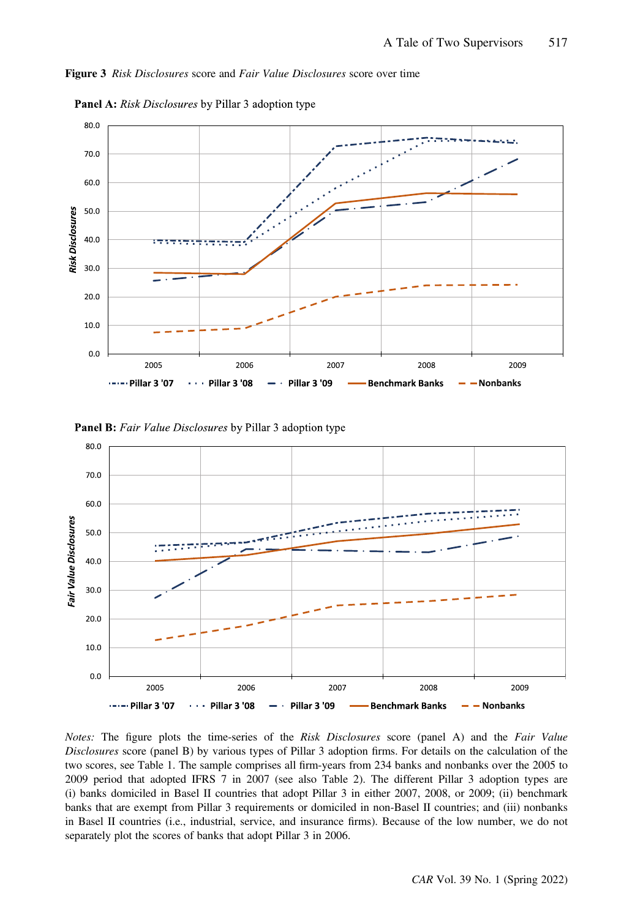



**Panel A:** Risk Disclosures by Pillar 3 adoption type





Notes: The figure plots the time-series of the Risk Disclosures score (panel A) and the Fair Value Disclosures score (panel B) by various types of Pillar 3 adoption firms. For details on the calculation of the two scores, see Table 1. The sample comprises all firm-years from 234 banks and nonbanks over the 2005 to 2009 period that adopted IFRS 7 in 2007 (see also Table 2). The different Pillar 3 adoption types are (i) banks domiciled in Basel II countries that adopt Pillar 3 in either 2007, 2008, or 2009; (ii) benchmark banks that are exempt from Pillar 3 requirements or domiciled in non-Basel II countries; and (iii) nonbanks in Basel II countries (i.e., industrial, service, and insurance firms). Because of the low number, we do not separately plot the scores of banks that adopt Pillar 3 in 2006.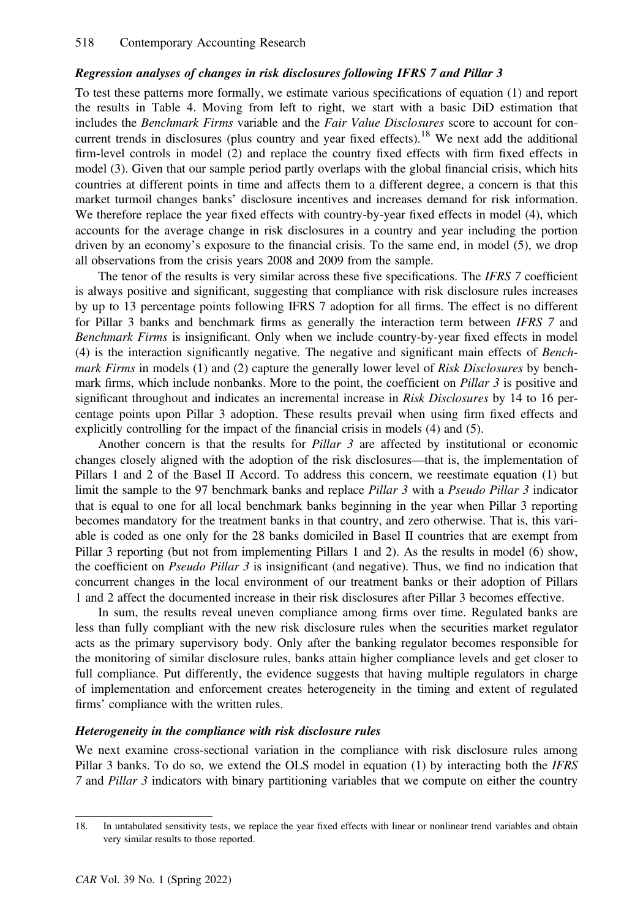# Regression analyses of changes in risk disclosures following IFRS 7 and Pillar 3

To test these patterns more formally, we estimate various specifications of equation (1) and report the results in Table 4. Moving from left to right, we start with a basic DiD estimation that includes the Benchmark Firms variable and the Fair Value Disclosures score to account for concurrent trends in disclosures (plus country and year fixed effects).<sup>18</sup> We next add the additional firm-level controls in model (2) and replace the country fixed effects with firm fixed effects in model (3). Given that our sample period partly overlaps with the global financial crisis, which hits countries at different points in time and affects them to a different degree, a concern is that this market turmoil changes banks' disclosure incentives and increases demand for risk information. We therefore replace the year fixed effects with country-by-year fixed effects in model (4), which accounts for the average change in risk disclosures in a country and year including the portion driven by an economy's exposure to the financial crisis. To the same end, in model (5), we drop all observations from the crisis years 2008 and 2009 from the sample.

The tenor of the results is very similar across these five specifications. The IFRS 7 coefficient is always positive and significant, suggesting that compliance with risk disclosure rules increases by up to 13 percentage points following IFRS 7 adoption for all firms. The effect is no different for Pillar 3 banks and benchmark firms as generally the interaction term between IFRS 7 and Benchmark Firms is insignificant. Only when we include country-by-year fixed effects in model (4) is the interaction significantly negative. The negative and significant main effects of Benchmark Firms in models (1) and (2) capture the generally lower level of Risk Disclosures by benchmark firms, which include nonbanks. More to the point, the coefficient on *Pillar 3* is positive and significant throughout and indicates an incremental increase in Risk Disclosures by 14 to 16 percentage points upon Pillar 3 adoption. These results prevail when using firm fixed effects and explicitly controlling for the impact of the financial crisis in models (4) and (5).

Another concern is that the results for *Pillar 3* are affected by institutional or economic changes closely aligned with the adoption of the risk disclosures—that is, the implementation of Pillars 1 and 2 of the Basel II Accord. To address this concern, we reestimate equation (1) but limit the sample to the 97 benchmark banks and replace *Pillar 3* with a *Pseudo Pillar 3* indicator that is equal to one for all local benchmark banks beginning in the year when Pillar 3 reporting becomes mandatory for the treatment banks in that country, and zero otherwise. That is, this variable is coded as one only for the 28 banks domiciled in Basel II countries that are exempt from Pillar 3 reporting (but not from implementing Pillars 1 and 2). As the results in model (6) show, the coefficient on Pseudo Pillar  $\beta$  is insignificant (and negative). Thus, we find no indication that concurrent changes in the local environment of our treatment banks or their adoption of Pillars 1 and 2 affect the documented increase in their risk disclosures after Pillar 3 becomes effective.

In sum, the results reveal uneven compliance among firms over time. Regulated banks are less than fully compliant with the new risk disclosure rules when the securities market regulator acts as the primary supervisory body. Only after the banking regulator becomes responsible for the monitoring of similar disclosure rules, banks attain higher compliance levels and get closer to full compliance. Put differently, the evidence suggests that having multiple regulators in charge of implementation and enforcement creates heterogeneity in the timing and extent of regulated firms' compliance with the written rules.

# Heterogeneity in the compliance with risk disclosure rules

We next examine cross-sectional variation in the compliance with risk disclosure rules among Pillar 3 banks. To do so, we extend the OLS model in equation (1) by interacting both the *IFRS* 7 and Pillar 3 indicators with binary partitioning variables that we compute on either the country

<sup>18.</sup> In untabulated sensitivity tests, we replace the year fixed effects with linear or nonlinear trend variables and obtain very similar results to those reported.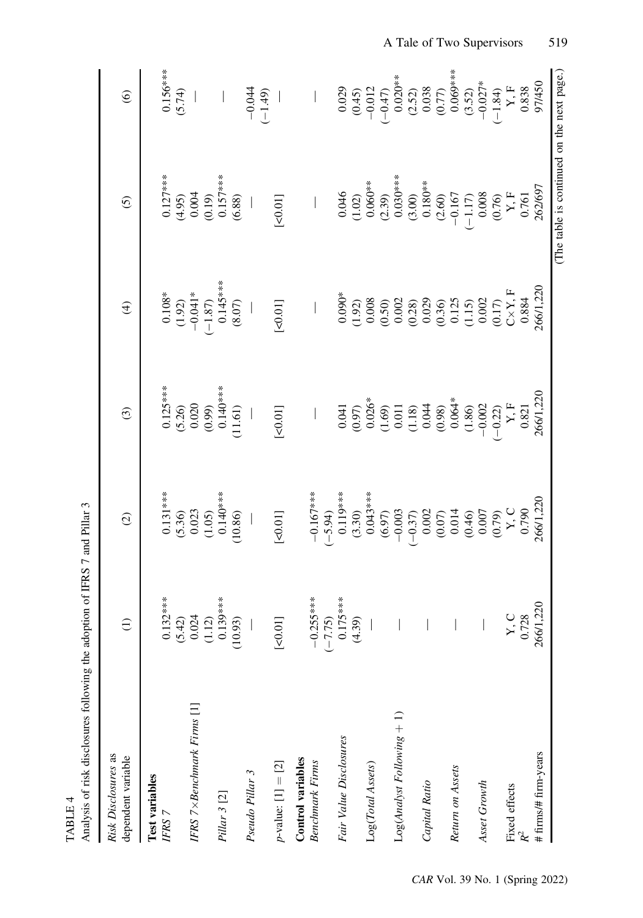| Analysis of risk disclosures following the adoption of IFRS 7 and Pillar 3 |                                                           |                                                                                                                 |                                                                                                                                                                                                                              |                                                                                                                                                                                                                                                                   |                                                                                                                                                                                                                                                                                               |                                                                                    |
|----------------------------------------------------------------------------|-----------------------------------------------------------|-----------------------------------------------------------------------------------------------------------------|------------------------------------------------------------------------------------------------------------------------------------------------------------------------------------------------------------------------------|-------------------------------------------------------------------------------------------------------------------------------------------------------------------------------------------------------------------------------------------------------------------|-----------------------------------------------------------------------------------------------------------------------------------------------------------------------------------------------------------------------------------------------------------------------------------------------|------------------------------------------------------------------------------------|
| Risk Disclosures as<br>dependent variable                                  | $\ominus$                                                 | $\odot$                                                                                                         | $\odot$                                                                                                                                                                                                                      | $\bigoplus$                                                                                                                                                                                                                                                       | $\odot$                                                                                                                                                                                                                                                                                       | $\odot$                                                                            |
| Test variables                                                             |                                                           |                                                                                                                 |                                                                                                                                                                                                                              |                                                                                                                                                                                                                                                                   |                                                                                                                                                                                                                                                                                               |                                                                                    |
| IFRS 7                                                                     |                                                           | $0.131***$<br>(5.36)<br>0.023                                                                                   |                                                                                                                                                                                                                              | $0.108*$<br>(1.92)<br>-0.041*                                                                                                                                                                                                                                     | $0.127***$<br>(4.95)<br>0.004                                                                                                                                                                                                                                                                 | $0.156***$<br>(5.74)                                                               |
|                                                                            |                                                           |                                                                                                                 |                                                                                                                                                                                                                              |                                                                                                                                                                                                                                                                   |                                                                                                                                                                                                                                                                                               |                                                                                    |
| IFRS $7 \times$ Benchmark Firms $[1]$                                      |                                                           |                                                                                                                 |                                                                                                                                                                                                                              |                                                                                                                                                                                                                                                                   |                                                                                                                                                                                                                                                                                               |                                                                                    |
| Pillar 3 [2]                                                               | $0.132***$<br>(5.42)<br>$0.024$<br>$(1.12)$<br>$0.139***$ | $(1.05)$<br>0.140***                                                                                            |                                                                                                                                                                                                                              | $\frac{1}{(-1.87)}$<br>0.145***                                                                                                                                                                                                                                   |                                                                                                                                                                                                                                                                                               | $\vert$                                                                            |
|                                                                            | (10.93)                                                   | (10.86)                                                                                                         | $0.125***$<br>$(5.26)$<br>$0.020$<br>$(0.99)$<br>$0.140***$<br>$(11.61)$                                                                                                                                                     | $(8.07)$                                                                                                                                                                                                                                                          | $(0.19)$<br>0.157***<br>(6.88)                                                                                                                                                                                                                                                                |                                                                                    |
| Pseudo Pillar 3                                                            |                                                           |                                                                                                                 |                                                                                                                                                                                                                              |                                                                                                                                                                                                                                                                   |                                                                                                                                                                                                                                                                                               | $-0.044$<br>$(-1.49)$                                                              |
| $p$ -value: [1] = [2]                                                      | [50.01]                                                   | $\left[\times 0.01\right]$                                                                                      | $\left[ <0.01 \right]$                                                                                                                                                                                                       | $\left[ <0.01 \right]$                                                                                                                                                                                                                                            | $[<0.01]$                                                                                                                                                                                                                                                                                     |                                                                                    |
|                                                                            |                                                           |                                                                                                                 |                                                                                                                                                                                                                              |                                                                                                                                                                                                                                                                   |                                                                                                                                                                                                                                                                                               |                                                                                    |
| Control variables<br><b>Benchmark Firms</b>                                |                                                           | $-0.167***$                                                                                                     |                                                                                                                                                                                                                              |                                                                                                                                                                                                                                                                   |                                                                                                                                                                                                                                                                                               |                                                                                    |
|                                                                            |                                                           | $(-5.94)$                                                                                                       |                                                                                                                                                                                                                              |                                                                                                                                                                                                                                                                   |                                                                                                                                                                                                                                                                                               |                                                                                    |
| Fair Value Disclosures                                                     | $-0.255***$<br>$(-7.75)$<br>0.175***<br>(4.39)            |                                                                                                                 |                                                                                                                                                                                                                              |                                                                                                                                                                                                                                                                   |                                                                                                                                                                                                                                                                                               |                                                                                    |
|                                                                            |                                                           |                                                                                                                 |                                                                                                                                                                                                                              |                                                                                                                                                                                                                                                                   |                                                                                                                                                                                                                                                                                               |                                                                                    |
| Log(Total Assets)                                                          |                                                           | $0.119***$<br>(3.30)<br>0.043***                                                                                | 0.041<br>$(0.97)$<br>$(0.90)$<br>$(0.69)$<br>$(1.8)$<br>$(0.69)$<br>$(0.69)$<br>$(0.69)$<br>$(0.69)$<br>$(0.69)$<br>$(0.69)$<br>$(0.69)$<br>$(0.69)$<br>$(0.69)$<br>$(0.69)$<br>$(0.69)$<br>$(0.69)$<br>$(0.69)$<br>$(0.69)$ | $\begin{array}{l} 0.090^*\\ 0.920\\ 0.008\\ 0.0000\\ 0.0000\\ 0.0000\\ 0.0000\\ 0.0000\\ 0.0000\\ 0.0000\\ 0.0000\\ 0.0000\\ 0.0000\\ 0.0000\\ 0.0000\\ 0.0000\\ 0.0000\\ 0.0000\\ 0.0000\\ 0.0000\\ 0.0000\\ 0.0000\\ 0.0000\\ 0.0000\\ 0.0000\\ 0.0000\\ 0.000$ | 0.046<br>(1.02)<br>(1.02)<br>0.06 <sup>3*</sup><br>(3.03)<br>(3.03)<br>(3.03)<br>(3.045<br>(3.038<br>(3.05)<br>(1.17)<br>(3.058<br>(3.051<br>(3.051<br>(3.051<br>(3.051<br>(3.051<br>(3.051<br>(3.051<br>(3.051<br>(3.051<br>(3.051<br>(3.051<br>(3.051<br>(3.051<br>(3.051<br>(3.051<br>(3.0 | $0.029$<br>$(0.45)$<br>$-0.012$<br>$(-0.47)$                                       |
|                                                                            |                                                           |                                                                                                                 |                                                                                                                                                                                                                              |                                                                                                                                                                                                                                                                   |                                                                                                                                                                                                                                                                                               |                                                                                    |
| $Log(Analysis Following + 1)$                                              |                                                           |                                                                                                                 |                                                                                                                                                                                                                              |                                                                                                                                                                                                                                                                   |                                                                                                                                                                                                                                                                                               |                                                                                    |
|                                                                            |                                                           |                                                                                                                 |                                                                                                                                                                                                                              |                                                                                                                                                                                                                                                                   |                                                                                                                                                                                                                                                                                               |                                                                                    |
| Capital Ratio                                                              |                                                           | $\begin{array}{c} (6.97) \\ (6.97) \\ (-0.37) \\ (0.002 \\ (0.07) \\ (0.07) \\ (0.014 \\ (0.46) \\ \end{array}$ |                                                                                                                                                                                                                              |                                                                                                                                                                                                                                                                   |                                                                                                                                                                                                                                                                                               | 0.020**<br>(2.52)<br>(3.52)<br>0.038<br>0.077<br>0.027*<br>(-1.84)<br>Y, F<br>Y, F |
|                                                                            |                                                           |                                                                                                                 |                                                                                                                                                                                                                              |                                                                                                                                                                                                                                                                   |                                                                                                                                                                                                                                                                                               |                                                                                    |
| Return on Assets                                                           |                                                           |                                                                                                                 |                                                                                                                                                                                                                              |                                                                                                                                                                                                                                                                   |                                                                                                                                                                                                                                                                                               |                                                                                    |
|                                                                            |                                                           |                                                                                                                 |                                                                                                                                                                                                                              |                                                                                                                                                                                                                                                                   |                                                                                                                                                                                                                                                                                               |                                                                                    |
| Asset Growth                                                               |                                                           |                                                                                                                 |                                                                                                                                                                                                                              |                                                                                                                                                                                                                                                                   |                                                                                                                                                                                                                                                                                               |                                                                                    |
|                                                                            |                                                           | $0.007$<br>(0.79)<br>Y, C                                                                                       |                                                                                                                                                                                                                              |                                                                                                                                                                                                                                                                   |                                                                                                                                                                                                                                                                                               |                                                                                    |
| <b>Fixed</b> effects                                                       | $\begin{array}{c} \text{Y, C}\\ \text{0.728} \end{array}$ |                                                                                                                 |                                                                                                                                                                                                                              |                                                                                                                                                                                                                                                                   |                                                                                                                                                                                                                                                                                               |                                                                                    |
|                                                                            |                                                           | 0.790                                                                                                           | 0.821                                                                                                                                                                                                                        |                                                                                                                                                                                                                                                                   |                                                                                                                                                                                                                                                                                               | 0.838                                                                              |
| # firms/# firm-years                                                       | 266/1,220                                                 | 266/1,220                                                                                                       | 266/1,220                                                                                                                                                                                                                    | 266/1,220                                                                                                                                                                                                                                                         |                                                                                                                                                                                                                                                                                               | 97/450                                                                             |
|                                                                            |                                                           |                                                                                                                 |                                                                                                                                                                                                                              |                                                                                                                                                                                                                                                                   | (The table is continued on the next page.)                                                                                                                                                                                                                                                    |                                                                                    |

TABLE 4

TABLE 4

CAR Vol. 39 No. 1 (Spring 2022)

# A Tale of Two Supervisors 519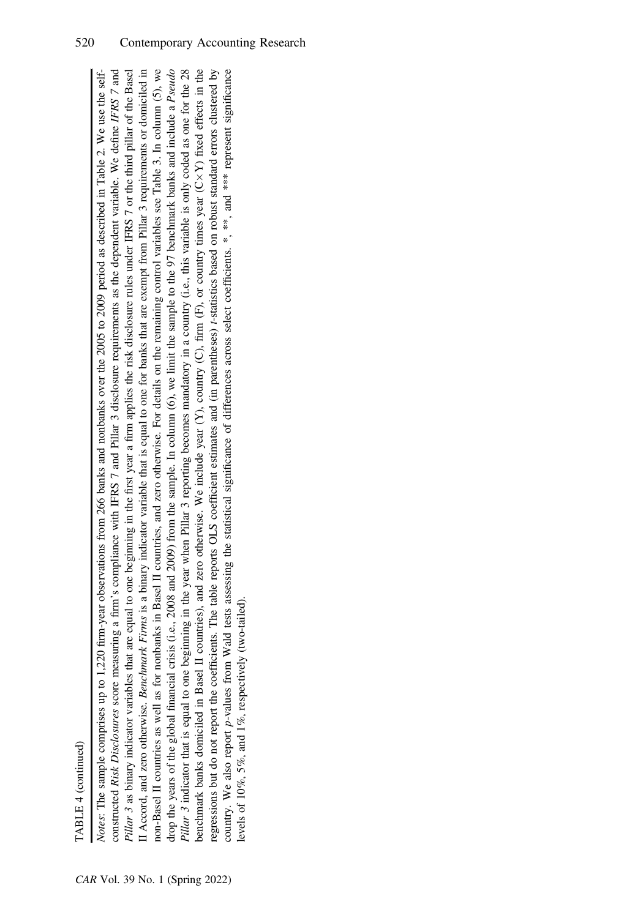| ٦ |
|---|

non-Basel II countries as well as for nonbanks in Basel II countries, and zero otherwise. For details on the remaining control variables see Table 3. In column (5), we Pillar 3 indicator that is equal to one beginning in the year when Pillar 3 reporting becomes mandatory in a country (i.e., this variable is only coded as one for the 28 benchmark banks domiciled in Basel II countries), and zero otherwise. We include year  $(Y)$ , country (C), firm  $(F)$ , or country times year  $(C \times Y)$  fixed effects in the regressions but do not report the coefficients. The table reports OLS coefficient estimates and (in parentheses) t-statistics based on robust standard errors clustered by Notes: The sample comprises up to 1,220 firm-year observations from 266 banks and nonbanks over the 2005 to 2009 period as described in Table 2. We use the self-Notes: The sample comprises up to 1,220 firm-year observations from 266 banks and nonbanks over the 2005 to 2009 period as described in Table 2. We use the selfconstructed Risk Disclosures score measuring a firm's compliance with IFRS 7 and Pillar 3 disclosure requirements as the dependent variable. We define IFRS 7 and constructed Risk Disclosures score measuring a firm's compliance with IFRS 7 and Pillar 3 disclosure requirements as the dependent variable. We define IFRS 7 and Pillar 3 as binary indicator variables that are equal to one beginning in the first year a firm applies the risk disclosure rules under IFRS 7 or the third pillar of the Basel Pillar 3 as binary indicator variables that are equal to one beginning in the first year a firm applies the risk disclosure rules under IFRS 7 or the third pillar of the Basel II Accord, and zero otherwise. Benchmark Firms is a binary indicator variable that is equal to one for banks that are exempt from Pillar 3 requirements or domiciled in II Accord, and zero otherwise. Benchmark Firms is a binary indicator variable that is equal to one for banks that are exempt from Pillar 3 requirements or domiciled in non-Basel II countries as well as for nonbanks in Basel II countries, and zero otherwise. For details on the remaining control variables see Table 3. In column (5), we drop the years of the global financial crisis (i.e., 2008 and 2009) from the sample. In column (6), we limit the sample to the 97 benchmark banks and include a Pseudo drop the years of the global financial crisis (i.e., 2008 and 2009) from the sample. In column (6), we limit the sample to the 97 benchmark banks and include a Pseudo Pillar 3 indicator that is equal to one beginning in the year when Pillar 3 reporting becomes mandatory in a country (i.e., this variable is only coded as one for the 28 Y) fixed effects in the regressions but do not report the coefficients. The table reports OLS coefficient estimates and (in parentheses) t-statistics based on robust standard errors clustered by country. We also report p-values from Wald tests assessing the statistical significance of differences across select coefficients. \*, \*\*, and \*\*\* represent significance p-values from Wald tests assessing the statistical significance of differences across select coefficients. \*, \*\*, and \*\*\* represent significance benchmark banks domiciled in Basel II countries), and zero otherwise. We include year  $(Y)$ , country  $(F)$ , or country times year  $(C \times$ levels of 10%, 5%, and 1%, respectively (two-tailed). levels of 10%, 5%, and 1%, respectively (two-tailed). country. We also report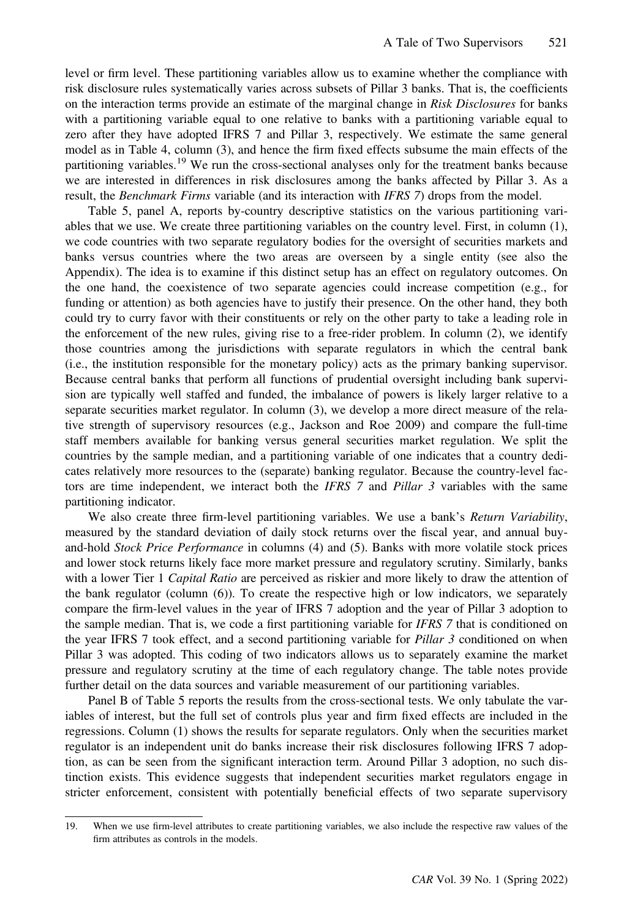level or firm level. These partitioning variables allow us to examine whether the compliance with risk disclosure rules systematically varies across subsets of Pillar 3 banks. That is, the coefficients on the interaction terms provide an estimate of the marginal change in Risk Disclosures for banks with a partitioning variable equal to one relative to banks with a partitioning variable equal to zero after they have adopted IFRS 7 and Pillar 3, respectively. We estimate the same general model as in Table 4, column (3), and hence the firm fixed effects subsume the main effects of the partitioning variables.<sup>19</sup> We run the cross-sectional analyses only for the treatment banks because we are interested in differences in risk disclosures among the banks affected by Pillar 3. As a result, the *Benchmark Firms* variable (and its interaction with *IFRS* 7) drops from the model.

Table 5, panel A, reports by-country descriptive statistics on the various partitioning variables that we use. We create three partitioning variables on the country level. First, in column (1), we code countries with two separate regulatory bodies for the oversight of securities markets and banks versus countries where the two areas are overseen by a single entity (see also the Appendix). The idea is to examine if this distinct setup has an effect on regulatory outcomes. On the one hand, the coexistence of two separate agencies could increase competition (e.g., for funding or attention) as both agencies have to justify their presence. On the other hand, they both could try to curry favor with their constituents or rely on the other party to take a leading role in the enforcement of the new rules, giving rise to a free-rider problem. In column (2), we identify those countries among the jurisdictions with separate regulators in which the central bank (i.e., the institution responsible for the monetary policy) acts as the primary banking supervisor. Because central banks that perform all functions of prudential oversight including bank supervision are typically well staffed and funded, the imbalance of powers is likely larger relative to a separate securities market regulator. In column (3), we develop a more direct measure of the relative strength of supervisory resources (e.g., Jackson and Roe 2009) and compare the full-time staff members available for banking versus general securities market regulation. We split the countries by the sample median, and a partitioning variable of one indicates that a country dedicates relatively more resources to the (separate) banking regulator. Because the country-level factors are time independent, we interact both the IFRS 7 and Pillar 3 variables with the same partitioning indicator.

We also create three firm-level partitioning variables. We use a bank's *Return Variability*, measured by the standard deviation of daily stock returns over the fiscal year, and annual buyand-hold Stock Price Performance in columns (4) and (5). Banks with more volatile stock prices and lower stock returns likely face more market pressure and regulatory scrutiny. Similarly, banks with a lower Tier 1 Capital Ratio are perceived as riskier and more likely to draw the attention of the bank regulator (column (6)). To create the respective high or low indicators, we separately compare the firm-level values in the year of IFRS 7 adoption and the year of Pillar 3 adoption to the sample median. That is, we code a first partitioning variable for *IFRS* 7 that is conditioned on the year IFRS 7 took effect, and a second partitioning variable for *Pillar 3* conditioned on when Pillar 3 was adopted. This coding of two indicators allows us to separately examine the market pressure and regulatory scrutiny at the time of each regulatory change. The table notes provide further detail on the data sources and variable measurement of our partitioning variables.

Panel B of Table 5 reports the results from the cross-sectional tests. We only tabulate the variables of interest, but the full set of controls plus year and firm fixed effects are included in the regressions. Column (1) shows the results for separate regulators. Only when the securities market regulator is an independent unit do banks increase their risk disclosures following IFRS 7 adoption, as can be seen from the significant interaction term. Around Pillar 3 adoption, no such distinction exists. This evidence suggests that independent securities market regulators engage in stricter enforcement, consistent with potentially beneficial effects of two separate supervisory

<sup>19.</sup> When we use firm-level attributes to create partitioning variables, we also include the respective raw values of the firm attributes as controls in the models.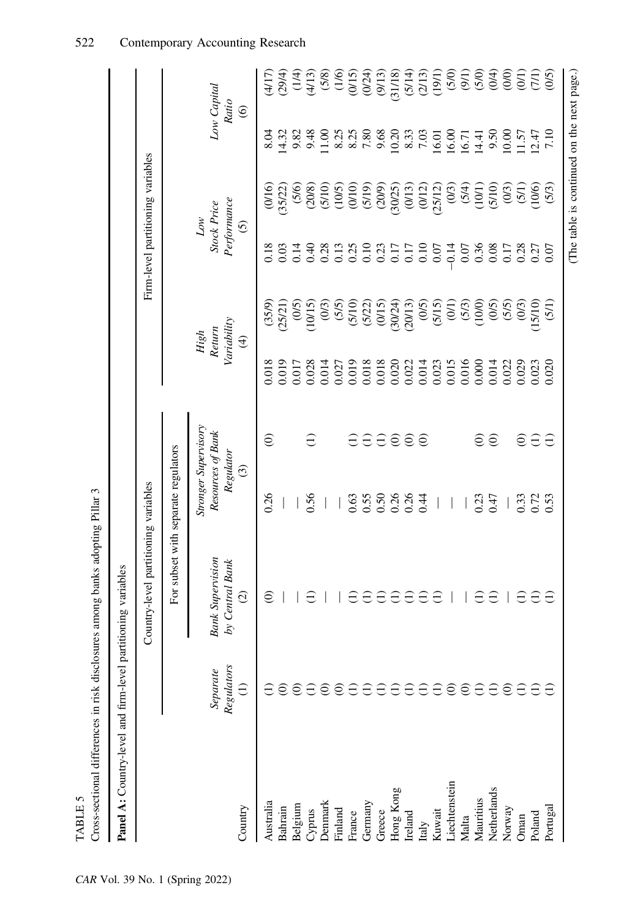| Cross-sectional differences in risk disclosures        |                                           | among banks adopting Pillar 3                                        |                                           |                               |                                                                 |                                                |                                                             |                                                                                           |                                                                                  |                                                                                                                                                                                                                                                                            |
|--------------------------------------------------------|-------------------------------------------|----------------------------------------------------------------------|-------------------------------------------|-------------------------------|-----------------------------------------------------------------|------------------------------------------------|-------------------------------------------------------------|-------------------------------------------------------------------------------------------|----------------------------------------------------------------------------------|----------------------------------------------------------------------------------------------------------------------------------------------------------------------------------------------------------------------------------------------------------------------------|
| <b>Panel A:</b> Country-level and firm-level partition |                                           | oning variables                                                      |                                           |                               |                                                                 |                                                |                                                             |                                                                                           |                                                                                  |                                                                                                                                                                                                                                                                            |
|                                                        |                                           | Country-level partitioning variables                                 |                                           |                               |                                                                 |                                                |                                                             | Firm-level partitioning variables                                                         |                                                                                  |                                                                                                                                                                                                                                                                            |
|                                                        |                                           | For subset with separate regulators                                  |                                           |                               |                                                                 |                                                |                                                             |                                                                                           |                                                                                  |                                                                                                                                                                                                                                                                            |
| Country                                                | Regulators<br>Separate<br>$\widehat{\Xi}$ | <b>Bank Supervision</b><br>by Central Bank<br>$\widehat{\circ}$<br>U | Resources of Bank<br>Regulator<br>$\odot$ | <b>Stronger Supervisory</b>   |                                                                 | Variability<br>Return<br>High<br>$\widehat{f}$ |                                                             | Performance<br>Stock Price<br>$\it{Low}$<br>$\odot$                                       |                                                                                  | Low Capital<br>Ratio<br>$\odot$                                                                                                                                                                                                                                            |
| Australia                                              |                                           | $\widehat{\in}$                                                      | 0.26                                      | $\widehat{\in}$               | 0.018                                                           |                                                | 0.18                                                        |                                                                                           | 8.04                                                                             |                                                                                                                                                                                                                                                                            |
| Bahrain                                                | ව                                         |                                                                      |                                           |                               | 0.019                                                           | $(35/9)$<br>$25/21)$                           | 0.03                                                        | $(0/16)$<br>35/22)                                                                        |                                                                                  |                                                                                                                                                                                                                                                                            |
| Belgium                                                | $\odot$                                   |                                                                      |                                           |                               | 0.017                                                           |                                                | 0.14                                                        | (5/6)                                                                                     | $14.32$<br>$9.84$<br>$-1.6$<br>$-1.6$<br>$-1.6$                                  | $\begin{array}{l} \{1111\cr 2914\cr 3114\cr 4113\cr 528\cr 641\cr 741\cr 84\cr 123\cr 124\cr 125\cr 125\cr 125\cr 125\cr 125\cr 125\cr 125\cr 125\cr 125\cr 125\cr 125\cr 125\cr 125\cr 125\cr 125\cr 125\cr 125\cr 125\cr 125\cr 125\cr 125\cr 125\cr 125\cr 125\cr 125\$ |
| Cyprus                                                 | Ξ                                         |                                                                      | 0.56                                      | $\widehat{\Xi}$               | 0.028                                                           | $(0/5)$<br>(2/015)                             | 0.40                                                        |                                                                                           |                                                                                  |                                                                                                                                                                                                                                                                            |
| Denmark                                                | $\widehat{\in}$                           |                                                                      |                                           |                               | 0.014                                                           | (0/3)                                          | 0.28                                                        | $(208)$<br>$(5/105)$<br>$(10/5)$                                                          |                                                                                  |                                                                                                                                                                                                                                                                            |
| Finland                                                | $\odot$                                   |                                                                      |                                           |                               | 0.027                                                           | $(5/5)$<br>$(5/10)$                            | 0.13                                                        |                                                                                           | 8.25                                                                             |                                                                                                                                                                                                                                                                            |
| France                                                 | $\ominus$                                 |                                                                      | 0.63                                      | $\ominus$                     | 0.019                                                           |                                                | 0.25                                                        |                                                                                           |                                                                                  |                                                                                                                                                                                                                                                                            |
| Germany                                                | Ξ                                         | A                                                                    | 0.50<br>0.50<br>0.50<br>0.44              |                               | 0.018                                                           | $(5/22)$<br>$(0/15)$<br>$(30/24)$<br>$(20013)$ | 0.10                                                        | $\begin{array}{c} (5/19) \\ (20/9) \\ (30/25) \\ (0/13) \\ (0/12) \\ (25/12) \end{array}$ | $\begin{array}{c} 8.25 \\ 7.80 \\ 9.68 \\ 10.20 \\ 8.33 \\ 7.03 \end{array}$     |                                                                                                                                                                                                                                                                            |
| Greece                                                 | Э                                         | $\ominus$                                                            |                                           |                               |                                                                 |                                                |                                                             |                                                                                           |                                                                                  |                                                                                                                                                                                                                                                                            |
| Hong Kong                                              | $\Xi$                                     | $\ominus$                                                            |                                           | $\theta \theta \theta \theta$ | $\begin{array}{c} 0.018 \\ 0.020 \\ 0.021 \\ 0.014 \end{array}$ |                                                | $\begin{array}{c} 0.23 \\ 0.17 \\ 0.17 \\ 0.10 \end{array}$ |                                                                                           |                                                                                  |                                                                                                                                                                                                                                                                            |
| Ireland                                                | Э                                         | $\ominus$                                                            |                                           |                               |                                                                 |                                                |                                                             |                                                                                           |                                                                                  |                                                                                                                                                                                                                                                                            |
| Italy                                                  | E                                         | Э                                                                    |                                           |                               |                                                                 | (5/15)                                         |                                                             |                                                                                           |                                                                                  |                                                                                                                                                                                                                                                                            |
| Kuwait                                                 | $\ominus$                                 | $\ominus$                                                            |                                           |                               | 0.023                                                           |                                                | 0.07                                                        |                                                                                           | $\begin{array}{l} 16.01 \\ 16.00 \\ 16.71 \\ 14.41 \\ 9.50 \\ 10.00 \end{array}$ |                                                                                                                                                                                                                                                                            |
| Liechtenstein                                          | 662                                       |                                                                      | $\overline{\phantom{a}}$                  |                               | 0.015                                                           | (01)                                           | $-0.14$                                                     | (0/3)                                                                                     |                                                                                  | (5/0)                                                                                                                                                                                                                                                                      |
| Malta                                                  |                                           |                                                                      |                                           |                               | 0.016                                                           | (5/3)                                          | 0.07                                                        |                                                                                           |                                                                                  |                                                                                                                                                                                                                                                                            |
| Mauritius                                              |                                           | Ξ                                                                    | 0.23                                      | $\widehat{\in}$               | 0.000                                                           | (100)                                          | 0.36                                                        | (101)                                                                                     |                                                                                  | $(9/1)$<br>(5/0)                                                                                                                                                                                                                                                           |
| Netherlands                                            | $\widehat{\Xi}$                           |                                                                      | 0.47                                      | $\odot$                       | 0.014                                                           | (0/5)                                          | 0.08                                                        | (5/10)                                                                                    |                                                                                  | (0/4)                                                                                                                                                                                                                                                                      |
| Norway                                                 |                                           |                                                                      |                                           |                               | 0.022                                                           | (5/5)                                          | 0.17                                                        | $(03)$<br>$(51)$<br>$10(6)$<br>$(53)$                                                     |                                                                                  | (0)                                                                                                                                                                                                                                                                        |
| Oman                                                   | Ξ                                         | E                                                                    | 0.33                                      | $\widehat{\in}$               | 0.029                                                           | (0/3)                                          | 0.28                                                        |                                                                                           | $\frac{1.57}{1.10}$                                                              | (01)                                                                                                                                                                                                                                                                       |
| Poland                                                 | ₩                                         | $\ominus$                                                            | 0.72                                      | $\ominus$                     | 0.023                                                           | 15/10)                                         | 0.27                                                        |                                                                                           |                                                                                  | (71)                                                                                                                                                                                                                                                                       |
| Portugal                                               |                                           | E                                                                    |                                           | $\ominus$                     | 0.020                                                           | (5/1)                                          |                                                             |                                                                                           |                                                                                  | (0/5)                                                                                                                                                                                                                                                                      |
|                                                        |                                           |                                                                      |                                           |                               |                                                                 |                                                |                                                             | (The table is continued on the next page.)                                                |                                                                                  |                                                                                                                                                                                                                                                                            |

TABLE 5

TABLE 5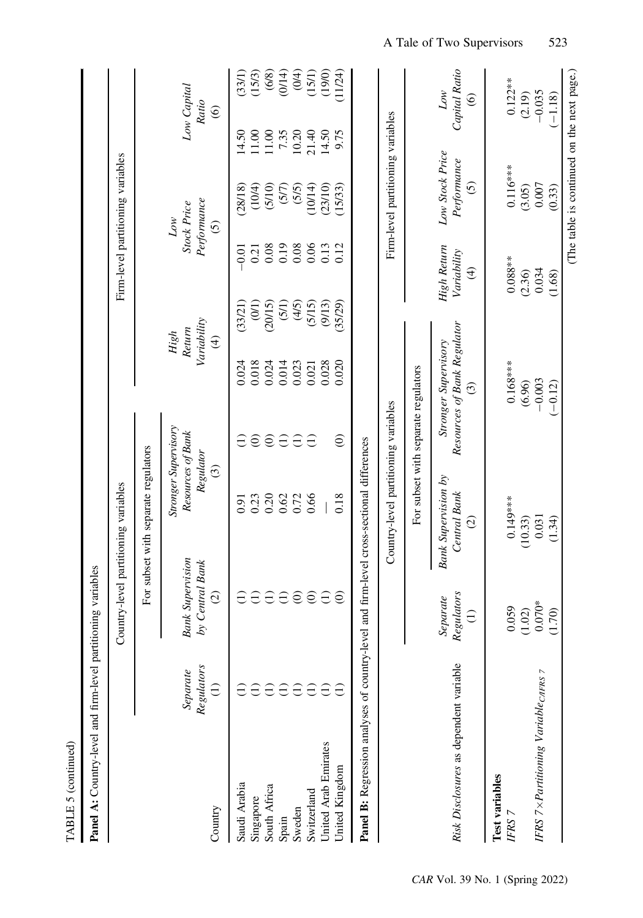| I<br>Ļ      |  |
|-------------|--|
| д<br>٦<br>Ľ |  |

| and mortification unmobiles<br>is an original in<br>í |
|-------------------------------------------------------|
| 3<br>vel and firm-le-                                 |
|                                                       |
| š                                                     |
|                                                       |
| u<br>B<br>í                                           |

| Panel A: Country-level and firm-level partitioning variables                             |                                           |                                                             |                                                       |                                     |                                                                |                    |                                                          |                                                           |                 |                                           |
|------------------------------------------------------------------------------------------|-------------------------------------------|-------------------------------------------------------------|-------------------------------------------------------|-------------------------------------|----------------------------------------------------------------|--------------------|----------------------------------------------------------|-----------------------------------------------------------|-----------------|-------------------------------------------|
|                                                                                          |                                           |                                                             | Country-level partitioning variables                  |                                     |                                                                |                    |                                                          | Firm-level partitioning variables                         |                 |                                           |
|                                                                                          |                                           |                                                             | For subset with separate regulators                   |                                     |                                                                |                    |                                                          |                                                           |                 |                                           |
| Country                                                                                  | Regulators<br>Separate<br>$\widehat{\Xi}$ | <b>Bank Supervision</b><br>by Central Bank<br>$\widehat{c}$ | Resources of Bank<br>Regulator<br>$\odot$             | <b>Stronger Supervisory</b>         | Variability<br>Return<br>$\widehat{\mathcal{F}}$               | High               |                                                          | Performance<br><b>Stock Price</b><br>Low<br>$\widehat{c}$ |                 | Low Capital<br>Ratio<br>$\widehat{\circ}$ |
| Saudi Arabia<br>Singapore                                                                |                                           | Э                                                           | 0.91                                                  | $\widehat{\in}$                     | 0.018<br>0.024                                                 | (33/21)            | 0.21<br>$-0.01$                                          | (10/4)<br>(28/18)                                         | $1.00$<br>14.50 | $(33/1)$<br>$(15/3)$                      |
| South Africa                                                                             | E                                         | $\ominus$                                                   | $0.23$<br>$0.20$                                      | $\widehat{\in}$                     | 0.024                                                          | $(0/1)$<br>(20/15) | 0.08                                                     | $(5/10)$                                                  | 11.00           |                                           |
| Spain                                                                                    | Ξ                                         | $\ominus$                                                   | 0.62                                                  | $\widehat{\Xi}$                     | 0.014                                                          | (5/1)              | 0.19                                                     | (57)                                                      | 7.35            | $(6/8)$<br>(0/14)                         |
| Sweden                                                                                   | Э                                         | $\odot$                                                     | 0.72                                                  | $\ominus$                           | 0.023                                                          | (4/5)              | 0.08                                                     | (5/5)                                                     | 10.20           | $(0/4)$                                   |
| Switzerland                                                                              | E                                         | $\odot$                                                     | 0.66                                                  | $\ominus$                           | 0.021                                                          | (5/15)             | 0.05                                                     | (10/14)                                                   | 21.40           | $(15/1)$<br>$(19/0)$<br>$11/24)$          |
| United Arab Emirates                                                                     |                                           | $\ominus$                                                   |                                                       |                                     | 0.028                                                          | (9/13)             |                                                          | (23/10)                                                   |                 |                                           |
| United Kingdom                                                                           |                                           | ව                                                           | 0.18                                                  | $\odot$                             | 0.020                                                          | (35/29)            | 0.12                                                     | (15/33)                                                   | 9.75            |                                           |
| Panel B: Regression analyses of country-level and firm-level cross-sectional differences |                                           |                                                             |                                                       |                                     |                                                                |                    |                                                          |                                                           |                 |                                           |
|                                                                                          |                                           |                                                             | Country-level partitioning variables                  |                                     |                                                                |                    |                                                          | Firm-level partitioning variables                         |                 |                                           |
|                                                                                          |                                           | J                                                           |                                                       | For subset with separate regulators |                                                                |                    |                                                          |                                                           |                 |                                           |
| Risk Disclosures as dependent variable                                                   |                                           | Regulators<br>Separate<br>$\ominus$                         | <b>Bank Supervision by</b><br>Central Bank<br>$\odot$ |                                     | Resources of Bank Regulator<br>Stronger Supervisory<br>$\odot$ |                    | High Return<br>Variability<br>$\bigoplus$                | Low Stock Price<br>Performance<br>$\odot$                 |                 | Capital Ratio<br>Low<br>$\circledcirc$    |
|                                                                                          |                                           |                                                             |                                                       |                                     |                                                                |                    |                                                          |                                                           |                 |                                           |
| Test variables<br>IFRS 7                                                                 |                                           | 0.059                                                       | $0.149***$                                            |                                     | $0.168***$                                                     |                    | $0.088**$                                                | $0.116***$                                                |                 | $0.122**$                                 |
|                                                                                          |                                           | (1.02)                                                      | (10.33)                                               |                                     | (6.96)                                                         |                    |                                                          | (3.05)                                                    |                 | (2.19)                                    |
| IFRS 7 × Partitioning Variable <sub>CIFRS</sub> 7                                        |                                           | $0.070*$<br>(1.70)                                          | $0.031$<br>(1.34)                                     |                                     | $-0.003$<br>$(-0.12)$                                          |                    | $\begin{array}{c} (2.36) \\ 0.034 \\ (1.68) \end{array}$ | $\begin{array}{c} 0.007 \\ 0.33 \end{array}$              |                 | $-0.035$<br>(-1.18)                       |

(The table is continued on the next page.)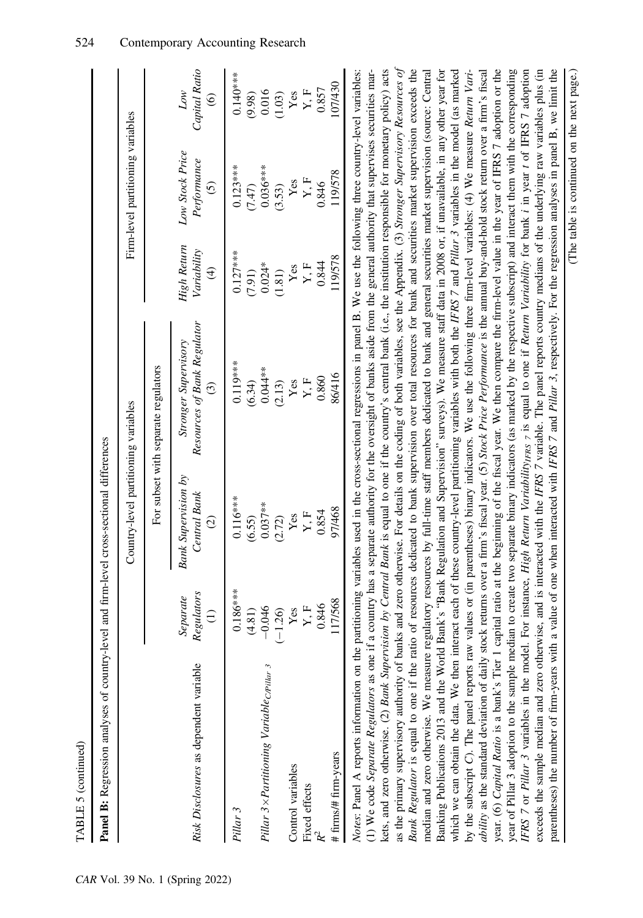| TABLE 5 (continued)                                                                                                                                                                                                                                                                                                                                                                                                                                                                                                                                                                                                                                                                                                                                                                                                                                                                                                                                                                                                                                                                                                                                                                                                                                                                                                                                                                                                                                                                                                                                                                                                                                                                                                                                                                                                                                                                                                                                                                                                                                                                                                                                                                                                                                                                                                                                                                                                                                                                                                                                                                                                                                                  |                                           |                                                                 |                                                                                       |                                                        |                                                           |                                           |
|----------------------------------------------------------------------------------------------------------------------------------------------------------------------------------------------------------------------------------------------------------------------------------------------------------------------------------------------------------------------------------------------------------------------------------------------------------------------------------------------------------------------------------------------------------------------------------------------------------------------------------------------------------------------------------------------------------------------------------------------------------------------------------------------------------------------------------------------------------------------------------------------------------------------------------------------------------------------------------------------------------------------------------------------------------------------------------------------------------------------------------------------------------------------------------------------------------------------------------------------------------------------------------------------------------------------------------------------------------------------------------------------------------------------------------------------------------------------------------------------------------------------------------------------------------------------------------------------------------------------------------------------------------------------------------------------------------------------------------------------------------------------------------------------------------------------------------------------------------------------------------------------------------------------------------------------------------------------------------------------------------------------------------------------------------------------------------------------------------------------------------------------------------------------------------------------------------------------------------------------------------------------------------------------------------------------------------------------------------------------------------------------------------------------------------------------------------------------------------------------------------------------------------------------------------------------------------------------------------------------------------------------------------------------|-------------------------------------------|-----------------------------------------------------------------|---------------------------------------------------------------------------------------|--------------------------------------------------------|-----------------------------------------------------------|-------------------------------------------|
| Panel B: Regression analyses of country-level and firm-level cross-sectional differences                                                                                                                                                                                                                                                                                                                                                                                                                                                                                                                                                                                                                                                                                                                                                                                                                                                                                                                                                                                                                                                                                                                                                                                                                                                                                                                                                                                                                                                                                                                                                                                                                                                                                                                                                                                                                                                                                                                                                                                                                                                                                                                                                                                                                                                                                                                                                                                                                                                                                                                                                                             |                                           |                                                                 |                                                                                       |                                                        |                                                           |                                           |
|                                                                                                                                                                                                                                                                                                                                                                                                                                                                                                                                                                                                                                                                                                                                                                                                                                                                                                                                                                                                                                                                                                                                                                                                                                                                                                                                                                                                                                                                                                                                                                                                                                                                                                                                                                                                                                                                                                                                                                                                                                                                                                                                                                                                                                                                                                                                                                                                                                                                                                                                                                                                                                                                      |                                           | Country-level partitioning variables                            |                                                                                       |                                                        | Firm-level partitioning variables                         |                                           |
|                                                                                                                                                                                                                                                                                                                                                                                                                                                                                                                                                                                                                                                                                                                                                                                                                                                                                                                                                                                                                                                                                                                                                                                                                                                                                                                                                                                                                                                                                                                                                                                                                                                                                                                                                                                                                                                                                                                                                                                                                                                                                                                                                                                                                                                                                                                                                                                                                                                                                                                                                                                                                                                                      |                                           |                                                                 | For subset with separate regulators                                                   |                                                        |                                                           |                                           |
| Risk Disclosures as dependent variable                                                                                                                                                                                                                                                                                                                                                                                                                                                                                                                                                                                                                                                                                                                                                                                                                                                                                                                                                                                                                                                                                                                                                                                                                                                                                                                                                                                                                                                                                                                                                                                                                                                                                                                                                                                                                                                                                                                                                                                                                                                                                                                                                                                                                                                                                                                                                                                                                                                                                                                                                                                                                               | Regulators<br>Separate<br>$\widehat{\Xi}$ | <b>Bank Supervision by</b><br>Central Bank<br>$\widehat{\circ}$ | Resources of Bank Regulator<br><b>Stronger Supervisory</b><br>$\widehat{\mathcal{C}}$ | High Return<br>Variability<br>$\widehat{\mathfrak{t}}$ | Low Stock Price<br>Performance<br>$\widehat{\mathcal{O}}$ | Capital Ratio<br>Low<br>$\widehat{\circ}$ |
| Pillar 3                                                                                                                                                                                                                                                                                                                                                                                                                                                                                                                                                                                                                                                                                                                                                                                                                                                                                                                                                                                                                                                                                                                                                                                                                                                                                                                                                                                                                                                                                                                                                                                                                                                                                                                                                                                                                                                                                                                                                                                                                                                                                                                                                                                                                                                                                                                                                                                                                                                                                                                                                                                                                                                             | $0.186***$<br>(4.81)                      | $0.116***$<br>(6.55)                                            | $0.119***$<br>(6.34)                                                                  | $0.127***$<br>(7.91)                                   | $0.123***$<br>(7.47)                                      | $0.140***$<br>(9.98)                      |
| Pillar 3 × Partitioning Variable creitar 3                                                                                                                                                                                                                                                                                                                                                                                                                                                                                                                                                                                                                                                                                                                                                                                                                                                                                                                                                                                                                                                                                                                                                                                                                                                                                                                                                                                                                                                                                                                                                                                                                                                                                                                                                                                                                                                                                                                                                                                                                                                                                                                                                                                                                                                                                                                                                                                                                                                                                                                                                                                                                           | $-0.046$<br>$(-1.26)$                     | $0.037**$<br>(2.72)                                             | $0.044**$<br>(2.13)                                                                   | $0.024*$<br>(1.81)                                     | $0.036***$<br>(3.53)                                      | 0.016<br>(1.03)                           |
| Control variables<br>Fixed effects                                                                                                                                                                                                                                                                                                                                                                                                                                                                                                                                                                                                                                                                                                                                                                                                                                                                                                                                                                                                                                                                                                                                                                                                                                                                                                                                                                                                                                                                                                                                                                                                                                                                                                                                                                                                                                                                                                                                                                                                                                                                                                                                                                                                                                                                                                                                                                                                                                                                                                                                                                                                                                   | Yes                                       | Yes                                                             | Yes                                                                                   | Yes                                                    | Yes                                                       | $\mathbf{Yes}$                            |
|                                                                                                                                                                                                                                                                                                                                                                                                                                                                                                                                                                                                                                                                                                                                                                                                                                                                                                                                                                                                                                                                                                                                                                                                                                                                                                                                                                                                                                                                                                                                                                                                                                                                                                                                                                                                                                                                                                                                                                                                                                                                                                                                                                                                                                                                                                                                                                                                                                                                                                                                                                                                                                                                      | 0.846<br>$\mathbf{Y}, \mathbf{F}$         | 0.854<br>$\mathbf{Y}, \mathbf{F}$                               | 0.860<br>$\mathbf{Y}, \mathbf{F}$                                                     | 0.844<br>Y, F                                          | Y, F<br>0.846                                             | 0.857<br>$\mathbf{Y}, \mathbf{F}$         |
| # firms/# firm-years                                                                                                                                                                                                                                                                                                                                                                                                                                                                                                                                                                                                                                                                                                                                                                                                                                                                                                                                                                                                                                                                                                                                                                                                                                                                                                                                                                                                                                                                                                                                                                                                                                                                                                                                                                                                                                                                                                                                                                                                                                                                                                                                                                                                                                                                                                                                                                                                                                                                                                                                                                                                                                                 | 117/568                                   | 97/468                                                          | 86/416                                                                                | 19/578                                                 | 119/578                                                   | 107/430                                   |
| as the primary supervisory authority of banks and zero otherwise. For details on the coding of both variables, see the Appendix. (3) Stronger Supervisory Resources of<br>year. (6) Capital Ratio is a bank's Tier 1 capital ratio at the beginning of the fiscal year. We then compare the firm-level value in the year of IFRS 7 adoption or the<br>parentheses) the number of firm-years with a value of one when interacted with IFRS 7 and Pillar 3, respectively. For the regression analyses in panel B, we limit the<br>(1) We code Separate Regulators as one if a country has a separate authority for the oversight of banks aside from the general authority that supervises securities mar-<br>kets, and zero otherwise. (2) Bank Supervision by Central Bank is equal to one if the country's central bank (i.e., the institution responsible for monetary policy) acts<br>Bank Regulator is equal to one if the ratio of resources dedicated to bank supervision over total resources for bank and securities market supervision exceeds the<br>median and zero otherwise. We measure regulatory resources by full-time staff members dedicated to bank and general securities market supervision (source: Central<br>year of Pillar 3 adoption to the sample median to create two separate binary indicators (as marked by the respective subscript) and interact them with the corresponding<br>IFRS 7 or Pillar 3 variables in the model. For instance, High Return Variability <sub>IFRS 7</sub> is equal to one if Return Variability for bank i in year t of IFRS 7 adoption<br>exceeds the sample median and zero otherwise, and is interacted with the IFRS 7 variable. The panel reports country medians of the underlying raw variables plus (in<br>Notes: Panel A reports information on the partitioning variables used in the cross-sectional regressions in panel B. We use the following three country-level variables:<br>Banking Publications 2013 and the World Bank's "Bank Regulation and Supervision" surveys). We measure staff data in 2008 or, if unavailable, in any other year for<br>by the subscript C). The panel reports raw values or (in parentheses) binary indicators. We use the following three firm-level variables: (4) We measure Return Vari-<br><i>ability</i> as the standard deviation of daily stock returns over a firm's fiscal year. (5) Stock Price Performance is the annual buy-and-hold stock return over a firm's fiscal<br>which we can obtain the data. We then interact each of these country-level partitioning variables with both the IFRS 7 and Pillar 3 variables in the model (as marked |                                           |                                                                 |                                                                                       |                                                        |                                                           |                                           |

(The table is continued on the next page.)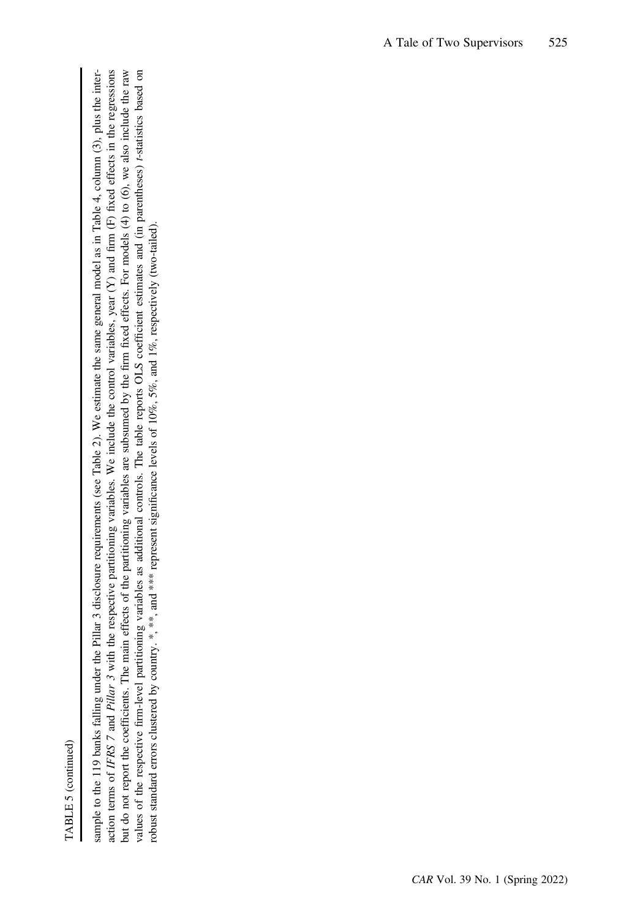TABLE 5 (continued) TABLE 5 (continued)

action terms of IFRS 7 and Pillar 3 with the respective partitioning variables. We include the control variables, year (Y) and firm (F) fixed effects in the regressions but do not report the coefficients. The main effects of the partitioning variables are subsumed by the firm fixed effects. For models (4) to (6), we also include the raw values of the respective firm-level partitioning variables as additional controls. The table reports OLS coefficient estimates and (in parentheses) t-statistics based on sample to the 119 banks falling under the Pillar 3 disclosure requirements (see Table 2). We estimate the same general model as in Table 4, column (3), plus the intersample to the 119 banks falling under the Pillar 3 disclosure requirements (see Table 2). We estimate the same general model as in Table 4, column (3), plus the interaction terms of IFRS 7 and Pillar 3 with the respective partitioning variables. We include the control variables, year (Y) and firm (F) fixed effects in the regressions but do not report the coefficients. The main effects of the partitioning variables are subsumed by the firm fixed effects. For models (4) to (6), we also include the raw values of the respective firm-level partitioning variables as additional controls. The table reports OLS coefficient estimates and (in parentheses) t-statistics based on robust standard errors clustered by country. \*, \*\*\*, and \*\*\* represent significance levels of 10%, 5%, and 1%, respectively (two-tailed). robust standard errors clustered by country. \*, \*\*, and \*\*\* represent significance levels of 10%, 5%, and 1%, respectively (two-tailed).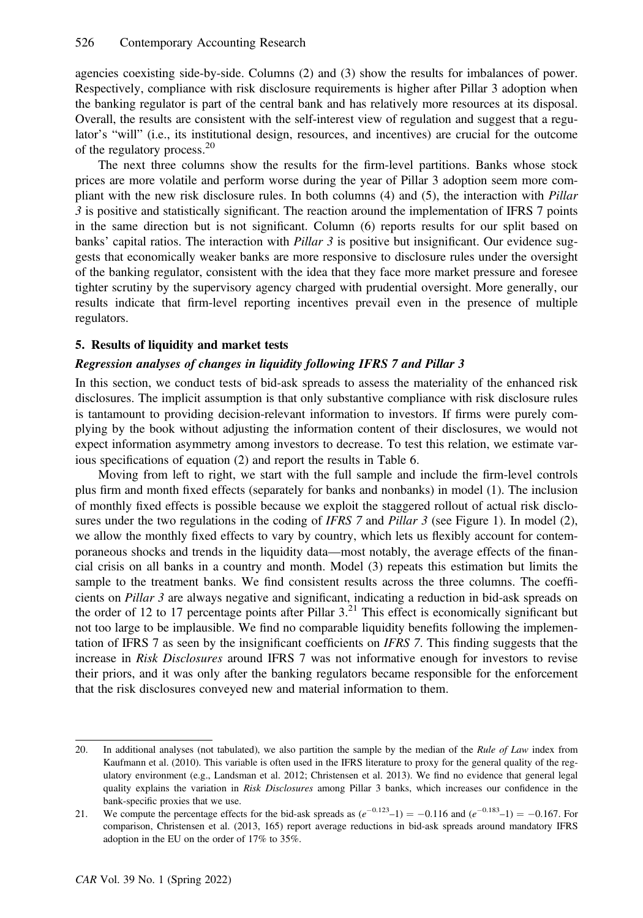agencies coexisting side-by-side. Columns (2) and (3) show the results for imbalances of power. Respectively, compliance with risk disclosure requirements is higher after Pillar 3 adoption when the banking regulator is part of the central bank and has relatively more resources at its disposal. Overall, the results are consistent with the self-interest view of regulation and suggest that a regulator's "will" (i.e., its institutional design, resources, and incentives) are crucial for the outcome of the regulatory process.<sup>20</sup>

The next three columns show the results for the firm-level partitions. Banks whose stock prices are more volatile and perform worse during the year of Pillar 3 adoption seem more compliant with the new risk disclosure rules. In both columns (4) and (5), the interaction with Pillar 3 is positive and statistically significant. The reaction around the implementation of IFRS 7 points in the same direction but is not significant. Column (6) reports results for our split based on banks' capital ratios. The interaction with *Pillar 3* is positive but insignificant. Our evidence suggests that economically weaker banks are more responsive to disclosure rules under the oversight of the banking regulator, consistent with the idea that they face more market pressure and foresee tighter scrutiny by the supervisory agency charged with prudential oversight. More generally, our results indicate that firm-level reporting incentives prevail even in the presence of multiple regulators.

# 5. Results of liquidity and market tests

# Regression analyses of changes in liquidity following IFRS 7 and Pillar 3

In this section, we conduct tests of bid-ask spreads to assess the materiality of the enhanced risk disclosures. The implicit assumption is that only substantive compliance with risk disclosure rules is tantamount to providing decision-relevant information to investors. If firms were purely complying by the book without adjusting the information content of their disclosures, we would not expect information asymmetry among investors to decrease. To test this relation, we estimate various specifications of equation (2) and report the results in Table 6.

Moving from left to right, we start with the full sample and include the firm-level controls plus firm and month fixed effects (separately for banks and nonbanks) in model (1). The inclusion of monthly fixed effects is possible because we exploit the staggered rollout of actual risk disclosures under the two regulations in the coding of IFRS 7 and Pillar 3 (see Figure 1). In model (2), we allow the monthly fixed effects to vary by country, which lets us flexibly account for contemporaneous shocks and trends in the liquidity data—most notably, the average effects of the financial crisis on all banks in a country and month. Model (3) repeats this estimation but limits the sample to the treatment banks. We find consistent results across the three columns. The coefficients on Pillar 3 are always negative and significant, indicating a reduction in bid-ask spreads on the order of 12 to 17 percentage points after Pillar  $3<sup>21</sup>$ . This effect is economically significant but not too large to be implausible. We find no comparable liquidity benefits following the implementation of IFRS 7 as seen by the insignificant coefficients on IFRS 7. This finding suggests that the increase in Risk Disclosures around IFRS 7 was not informative enough for investors to revise their priors, and it was only after the banking regulators became responsible for the enforcement that the risk disclosures conveyed new and material information to them.

<sup>20.</sup> In additional analyses (not tabulated), we also partition the sample by the median of the Rule of Law index from Kaufmann et al. (2010). This variable is often used in the IFRS literature to proxy for the general quality of the regulatory environment (e.g., Landsman et al. 2012; Christensen et al. 2013). We find no evidence that general legal quality explains the variation in Risk Disclosures among Pillar 3 banks, which increases our confidence in the bank-specific proxies that we use.

<sup>21.</sup> We compute the percentage effects for the bid-ask spreads as  $(e^{-0.123}-1) = -0.116$  and  $(e^{-0.183}-1) = -0.167$ . For comparison, Christensen et al. (2013, 165) report average reductions in bid-ask spreads around mandatory IFRS adoption in the EU on the order of 17% to 35%.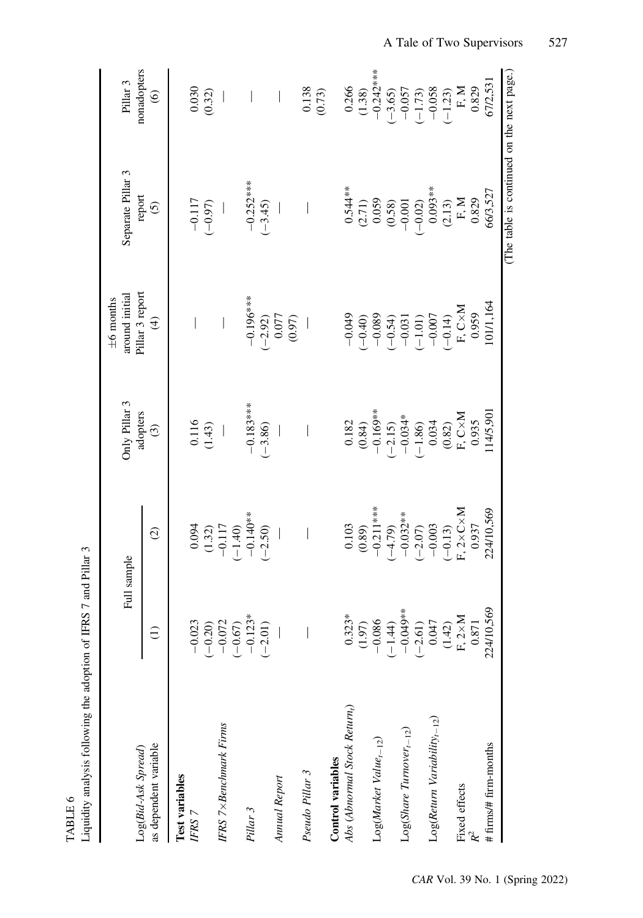| Liquidity analysis following the adoption of IFRS 7 and Pillar 3<br>TABLE 6 |                                                                                                                                                                                      |                                                                                           |                                                                               |                                                                                                                                                                                                                                                                                                                                                                  |                                                                                                                                                                                                                                                                                                    |                                                                   |
|-----------------------------------------------------------------------------|--------------------------------------------------------------------------------------------------------------------------------------------------------------------------------------|-------------------------------------------------------------------------------------------|-------------------------------------------------------------------------------|------------------------------------------------------------------------------------------------------------------------------------------------------------------------------------------------------------------------------------------------------------------------------------------------------------------------------------------------------------------|----------------------------------------------------------------------------------------------------------------------------------------------------------------------------------------------------------------------------------------------------------------------------------------------------|-------------------------------------------------------------------|
| Log(Bid-Ask Spread)                                                         |                                                                                                                                                                                      | Full sample                                                                               | Only Pillar 3                                                                 | Pillar 3 report<br>around initial<br>$\pm 6$ months                                                                                                                                                                                                                                                                                                              | Separate Pillar 3                                                                                                                                                                                                                                                                                  | nonadopters<br>Pillar 3                                           |
| as dependent variable                                                       |                                                                                                                                                                                      | $\widehat{c}$                                                                             | adopters<br>$\widehat{\mathcal{C}}$                                           | $\widehat{\mathcal{F}}$                                                                                                                                                                                                                                                                                                                                          | report<br>$\widehat{c}$                                                                                                                                                                                                                                                                            | $\circledcirc$                                                    |
| Test variables                                                              |                                                                                                                                                                                      |                                                                                           |                                                                               |                                                                                                                                                                                                                                                                                                                                                                  |                                                                                                                                                                                                                                                                                                    |                                                                   |
| IFRS 7                                                                      | $-0.023$<br>$(-0.20)$<br>$-0.072$<br>$(-0.67)$<br>$(-0.67)$<br>$(-2.01)$                                                                                                             | $\begin{array}{c} 0.094 \\ (1.32) \\ (1.32) \\ -0.117 \\ (-1.40) \\ -0.140** \end{array}$ | $\frac{0.116}{(1.43)}$                                                        |                                                                                                                                                                                                                                                                                                                                                                  | $-0.117$<br>$(-0.97)$                                                                                                                                                                                                                                                                              | $\begin{array}{c} 0.030 \\ 0.32) \end{array}$                     |
| IFRS 7× Benchmark Firms                                                     |                                                                                                                                                                                      |                                                                                           |                                                                               |                                                                                                                                                                                                                                                                                                                                                                  |                                                                                                                                                                                                                                                                                                    |                                                                   |
|                                                                             |                                                                                                                                                                                      |                                                                                           |                                                                               |                                                                                                                                                                                                                                                                                                                                                                  |                                                                                                                                                                                                                                                                                                    |                                                                   |
| Pillar 3                                                                    |                                                                                                                                                                                      |                                                                                           | $-0.183***$                                                                   | $-0.196***$                                                                                                                                                                                                                                                                                                                                                      | $-0.252***$                                                                                                                                                                                                                                                                                        | $\bigg $                                                          |
|                                                                             |                                                                                                                                                                                      | $(-2.50)$                                                                                 | $(-3.86)$                                                                     |                                                                                                                                                                                                                                                                                                                                                                  | $(-3.45)$                                                                                                                                                                                                                                                                                          |                                                                   |
| Annual Report                                                               |                                                                                                                                                                                      |                                                                                           |                                                                               | $(-2.92)$<br>0.077<br>0.97)                                                                                                                                                                                                                                                                                                                                      |                                                                                                                                                                                                                                                                                                    |                                                                   |
|                                                                             |                                                                                                                                                                                      |                                                                                           |                                                                               |                                                                                                                                                                                                                                                                                                                                                                  |                                                                                                                                                                                                                                                                                                    |                                                                   |
| Pseudo Pillar 3                                                             |                                                                                                                                                                                      |                                                                                           |                                                                               |                                                                                                                                                                                                                                                                                                                                                                  |                                                                                                                                                                                                                                                                                                    | 0.138                                                             |
| Control variables                                                           |                                                                                                                                                                                      |                                                                                           |                                                                               |                                                                                                                                                                                                                                                                                                                                                                  |                                                                                                                                                                                                                                                                                                    | (0.73)                                                            |
| Abs (Abnormal Stock Return <sub>t</sub> )                                   |                                                                                                                                                                                      |                                                                                           |                                                                               |                                                                                                                                                                                                                                                                                                                                                                  |                                                                                                                                                                                                                                                                                                    |                                                                   |
|                                                                             | $\begin{array}{c} 0.323^{*} \\ (1.97) \\ (1.90) \\ -0.086 \\ (-1.44) \\ -0.049^{*} \\ (0.047) \\ -0.047 \\ (1.42) \\ (1.42) \\ (1.42) \\ (1.42) \\ \text{F, Z} \times M \end{array}$ | $0.103$<br>(0.89)<br>-0.211***                                                            | $0.182$<br>(0.84)<br>-0.169**                                                 | $\begin{array}{r} -0.049 \\ (-0.40) \\ (-0.30) \\ (-0.54) \\ (-0.54) \\ (-0.54) \\ (-0.031) \\ (-0.07) \\ (-0.14) \\ (-0.14) \\ (-0.14) \\ (-0.14) \\ (-0.14) \\ (-0.14) \\ (-0.14) \\ (-0.14) \\ (-0.14) \\ (-0.14) \\ (-0.14) \\ (-0.14) \\ (-0.14) \\ (-0.14) \\ (-0.14) \\ (-0.14) \\ (-0.14) \\ (-0.14) \\ (-0.14) \\ (-0.14) \\ (-0.14) \\ (-0.14) \\ (-0$ | $\begin{array}{l} 0.544**\\ (2.71)\\ (0.059)\\ (0.058)\\ (0.030)\\ (0.001)\\ (0.002)\\ (0.003)\\ (1.13)\\ (1.13)\\ (1.13)\\ (1.13)\\ (1.13)\\ (1.13)\\ (1.13)\\ (1.13)\\ (1.14)\\ (1.15)\\ (1.15)\\ (1.16)\\ (1.17)\\ (1.18)\\ (1.19)\\ (1.19)\\ (1.10)\\ (1.11)\\ (1.13)\\ (1.13)\\ (1.13)\\ (1.$ | $0.266$<br>(1.38)<br>-0.242***                                    |
| $Log(Marker Value_{t-12})$                                                  |                                                                                                                                                                                      |                                                                                           |                                                                               |                                                                                                                                                                                                                                                                                                                                                                  |                                                                                                                                                                                                                                                                                                    |                                                                   |
|                                                                             |                                                                                                                                                                                      | $(-4.79)$                                                                                 |                                                                               |                                                                                                                                                                                                                                                                                                                                                                  |                                                                                                                                                                                                                                                                                                    | $(-3.65)$                                                         |
| $Log(Share\;Turnover_{t-12})$                                               |                                                                                                                                                                                      | $-0.032**$                                                                                |                                                                               |                                                                                                                                                                                                                                                                                                                                                                  |                                                                                                                                                                                                                                                                                                    |                                                                   |
|                                                                             |                                                                                                                                                                                      | $(-2.07)$                                                                                 |                                                                               |                                                                                                                                                                                                                                                                                                                                                                  |                                                                                                                                                                                                                                                                                                    |                                                                   |
| $Log(Return\ Variability_{t-12})$                                           |                                                                                                                                                                                      | $-0.003$                                                                                  | $(-2.15)$<br>-0.034*<br>-1.86)<br>(-1.86)                                     |                                                                                                                                                                                                                                                                                                                                                                  |                                                                                                                                                                                                                                                                                                    | $-0.057$<br>$(-1.73)$<br>$-0.058$<br>$(-1.23)$<br>F, M<br>$B$ , M |
|                                                                             |                                                                                                                                                                                      | $(-0.13)$                                                                                 | $\begin{array}{c} (0.82) \\ \text{F, C} \times \text{M} \\ 0.935 \end{array}$ |                                                                                                                                                                                                                                                                                                                                                                  |                                                                                                                                                                                                                                                                                                    |                                                                   |
| Fixed effects                                                               |                                                                                                                                                                                      | $F, 2 \times C \times M$                                                                  |                                                                               |                                                                                                                                                                                                                                                                                                                                                                  |                                                                                                                                                                                                                                                                                                    |                                                                   |
| $\mathcal{R}^2$                                                             | 0.871                                                                                                                                                                                | 0.937                                                                                     |                                                                               |                                                                                                                                                                                                                                                                                                                                                                  |                                                                                                                                                                                                                                                                                                    |                                                                   |
| # firms/# firm-months                                                       | 224/10,569                                                                                                                                                                           | 224/10,569                                                                                | 14/5,90                                                                       | 101/1,164                                                                                                                                                                                                                                                                                                                                                        | 66/3,527                                                                                                                                                                                                                                                                                           | 67/2,531                                                          |
|                                                                             |                                                                                                                                                                                      |                                                                                           |                                                                               |                                                                                                                                                                                                                                                                                                                                                                  | (The table is continued on the next page.)                                                                                                                                                                                                                                                         |                                                                   |

A Tale of Two Supervisors 527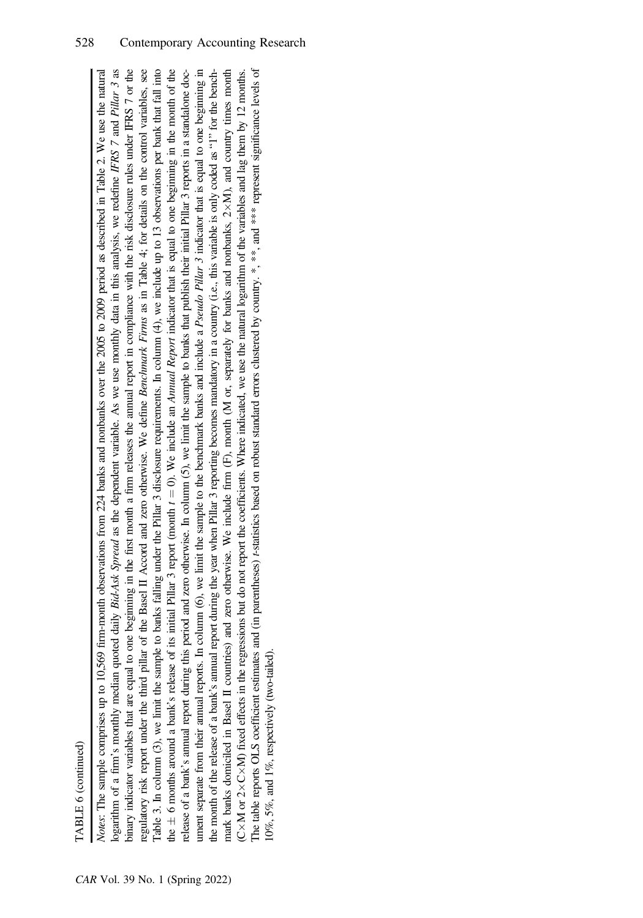| ٢ |
|---|
|   |
|   |
|   |
|   |
|   |
| ٦ |

Notes: The sample comprises up to 10,569 firm-month observations from 224 banks and nonbanks over the 2005 to 2009 period as described in Table 2. We use the natural ogarithm of a firm's monthly median quoted daily *Bid-Ask Spread* as the dependent variable. As we use monthly data in this analysis, we redefine IFRS 7 and Pillar 3 as binary indicator variables that are equal to one beginning in the first month a firm releases the annual report in compliance with the risk disclosure rules under IFRS 7 or the binary indicator variables that are equal to one beginning in the first month a firm releases the annual report in compliance with the risk disclosure rules under IFRS 7 or the Table 3. In column (3), we limit the sample to banks falling under the Pillar 3 disclosure requirements. In column (4), we include up to 13 observations per bank that fall into  $\pm$  6 months around a bank's release of its initial Pillar 3 report (month  $t = 0$ ). We include an *Annual Report* indicator that is equal to one beginning in the month of the unnent separate from their annual reports. In column (6), we limit the sample to the benchmark banks and include a *Pseudo Pillar 3* indicator that is equal to one beginning in ument separate from their annual reports. In column (6), we limit the sample to the benchmark banks and include a *Pseudo Pillar 3* indicator that is equal to one beginning in M), and country times month The table reports OLS coefficient estimates and (in parentheses) *t*-statistics based on robust standard errors clustered by country.  $*$ ,  $**$ , and  $***$  represent significance levels of The table reports OLS coefficient estimates and (in parentheses) t-statistics based on robust standard errors clustered by country. \*, \*\*, and \*\*\* represent significance levels of Notes: The sample comprises up to 10,569 firm-month observations from 224 banks and nonbanks over the 2005 to 2009 period as described in Table 2. We use the natural logarithm of a firm's monthly median quoted daily *Bid-Ask Spread* as the dependent variable. As we use monthly data in this analysis, we redefine IFRS 7 and Pillar 3 as regulatory risk report under the third pillar of the Basel II Accord and zero otherwise. We define Benchmark Firms as in Table 4; for details on the control variables, see regulatory risk report under the third pillar of the Basel II Accord and zero otherwise. We define Benchmark Firms as in Table 4; for details on the control variables, see Table 3. In column (3), we limit the sample to banks falling under the Pillar 3 disclosure requirements. In column  $(4)$ , we include up to 13 observations per bank that fall into release of a bank's annual report during this period and zero otherwise. In column (5), we limit the sample to banks that publish their initial Pillar 3 reports in a standalone docrelease of a bank's annual report during this period and zero otherwise. In column (5), we limit the sample to banks that publish their initial Pillar 3 reports in a standalone docthe month of the release of a bank's annual report during the year when Pillar 3 reporting becomes mandatory in a country (i.e., this variable is only coded as "1" for the benchthe month of the release of a bank's annual report during the year when Pillar 3 reporting becomes mandatory in a country (i.e., this variable is only coded as "1" for the benchmark banks domiciled in Basel II countries) and zero otherwise. We include firm (F), month (M or, separately for banks and nonbanks, 2×M), and country times month M) fixed effects in the regressions but do not report the coefficients. Where indicated, we use the natural logarithm of the variables and lag them by 12 months. mark banks domiciled in Basel II countries) and zero otherwise. We include firm (F), month (M or, separately for banks and nonbanks, 2-10%, 5%, and 1%, respectively (two-tailed). 0%, 5%, and 1%, respectively (two-tailed)  $\breve{\circ}$ M or 2 $\times$  $^+$  $\breve{\mathrm{C}}$ the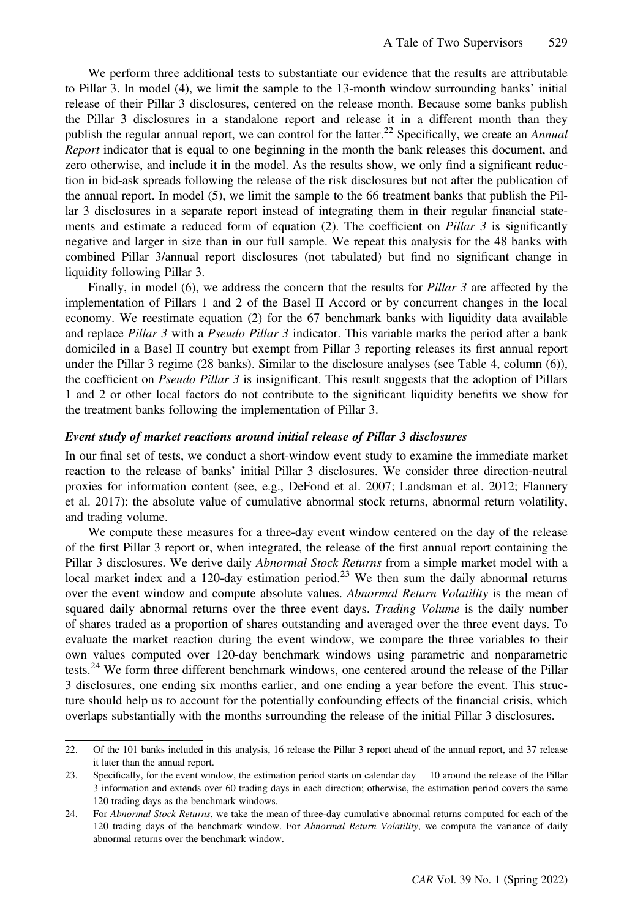We perform three additional tests to substantiate our evidence that the results are attributable to Pillar 3. In model (4), we limit the sample to the 13-month window surrounding banks' initial release of their Pillar 3 disclosures, centered on the release month. Because some banks publish the Pillar 3 disclosures in a standalone report and release it in a different month than they publish the regular annual report, we can control for the latter.<sup>22</sup> Specifically, we create an Annual Report indicator that is equal to one beginning in the month the bank releases this document, and zero otherwise, and include it in the model. As the results show, we only find a significant reduction in bid-ask spreads following the release of the risk disclosures but not after the publication of the annual report. In model (5), we limit the sample to the 66 treatment banks that publish the Pillar 3 disclosures in a separate report instead of integrating them in their regular financial statements and estimate a reduced form of equation (2). The coefficient on *Pillar 3* is significantly negative and larger in size than in our full sample. We repeat this analysis for the 48 banks with combined Pillar 3/annual report disclosures (not tabulated) but find no significant change in liquidity following Pillar 3.

Finally, in model (6), we address the concern that the results for *Pillar 3* are affected by the implementation of Pillars 1 and 2 of the Basel II Accord or by concurrent changes in the local economy. We reestimate equation (2) for the 67 benchmark banks with liquidity data available and replace Pillar 3 with a Pseudo Pillar 3 indicator. This variable marks the period after a bank domiciled in a Basel II country but exempt from Pillar 3 reporting releases its first annual report under the Pillar 3 regime (28 banks). Similar to the disclosure analyses (see Table 4, column (6)), the coefficient on *Pseudo Pillar 3* is insignificant. This result suggests that the adoption of Pillars 1 and 2 or other local factors do not contribute to the significant liquidity benefits we show for the treatment banks following the implementation of Pillar 3.

#### Event study of market reactions around initial release of Pillar 3 disclosures

In our final set of tests, we conduct a short-window event study to examine the immediate market reaction to the release of banks' initial Pillar 3 disclosures. We consider three direction-neutral proxies for information content (see, e.g., DeFond et al. 2007; Landsman et al. 2012; Flannery et al. 2017): the absolute value of cumulative abnormal stock returns, abnormal return volatility, and trading volume.

We compute these measures for a three-day event window centered on the day of the release of the first Pillar 3 report or, when integrated, the release of the first annual report containing the Pillar 3 disclosures. We derive daily *Abnormal Stock Returns* from a simple market model with a local market index and a 120-day estimation period.<sup>23</sup> We then sum the daily abnormal returns over the event window and compute absolute values. Abnormal Return Volatility is the mean of squared daily abnormal returns over the three event days. Trading Volume is the daily number of shares traded as a proportion of shares outstanding and averaged over the three event days. To evaluate the market reaction during the event window, we compare the three variables to their own values computed over 120-day benchmark windows using parametric and nonparametric tests.<sup>24</sup> We form three different benchmark windows, one centered around the release of the Pillar 3 disclosures, one ending six months earlier, and one ending a year before the event. This structure should help us to account for the potentially confounding effects of the financial crisis, which overlaps substantially with the months surrounding the release of the initial Pillar 3 disclosures.

<sup>22.</sup> Of the 101 banks included in this analysis, 16 release the Pillar 3 report ahead of the annual report, and 37 release it later than the annual report.

<sup>23.</sup> Specifically, for the event window, the estimation period starts on calendar day  $\pm$  10 around the release of the Pillar 3 information and extends over 60 trading days in each direction; otherwise, the estimation period covers the same 120 trading days as the benchmark windows.

<sup>24.</sup> For Abnormal Stock Returns, we take the mean of three-day cumulative abnormal returns computed for each of the 120 trading days of the benchmark window. For Abnormal Return Volatility, we compute the variance of daily abnormal returns over the benchmark window.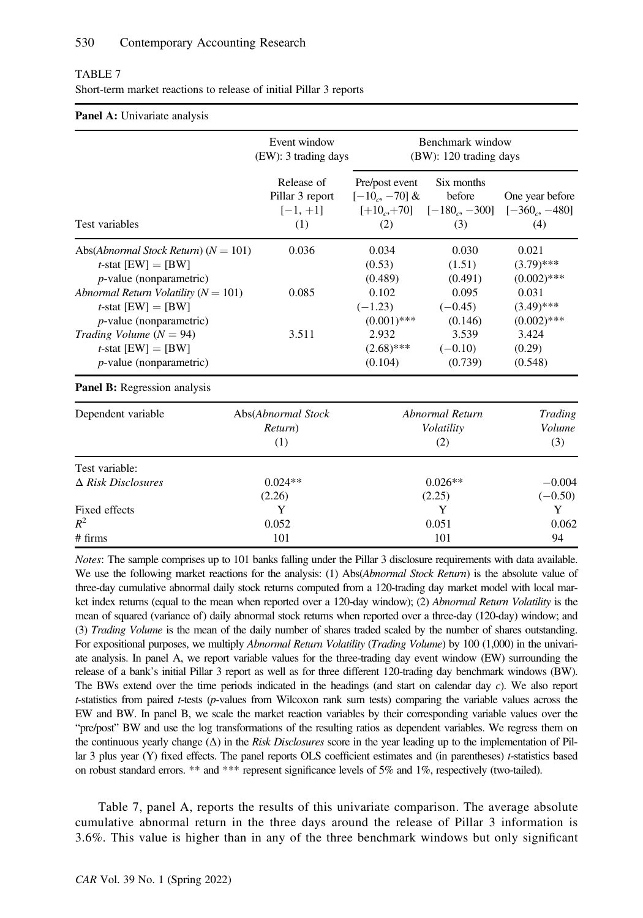| TABLE 7                                                            |  |
|--------------------------------------------------------------------|--|
| Short-term market reactions to release of initial Pillar 3 reports |  |

#### Panel A: Univariate analysis

|                                          | Event window<br>(EW): 3 trading days               |                                         | Benchmark window<br>(BW): 120 trading days                 |                                          |
|------------------------------------------|----------------------------------------------------|-----------------------------------------|------------------------------------------------------------|------------------------------------------|
| Test variables                           | Release of<br>Pillar 3 report<br>$[-1, +1]$<br>(1) | Pre/post event<br>$[-10, -70]$ &<br>(2) | Six months<br>before<br>$[-10, +70]$ $[-180, -300]$<br>(3) | One year before<br>$[-360, -480]$<br>(4) |
| Abs(Abnormal Stock Return) ( $N = 101$ ) | 0.036                                              | 0.034                                   | 0.030                                                      | 0.021                                    |
| <i>t</i> -stat $[EW] = [BW]$             |                                                    | (0.53)                                  | (1.51)                                                     | $(3.79)$ ***                             |
| $p$ -value (nonparametric)               |                                                    | (0.489)                                 | (0.491)                                                    | $(0.002)$ ***                            |
| Abnormal Return Volatility ( $N = 101$ ) | 0.085                                              | 0.102                                   | 0.095                                                      | 0.031                                    |
| <i>t</i> -stat $[EW] = [BW]$             |                                                    | $(-1.23)$                               | $(-0.45)$                                                  | $(3.49)$ ***                             |
| $p$ -value (nonparametric)               |                                                    | $(0.001)$ ***                           | (0.146)                                                    | $(0.002)$ ***                            |
| Trading Volume $(N = 94)$                | 3.511                                              | 2.932                                   | 3.539                                                      | 3.424                                    |
| <i>t</i> -stat $[EW] = [BW]$             |                                                    | $(2.68)$ ***                            | $(-0.10)$                                                  | (0.29)                                   |
| $p$ -value (nonparametric)               |                                                    | (0.104)                                 | (0.739)                                                    | (0.548)                                  |
| <b>Panel B:</b> Regression analysis      |                                                    |                                         |                                                            |                                          |
| Dependent variable                       | Abs(Abnormal Stock<br>Return)<br>(1)               |                                         | Abnormal Return<br>Volatility<br>(2)                       | Trading<br>Volume<br>(3)                 |
| Test variable:                           | $0.024**$                                          |                                         | $0.026**$                                                  | $-0.004$                                 |
| $\Delta$ Risk Disclosures                | (2.26)                                             |                                         | (2.25)                                                     | $(-0.50)$                                |
| Fixed effects                            | Y                                                  |                                         | Y                                                          | Y                                        |
| $R^2$                                    | 0.052                                              |                                         | 0.051                                                      | 0.062                                    |
| # firms                                  | 101                                                |                                         | 101                                                        | 94                                       |

Notes: The sample comprises up to 101 banks falling under the Pillar 3 disclosure requirements with data available. We use the following market reactions for the analysis: (1) Abs(Abnormal Stock Return) is the absolute value of three-day cumulative abnormal daily stock returns computed from a 120-trading day market model with local market index returns (equal to the mean when reported over a 120-day window); (2) Abnormal Return Volatility is the mean of squared (variance of) daily abnormal stock returns when reported over a three-day (120-day) window; and (3) Trading Volume is the mean of the daily number of shares traded scaled by the number of shares outstanding. For expositional purposes, we multiply Abnormal Return Volatility (Trading Volume) by 100 (1,000) in the univariate analysis. In panel A, we report variable values for the three-trading day event window (EW) surrounding the release of a bank's initial Pillar 3 report as well as for three different 120-trading day benchmark windows (BW). The BWs extend over the time periods indicated in the headings (and start on calendar day c). We also report t-statistics from paired t-tests (p-values from Wilcoxon rank sum tests) comparing the variable values across the EW and BW. In panel B, we scale the market reaction variables by their corresponding variable values over the "pre/post" BW and use the log transformations of the resulting ratios as dependent variables. We regress them on the continuous yearly change  $(\Delta)$  in the Risk Disclosures score in the year leading up to the implementation of Pillar 3 plus year (Y) fixed effects. The panel reports OLS coefficient estimates and (in parentheses) *t*-statistics based on robust standard errors. \*\* and \*\*\* represent significance levels of 5% and 1%, respectively (two-tailed).

Table 7, panel A, reports the results of this univariate comparison. The average absolute cumulative abnormal return in the three days around the release of Pillar 3 information is 3.6%. This value is higher than in any of the three benchmark windows but only significant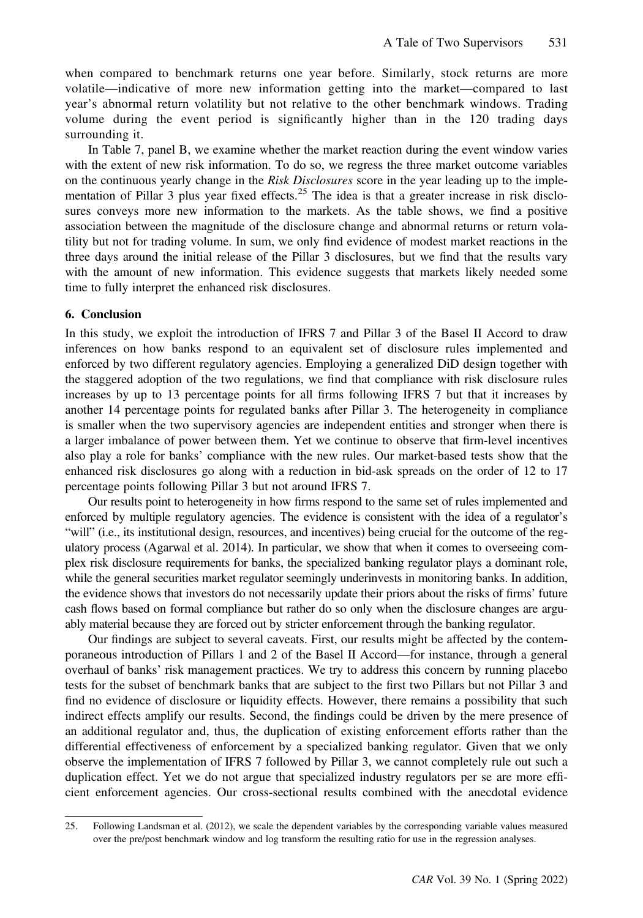when compared to benchmark returns one year before. Similarly, stock returns are more volatile—indicative of more new information getting into the market—compared to last year's abnormal return volatility but not relative to the other benchmark windows. Trading volume during the event period is significantly higher than in the 120 trading days surrounding it.

In Table 7, panel B, we examine whether the market reaction during the event window varies with the extent of new risk information. To do so, we regress the three market outcome variables on the continuous yearly change in the Risk Disclosures score in the year leading up to the implementation of Pillar 3 plus year fixed effects.<sup>25</sup> The idea is that a greater increase in risk disclosures conveys more new information to the markets. As the table shows, we find a positive association between the magnitude of the disclosure change and abnormal returns or return volatility but not for trading volume. In sum, we only find evidence of modest market reactions in the three days around the initial release of the Pillar 3 disclosures, but we find that the results vary with the amount of new information. This evidence suggests that markets likely needed some time to fully interpret the enhanced risk disclosures.

#### 6. Conclusion

In this study, we exploit the introduction of IFRS 7 and Pillar 3 of the Basel II Accord to draw inferences on how banks respond to an equivalent set of disclosure rules implemented and enforced by two different regulatory agencies. Employing a generalized DiD design together with the staggered adoption of the two regulations, we find that compliance with risk disclosure rules increases by up to 13 percentage points for all firms following IFRS 7 but that it increases by another 14 percentage points for regulated banks after Pillar 3. The heterogeneity in compliance is smaller when the two supervisory agencies are independent entities and stronger when there is a larger imbalance of power between them. Yet we continue to observe that firm-level incentives also play a role for banks' compliance with the new rules. Our market-based tests show that the enhanced risk disclosures go along with a reduction in bid-ask spreads on the order of 12 to 17 percentage points following Pillar 3 but not around IFRS 7.

Our results point to heterogeneity in how firms respond to the same set of rules implemented and enforced by multiple regulatory agencies. The evidence is consistent with the idea of a regulator's "will" (i.e., its institutional design, resources, and incentives) being crucial for the outcome of the regulatory process (Agarwal et al. 2014). In particular, we show that when it comes to overseeing complex risk disclosure requirements for banks, the specialized banking regulator plays a dominant role, while the general securities market regulator seemingly underinvests in monitoring banks. In addition, the evidence shows that investors do not necessarily update their priors about the risks of firms' future cash flows based on formal compliance but rather do so only when the disclosure changes are arguably material because they are forced out by stricter enforcement through the banking regulator.

Our findings are subject to several caveats. First, our results might be affected by the contemporaneous introduction of Pillars 1 and 2 of the Basel II Accord—for instance, through a general overhaul of banks' risk management practices. We try to address this concern by running placebo tests for the subset of benchmark banks that are subject to the first two Pillars but not Pillar 3 and find no evidence of disclosure or liquidity effects. However, there remains a possibility that such indirect effects amplify our results. Second, the findings could be driven by the mere presence of an additional regulator and, thus, the duplication of existing enforcement efforts rather than the differential effectiveness of enforcement by a specialized banking regulator. Given that we only observe the implementation of IFRS 7 followed by Pillar 3, we cannot completely rule out such a duplication effect. Yet we do not argue that specialized industry regulators per se are more efficient enforcement agencies. Our cross-sectional results combined with the anecdotal evidence

<sup>25.</sup> Following Landsman et al. (2012), we scale the dependent variables by the corresponding variable values measured over the pre/post benchmark window and log transform the resulting ratio for use in the regression analyses.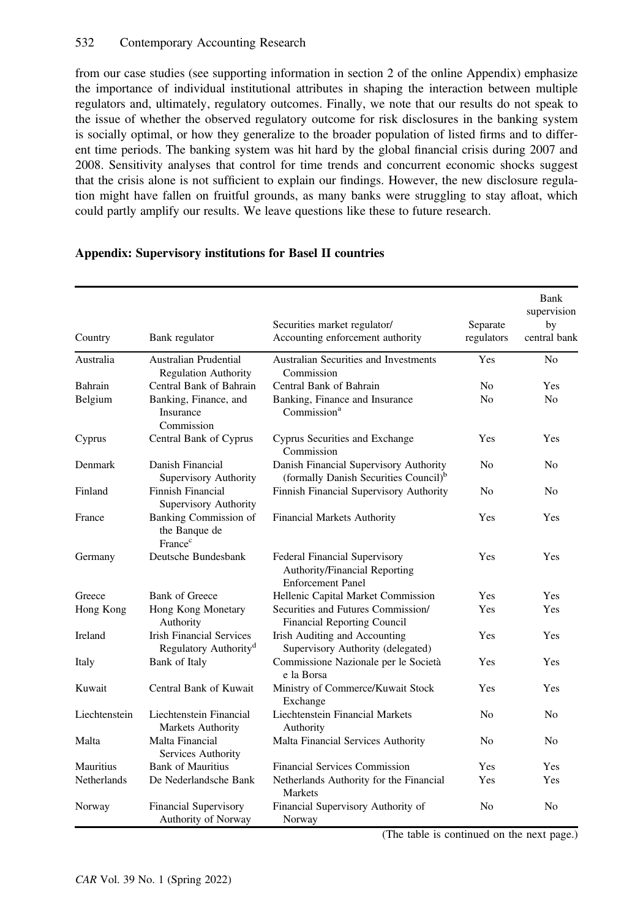from our case studies (see supporting information in section 2 of the online Appendix) emphasize the importance of individual institutional attributes in shaping the interaction between multiple regulators and, ultimately, regulatory outcomes. Finally, we note that our results do not speak to the issue of whether the observed regulatory outcome for risk disclosures in the banking system is socially optimal, or how they generalize to the broader population of listed firms and to different time periods. The banking system was hit hard by the global financial crisis during 2007 and 2008. Sensitivity analyses that control for time trends and concurrent economic shocks suggest that the crisis alone is not sufficient to explain our findings. However, the new disclosure regulation might have fallen on fruitful grounds, as many banks were struggling to stay afloat, which could partly amplify our results. We leave questions like these to future research.

| Country       | Bank regulator                                                       | Securities market regulator/<br>Accounting enforcement authority                                  | Separate<br>regulators | Bank<br>supervision<br>by<br>central bank |
|---------------|----------------------------------------------------------------------|---------------------------------------------------------------------------------------------------|------------------------|-------------------------------------------|
| Australia     | Australian Prudential<br>Regulation Authority                        | Australian Securities and Investments<br>Commission                                               | Yes                    | N <sub>o</sub>                            |
| Bahrain       | Central Bank of Bahrain                                              | Central Bank of Bahrain                                                                           | N <sub>0</sub>         | Yes                                       |
| Belgium       | Banking, Finance, and<br>Insurance<br>Commission                     | Banking, Finance and Insurance<br>Commission <sup>a</sup>                                         | N <sub>o</sub>         | N <sub>0</sub>                            |
| Cyprus        | Central Bank of Cyprus                                               | Cyprus Securities and Exchange<br>Commission                                                      | Yes                    | Yes                                       |
| Denmark       | Danish Financial<br>Supervisory Authority                            | Danish Financial Supervisory Authority<br>(formally Danish Securities Council) <sup>b</sup>       | N <sub>0</sub>         | No                                        |
| Finland       | Finnish Financial<br>Supervisory Authority                           | Finnish Financial Supervisory Authority                                                           | No                     | No                                        |
| France        | <b>Banking Commission of</b><br>the Banque de<br>France <sup>c</sup> | <b>Financial Markets Authority</b>                                                                | Yes                    | Yes                                       |
| Germany       | Deutsche Bundesbank                                                  | <b>Federal Financial Supervisory</b><br>Authority/Financial Reporting<br><b>Enforcement Panel</b> | Yes                    | Yes                                       |
| Greece        | <b>Bank of Greece</b>                                                | Hellenic Capital Market Commission                                                                | Yes                    | Yes                                       |
| Hong Kong     | Hong Kong Monetary<br>Authority                                      | Securities and Futures Commission/<br><b>Financial Reporting Council</b>                          | Yes                    | Yes                                       |
| Ireland       | <b>Irish Financial Services</b><br>Regulatory Authority <sup>d</sup> | Irish Auditing and Accounting<br>Supervisory Authority (delegated)                                | Yes                    | Yes                                       |
| Italy         | Bank of Italy                                                        | Commissione Nazionale per le Società<br>e la Borsa                                                | Yes                    | Yes                                       |
| Kuwait        | Central Bank of Kuwait                                               | Ministry of Commerce/Kuwait Stock<br>Exchange                                                     | Yes                    | Yes                                       |
| Liechtenstein | Liechtenstein Financial<br>Markets Authority                         | Liechtenstein Financial Markets<br>Authority                                                      | N <sub>0</sub>         | N <sub>0</sub>                            |
| Malta         | Malta Financial<br>Services Authority                                | Malta Financial Services Authority                                                                | No                     | N <sub>0</sub>                            |
| Mauritius     | <b>Bank of Mauritius</b>                                             | <b>Financial Services Commission</b>                                                              | Yes                    | Yes                                       |
| Netherlands   | De Nederlandsche Bank                                                | Netherlands Authority for the Financial<br>Markets                                                | Yes                    | Yes                                       |
| Norway        | <b>Financial Supervisory</b><br>Authority of Norway                  | Financial Supervisory Authority of<br>Norway                                                      | N <sub>0</sub>         | N <sub>0</sub>                            |

# Appendix: Supervisory institutions for Basel II countries

(The table is continued on the next page.)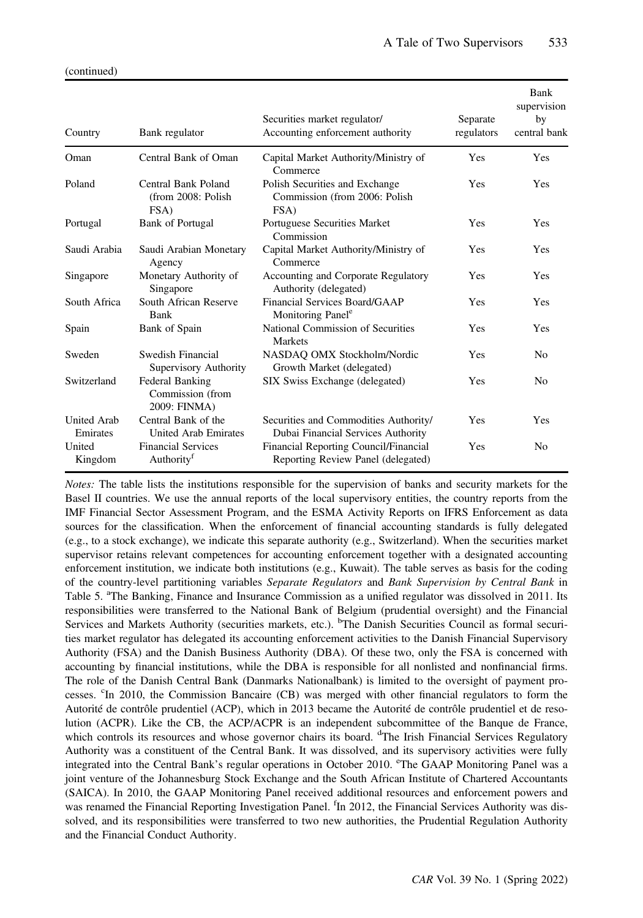| Country                        | Bank regulator                                      | Securities market regulator/<br>Accounting enforcement authority            | Separate<br>regulators | Bank<br>supervision<br>by<br>central bank |
|--------------------------------|-----------------------------------------------------|-----------------------------------------------------------------------------|------------------------|-------------------------------------------|
| Oman                           | Central Bank of Oman                                | Capital Market Authority/Ministry of<br>Commerce                            | <b>Yes</b>             | Yes                                       |
| Poland                         | Central Bank Poland<br>(from 2008: Polish<br>FSA)   | Polish Securities and Exchange<br>Commission (from 2006: Polish<br>FSA)     | <b>Yes</b>             | Yes                                       |
| Portugal                       | <b>Bank of Portugal</b>                             | Portuguese Securities Market<br>Commission                                  | Yes                    | Yes                                       |
| Saudi Arabia                   | Saudi Arabian Monetary<br>Agency                    | Capital Market Authority/Ministry of<br>Commerce                            | <b>Yes</b>             | <b>Yes</b>                                |
| Singapore                      | Monetary Authority of<br>Singapore                  | Accounting and Corporate Regulatory<br>Authority (delegated)                | Yes                    | <b>Yes</b>                                |
| South Africa                   | South African Reserve<br>Bank                       | Financial Services Board/GAAP<br>Monitoring Panel <sup>e</sup>              | Yes                    | Yes                                       |
| Spain                          | Bank of Spain                                       | National Commission of Securities<br><b>Markets</b>                         | Yes                    | Yes                                       |
| Sweden                         | Swedish Financial<br>Supervisory Authority          | NASDAQ OMX Stockholm/Nordic<br>Growth Market (delegated)                    | <b>Yes</b>             | N <sub>0</sub>                            |
| Switzerland                    | Federal Banking<br>Commission (from<br>2009: FINMA) | SIX Swiss Exchange (delegated)                                              | Yes                    | N <sub>0</sub>                            |
| <b>United Arab</b><br>Emirates | Central Bank of the<br>United Arab Emirates         | Securities and Commodities Authority/<br>Dubai Financial Services Authority | <b>Yes</b>             | Yes                                       |
| United<br>Kingdom              | <b>Financial Services</b><br>Authority <sup>f</sup> | Financial Reporting Council/Financial<br>Reporting Review Panel (delegated) | <b>Yes</b>             | N <sub>0</sub>                            |

Notes: The table lists the institutions responsible for the supervision of banks and security markets for the Basel II countries. We use the annual reports of the local supervisory entities, the country reports from the IMF Financial Sector Assessment Program, and the ESMA Activity Reports on IFRS Enforcement as data sources for the classification. When the enforcement of financial accounting standards is fully delegated (e.g., to a stock exchange), we indicate this separate authority (e.g., Switzerland). When the securities market supervisor retains relevant competences for accounting enforcement together with a designated accounting enforcement institution, we indicate both institutions (e.g., Kuwait). The table serves as basis for the coding of the country-level partitioning variables Separate Regulators and Bank Supervision by Central Bank in Table 5. <sup>a</sup>The Banking, Finance and Insurance Commission as a unified regulator was dissolved in 2011. Its responsibilities were transferred to the National Bank of Belgium (prudential oversight) and the Financial Services and Markets Authority (securities markets, etc.). <sup>b</sup>The Danish Securities Council as formal securities market regulator has delegated its accounting enforcement activities to the Danish Financial Supervisory Authority (FSA) and the Danish Business Authority (DBA). Of these two, only the FSA is concerned with accounting by financial institutions, while the DBA is responsible for all nonlisted and nonfinancial firms. The role of the Danish Central Bank (Danmarks Nationalbank) is limited to the oversight of payment processes. <sup>c</sup>In 2010, the Commission Bancaire (CB) was merged with other financial regulators to form the Autorité de contrôle prudentiel (ACP), which in 2013 became the Autorité de contrôle prudentiel et de resolution (ACPR). Like the CB, the ACP/ACPR is an independent subcommittee of the Banque de France, which controls its resources and whose governor chairs its board. <sup>d</sup>The Irish Financial Services Regulatory Authority was a constituent of the Central Bank. It was dissolved, and its supervisory activities were fully integrated into the Central Bank's regular operations in October 2010. <sup>e</sup>The GAAP Monitoring Panel was a joint venture of the Johannesburg Stock Exchange and the South African Institute of Chartered Accountants (SAICA). In 2010, the GAAP Monitoring Panel received additional resources and enforcement powers and was renamed the Financial Reporting Investigation Panel. <sup>f</sup>In 2012, the Financial Services Authority was dissolved, and its responsibilities were transferred to two new authorities, the Prudential Regulation Authority and the Financial Conduct Authority.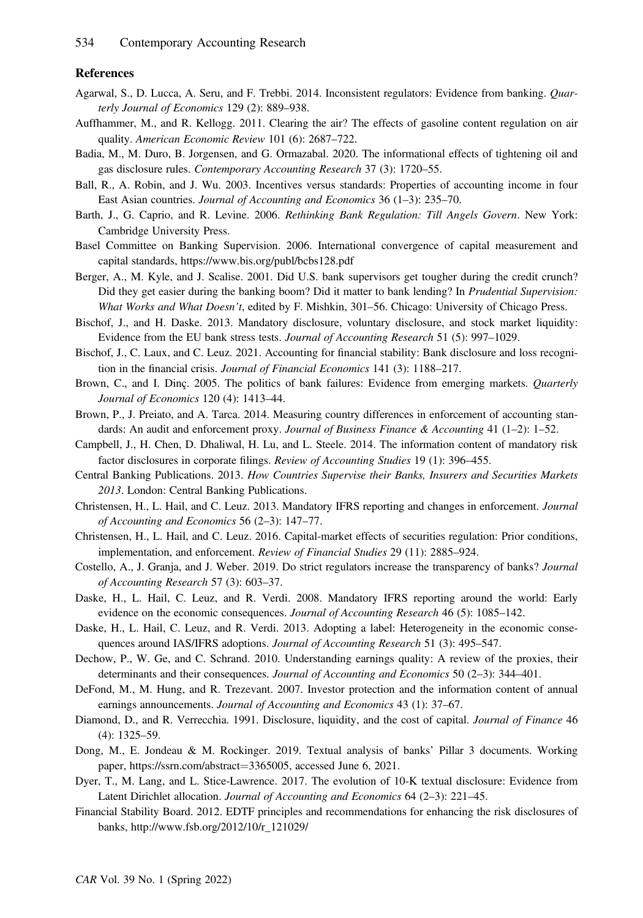#### References

- Agarwal, S., D. Lucca, A. Seru, and F. Trebbi. 2014. Inconsistent regulators: Evidence from banking. Quarterly Journal of Economics 129 (2): 889–938.
- Auffhammer, M., and R. Kellogg. 2011. Clearing the air? The effects of gasoline content regulation on air quality. American Economic Review 101 (6): 2687–722.
- Badia, M., M. Duro, B. Jorgensen, and G. Ormazabal. 2020. The informational effects of tightening oil and gas disclosure rules. Contemporary Accounting Research 37 (3): 1720-55.
- Ball, R., A. Robin, and J. Wu. 2003. Incentives versus standards: Properties of accounting income in four East Asian countries. Journal of Accounting and Economics 36 (1–3): 235–70.
- Barth, J., G. Caprio, and R. Levine. 2006. Rethinking Bank Regulation: Till Angels Govern. New York: Cambridge University Press.
- Basel Committee on Banking Supervision. 2006. International convergence of capital measurement and capital standards,<https://www.bis.org/publ/bcbs128.pdf>
- Berger, A., M. Kyle, and J. Scalise. 2001. Did U.S. bank supervisors get tougher during the credit crunch? Did they get easier during the banking boom? Did it matter to bank lending? In Prudential Supervision: What Works and What Doesn't, edited by F. Mishkin, 301–56. Chicago: University of Chicago Press.
- Bischof, J., and H. Daske. 2013. Mandatory disclosure, voluntary disclosure, and stock market liquidity: Evidence from the EU bank stress tests. Journal of Accounting Research 51 (5): 997–1029.
- Bischof, J., C. Laux, and C. Leuz. 2021. Accounting for financial stability: Bank disclosure and loss recognition in the financial crisis. Journal of Financial Economics 141 (3): 1188–217.
- Brown, C., and I. Dinç. 2005. The politics of bank failures: Evidence from emerging markets. Quarterly Journal of Economics 120 (4): 1413–44.
- Brown, P., J. Preiato, and A. Tarca. 2014. Measuring country differences in enforcement of accounting standards: An audit and enforcement proxy. Journal of Business Finance & Accounting 41 (1-2): 1-52.
- Campbell, J., H. Chen, D. Dhaliwal, H. Lu, and L. Steele. 2014. The information content of mandatory risk factor disclosures in corporate filings. Review of Accounting Studies 19 (1): 396–455.
- Central Banking Publications. 2013. How Countries Supervise their Banks, Insurers and Securities Markets 2013. London: Central Banking Publications.
- Christensen, H., L. Hail, and C. Leuz. 2013. Mandatory IFRS reporting and changes in enforcement. Journal of Accounting and Economics 56 (2–3): 147–77.
- Christensen, H., L. Hail, and C. Leuz. 2016. Capital-market effects of securities regulation: Prior conditions, implementation, and enforcement. Review of Financial Studies 29 (11): 2885–924.
- Costello, A., J. Granja, and J. Weber. 2019. Do strict regulators increase the transparency of banks? Journal of Accounting Research 57 (3): 603–37.
- Daske, H., L. Hail, C. Leuz, and R. Verdi. 2008. Mandatory IFRS reporting around the world: Early evidence on the economic consequences. Journal of Accounting Research 46 (5): 1085–142.
- Daske, H., L. Hail, C. Leuz, and R. Verdi. 2013. Adopting a label: Heterogeneity in the economic consequences around IAS/IFRS adoptions. Journal of Accounting Research 51 (3): 495–547.
- Dechow, P., W. Ge, and C. Schrand. 2010. Understanding earnings quality: A review of the proxies, their determinants and their consequences. Journal of Accounting and Economics 50 (2-3): 344-401.
- DeFond, M., M. Hung, and R. Trezevant. 2007. Investor protection and the information content of annual earnings announcements. Journal of Accounting and Economics 43 (1): 37–67.
- Diamond, D., and R. Verrecchia. 1991. Disclosure, liquidity, and the cost of capital. Journal of Finance 46 (4): 1325–59.
- Dong, M., E. Jondeau & M. Rockinger. 2019. Textual analysis of banks' Pillar 3 documents. Working paper, [https://ssrn.com/abstract](https://ssrn.com/abstract=3365005,)=3365005, accessed June 6, 2021.
- Dyer, T., M. Lang, and L. Stice-Lawrence. 2017. The evolution of 10-K textual disclosure: Evidence from Latent Dirichlet allocation. Journal of Accounting and Economics 64 (2–3): 221–45.
- Financial Stability Board. 2012. EDTF principles and recommendations for enhancing the risk disclosures of banks, [http://www.fsb.org/2012/10/r\\_121029/](http://www.fsb.org/2012/10/r_121029/)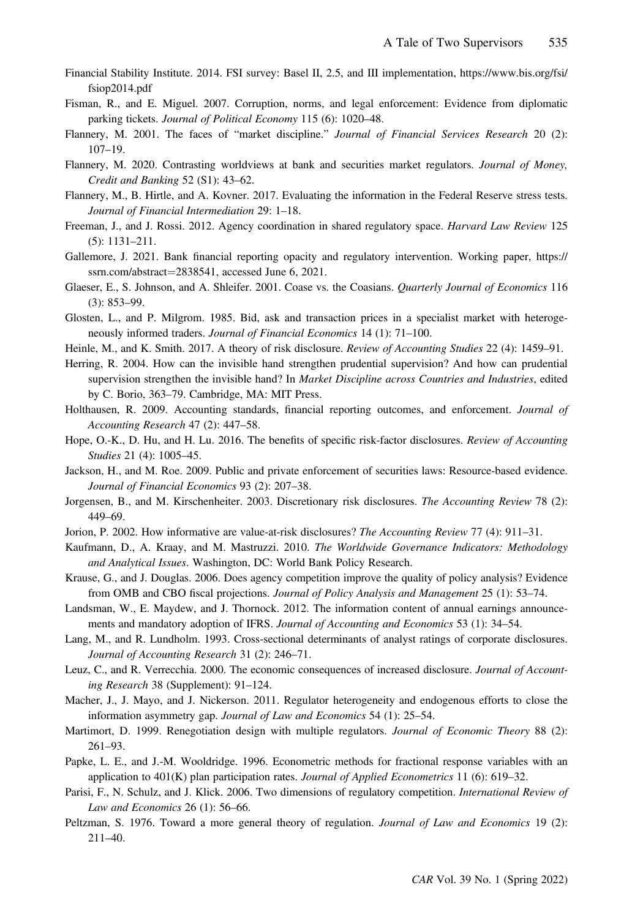- Financial Stability Institute. 2014. FSI survey: Basel II, 2.5, and III implementation, [https://www.bis.org/fsi/](https://www.bis.org/fsi/fsiop2014.pdf) [fsiop2014.pdf](https://www.bis.org/fsi/fsiop2014.pdf)
- Fisman, R., and E. Miguel. 2007. Corruption, norms, and legal enforcement: Evidence from diplomatic parking tickets. Journal of Political Economy 115 (6): 1020–48.
- Flannery, M. 2001. The faces of "market discipline." Journal of Financial Services Research 20 (2): 107–19.
- Flannery, M. 2020. Contrasting worldviews at bank and securities market regulators. Journal of Money, Credit and Banking 52 (S1): 43–62.
- Flannery, M., B. Hirtle, and A. Kovner. 2017. Evaluating the information in the Federal Reserve stress tests. Journal of Financial Intermediation 29: 1–18.
- Freeman, J., and J. Rossi. 2012. Agency coordination in shared regulatory space. Harvard Law Review 125 (5): 1131–211.
- Gallemore, J. 2021. Bank financial reporting opacity and regulatory intervention. Working paper, [https://](https://ssrn.com/abstract=2838541,) [ssrn.com/abstract](https://ssrn.com/abstract=2838541,)=2838541, accessed June 6, 2021.
- Glaeser, E., S. Johnson, and A. Shleifer. 2001. Coase vs. the Coasians. *Quarterly Journal of Economics* 116 (3): 853–99.
- Glosten, L., and P. Milgrom. 1985. Bid, ask and transaction prices in a specialist market with heterogeneously informed traders. Journal of Financial Economics 14 (1): 71–100.
- Heinle, M., and K. Smith. 2017. A theory of risk disclosure. Review of Accounting Studies 22 (4): 1459–91.
- Herring, R. 2004. How can the invisible hand strengthen prudential supervision? And how can prudential supervision strengthen the invisible hand? In *Market Discipline across Countries and Industries*, edited by C. Borio, 363–79. Cambridge, MA: MIT Press.
- Holthausen, R. 2009. Accounting standards, financial reporting outcomes, and enforcement. Journal of Accounting Research 47 (2): 447–58.
- Hope, O.-K., D. Hu, and H. Lu. 2016. The benefits of specific risk-factor disclosures. Review of Accounting Studies 21 (4): 1005–45.
- Jackson, H., and M. Roe. 2009. Public and private enforcement of securities laws: Resource-based evidence. Journal of Financial Economics 93 (2): 207–38.
- Jorgensen, B., and M. Kirschenheiter. 2003. Discretionary risk disclosures. The Accounting Review 78 (2): 449–69.
- Jorion, P. 2002. How informative are value-at-risk disclosures? The Accounting Review 77 (4): 911–31.
- Kaufmann, D., A. Kraay, and M. Mastruzzi. 2010. The Worldwide Governance Indicators: Methodology and Analytical Issues. Washington, DC: World Bank Policy Research.
- Krause, G., and J. Douglas. 2006. Does agency competition improve the quality of policy analysis? Evidence from OMB and CBO fiscal projections. Journal of Policy Analysis and Management 25 (1): 53–74.
- Landsman, W., E. Maydew, and J. Thornock. 2012. The information content of annual earnings announcements and mandatory adoption of IFRS. Journal of Accounting and Economics 53 (1): 34–54.
- Lang, M., and R. Lundholm. 1993. Cross-sectional determinants of analyst ratings of corporate disclosures. Journal of Accounting Research 31 (2): 246–71.
- Leuz, C., and R. Verrecchia. 2000. The economic consequences of increased disclosure. *Journal of Account*ing Research 38 (Supplement): 91–124.
- Macher, J., J. Mayo, and J. Nickerson. 2011. Regulator heterogeneity and endogenous efforts to close the information asymmetry gap. Journal of Law and Economics 54 (1): 25–54.
- Martimort, D. 1999. Renegotiation design with multiple regulators. Journal of Economic Theory 88 (2): 261–93.
- Papke, L. E., and J.-M. Wooldridge. 1996. Econometric methods for fractional response variables with an application to  $401(K)$  plan participation rates. *Journal of Applied Econometrics* 11 (6): 619–32.
- Parisi, F., N. Schulz, and J. Klick. 2006. Two dimensions of regulatory competition. International Review of Law and Economics 26 (1): 56–66.
- Peltzman, S. 1976. Toward a more general theory of regulation. *Journal of Law and Economics* 19 (2): 211–40.